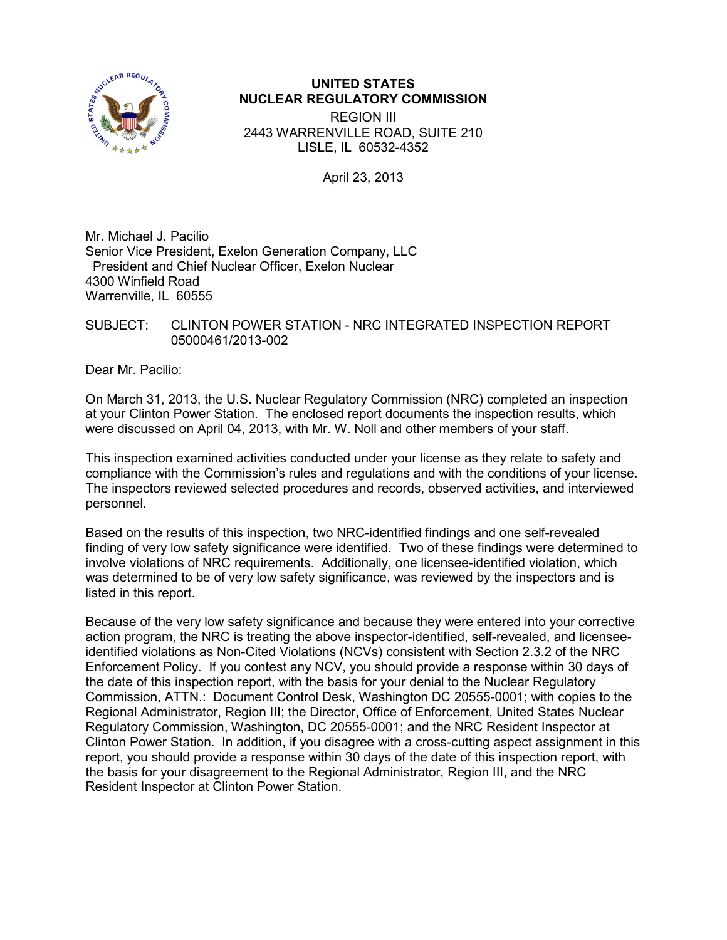

## **UNITED STATES NUCLEAR REGULATORY COMMISSION**

REGION III 2443 WARRENVILLE ROAD, SUITE 210 LISLE, IL 60532-4352

April 23, 2013

Mr. Michael J. Pacilio Senior Vice President, Exelon Generation Company, LLC President and Chief Nuclear Officer, Exelon Nuclear 4300 Winfield Road Warrenville, IL 60555

## SUBJECT: CLINTON POWER STATION - NRC INTEGRATED INSPECTION REPORT 05000461/2013-002

Dear Mr. Pacilio:

On March 31, 2013, the U.S. Nuclear Regulatory Commission (NRC) completed an inspection at your Clinton Power Station. The enclosed report documents the inspection results, which were discussed on April 04, 2013, with Mr. W. Noll and other members of your staff.

This inspection examined activities conducted under your license as they relate to safety and compliance with the Commission's rules and regulations and with the conditions of your license. The inspectors reviewed selected procedures and records, observed activities, and interviewed personnel.

Based on the results of this inspection, two NRC-identified findings and one self-revealed finding of very low safety significance were identified. Two of these findings were determined to involve violations of NRC requirements. Additionally, one licensee-identified violation, which was determined to be of very low safety significance, was reviewed by the inspectors and is listed in this report.

Because of the very low safety significance and because they were entered into your corrective action program, the NRC is treating the above inspector-identified, self-revealed, and licenseeidentified violations as Non-Cited Violations (NCVs) consistent with Section 2.3.2 of the NRC Enforcement Policy. If you contest any NCV, you should provide a response within 30 days of the date of this inspection report, with the basis for your denial to the Nuclear Regulatory Commission, ATTN.: Document Control Desk, Washington DC 20555-0001; with copies to the Regional Administrator, Region III; the Director, Office of Enforcement, United States Nuclear Regulatory Commission, Washington, DC 20555-0001; and the NRC Resident Inspector at Clinton Power Station. In addition, if you disagree with a cross-cutting aspect assignment in this report, you should provide a response within 30 days of the date of this inspection report, with the basis for your disagreement to the Regional Administrator, Region III, and the NRC Resident Inspector at Clinton Power Station.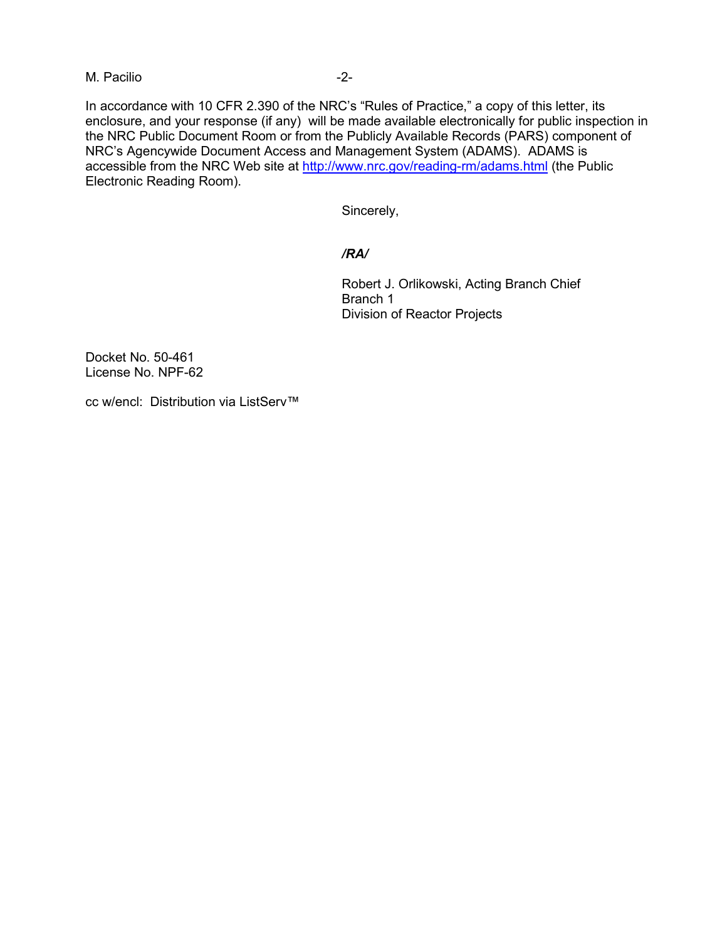M. Pacilio  $-2$ -

In accordance with 10 CFR 2.390 of the NRC's "Rules of Practice," a copy of this letter, its enclosure, and your response (if any) will be made available electronically for public inspection in the NRC Public Document Room or from the Publicly Available Records (PARS) component of NRC's Agencywide Document Access and Management System (ADAMS). ADAMS is accessible from the NRC Web site at<http://www.nrc.gov/reading-rm/adams.html> (the Public Electronic Reading Room).

Sincerely,

## */RA/*

Robert J. Orlikowski, Acting Branch Chief Branch 1 Division of Reactor Projects

Docket No. 50-461 License No. NPF-62

cc w/encl: Distribution via ListServ™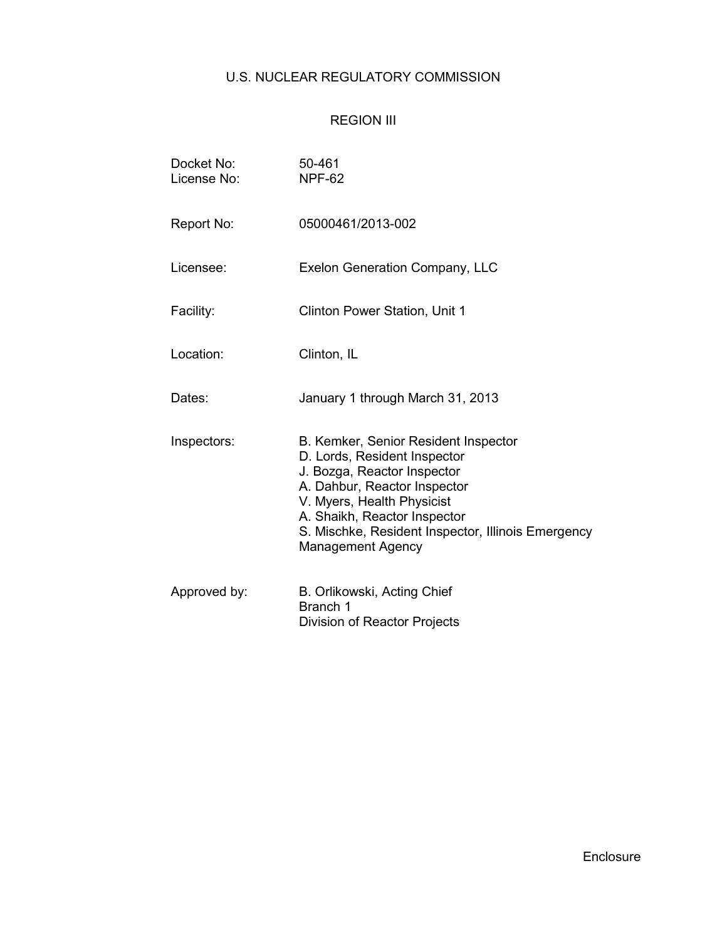# U.S. NUCLEAR REGULATORY COMMISSION

# REGION III

| Docket No:<br>License No: | 50-461<br><b>NPF-62</b>                                                                                                                                                                                                                                                             |
|---------------------------|-------------------------------------------------------------------------------------------------------------------------------------------------------------------------------------------------------------------------------------------------------------------------------------|
| Report No:                | 05000461/2013-002                                                                                                                                                                                                                                                                   |
| Licensee:                 | <b>Exelon Generation Company, LLC</b>                                                                                                                                                                                                                                               |
| Facility:                 | <b>Clinton Power Station, Unit 1</b>                                                                                                                                                                                                                                                |
| Location:                 | Clinton, IL                                                                                                                                                                                                                                                                         |
| Dates:                    | January 1 through March 31, 2013                                                                                                                                                                                                                                                    |
| Inspectors:               | B. Kemker, Senior Resident Inspector<br>D. Lords, Resident Inspector<br>J. Bozga, Reactor Inspector<br>A. Dahbur, Reactor Inspector<br>V. Myers, Health Physicist<br>A. Shaikh, Reactor Inspector<br>S. Mischke, Resident Inspector, Illinois Emergency<br><b>Management Agency</b> |
| Approved by:              | B. Orlikowski, Acting Chief<br>Branch 1<br>Division of Reactor Projects                                                                                                                                                                                                             |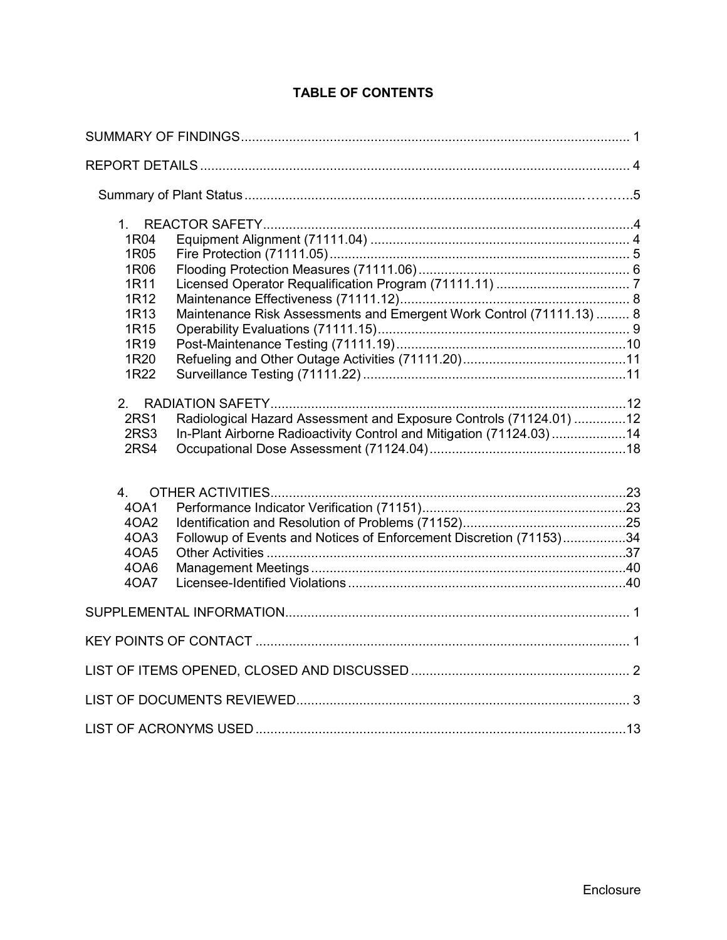| 1R04<br>1R05<br>1R06<br>1R11<br>1R12<br>1R13<br><b>1R15</b><br>1R19<br>1R20 | Maintenance Risk Assessments and Emergent Work Control (71111.13)  8                                                                      |  |
|-----------------------------------------------------------------------------|-------------------------------------------------------------------------------------------------------------------------------------------|--|
| 1R22                                                                        |                                                                                                                                           |  |
| <b>2RS1</b><br>2RS3<br>2RS4                                                 | Radiological Hazard Assessment and Exposure Controls (71124.01) 12<br>In-Plant Airborne Radioactivity Control and Mitigation (71124.03)14 |  |
| 4.<br>40A1<br>4OA2<br>4OA3<br>4OA5<br>4OA6<br>40A7                          | Followup of Events and Notices of Enforcement Discretion (71153)34                                                                        |  |
|                                                                             |                                                                                                                                           |  |
|                                                                             |                                                                                                                                           |  |
|                                                                             |                                                                                                                                           |  |
|                                                                             |                                                                                                                                           |  |
|                                                                             |                                                                                                                                           |  |

# **TABLE OF CONTENTS**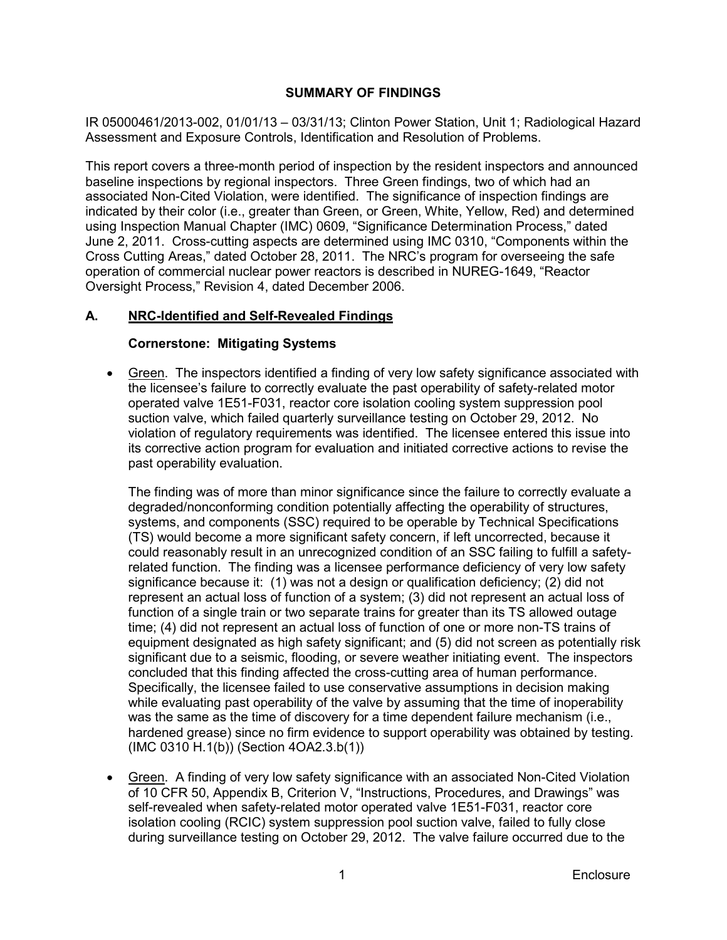## **SUMMARY OF FINDINGS**

IR 05000461/2013-002, 01/01/13 – 03/31/13; Clinton Power Station, Unit 1; Radiological Hazard Assessment and Exposure Controls, Identification and Resolution of Problems.

This report covers a three-month period of inspection by the resident inspectors and announced baseline inspections by regional inspectors. Three Green findings, two of which had an associated Non-Cited Violation, were identified. The significance of inspection findings are indicated by their color (i.e., greater than Green, or Green, White, Yellow, Red) and determined using Inspection Manual Chapter (IMC) 0609, "Significance Determination Process," dated June 2, 2011. Cross-cutting aspects are determined using IMC 0310, "Components within the Cross Cutting Areas," dated October 28, 2011. The NRC's program for overseeing the safe operation of commercial nuclear power reactors is described in NUREG-1649, "Reactor Oversight Process," Revision 4, dated December 2006.

## **A. NRC-Identified and Self-Revealed Findings**

## **Cornerstone: Mitigating Systems**

• Green. The inspectors identified a finding of very low safety significance associated with the licensee's failure to correctly evaluate the past operability of safety-related motor operated valve 1E51-F031, reactor core isolation cooling system suppression pool suction valve, which failed quarterly surveillance testing on October 29, 2012. No violation of regulatory requirements was identified. The licensee entered this issue into its corrective action program for evaluation and initiated corrective actions to revise the past operability evaluation.

The finding was of more than minor significance since the failure to correctly evaluate a degraded/nonconforming condition potentially affecting the operability of structures, systems, and components (SSC) required to be operable by Technical Specifications (TS) would become a more significant safety concern, if left uncorrected, because it could reasonably result in an unrecognized condition of an SSC failing to fulfill a safetyrelated function. The finding was a licensee performance deficiency of very low safety significance because it: (1) was not a design or qualification deficiency; (2) did not represent an actual loss of function of a system; (3) did not represent an actual loss of function of a single train or two separate trains for greater than its TS allowed outage time; (4) did not represent an actual loss of function of one or more non-TS trains of equipment designated as high safety significant; and (5) did not screen as potentially risk significant due to a seismic, flooding, or severe weather initiating event. The inspectors concluded that this finding affected the cross-cutting area of human performance. Specifically, the licensee failed to use conservative assumptions in decision making while evaluating past operability of the valve by assuming that the time of inoperability was the same as the time of discovery for a time dependent failure mechanism (i.e., hardened grease) since no firm evidence to support operability was obtained by testing. (IMC 0310 H.1(b)) (Section 4OA2.3.b(1))

• Green. A finding of very low safety significance with an associated Non-Cited Violation of 10 CFR 50, Appendix B, Criterion V, "Instructions, Procedures, and Drawings" was self-revealed when safety-related motor operated valve 1E51-F031, reactor core isolation cooling (RCIC) system suppression pool suction valve, failed to fully close during surveillance testing on October 29, 2012. The valve failure occurred due to the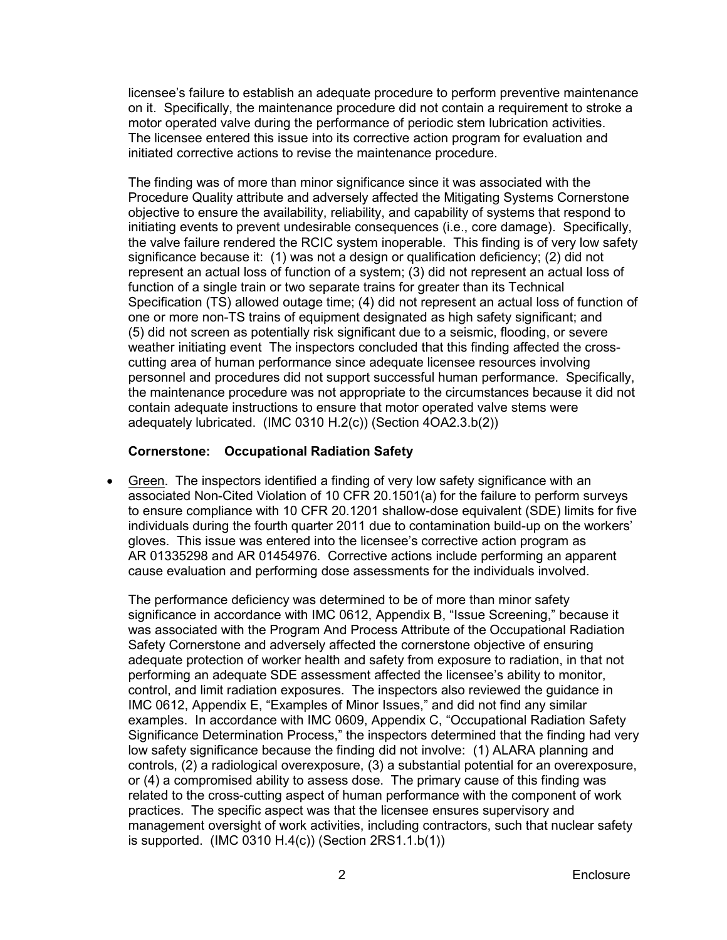licensee's failure to establish an adequate procedure to perform preventive maintenance on it. Specifically, the maintenance procedure did not contain a requirement to stroke a motor operated valve during the performance of periodic stem lubrication activities. The licensee entered this issue into its corrective action program for evaluation and initiated corrective actions to revise the maintenance procedure.

The finding was of more than minor significance since it was associated with the Procedure Quality attribute and adversely affected the Mitigating Systems Cornerstone objective to ensure the availability, reliability, and capability of systems that respond to initiating events to prevent undesirable consequences (i.e., core damage). Specifically, the valve failure rendered the RCIC system inoperable. This finding is of very low safety significance because it: (1) was not a design or qualification deficiency; (2) did not represent an actual loss of function of a system; (3) did not represent an actual loss of function of a single train or two separate trains for greater than its Technical Specification (TS) allowed outage time; (4) did not represent an actual loss of function of one or more non-TS trains of equipment designated as high safety significant; and (5) did not screen as potentially risk significant due to a seismic, flooding, or severe weather initiating event The inspectors concluded that this finding affected the crosscutting area of human performance since adequate licensee resources involving personnel and procedures did not support successful human performance. Specifically, the maintenance procedure was not appropriate to the circumstances because it did not contain adequate instructions to ensure that motor operated valve stems were adequately lubricated. (IMC 0310 H.2(c)) (Section 4OA2.3.b(2))

## **Cornerstone: Occupational Radiation Safety**

• Green. The inspectors identified a finding of very low safety significance with an associated Non-Cited Violation of 10 CFR 20.1501(a) for the failure to perform surveys to ensure compliance with 10 CFR 20.1201 shallow-dose equivalent (SDE) limits for five individuals during the fourth quarter 2011 due to contamination build-up on the workers' gloves. This issue was entered into the licensee's corrective action program as AR 01335298 and AR 01454976. Corrective actions include performing an apparent cause evaluation and performing dose assessments for the individuals involved.

The performance deficiency was determined to be of more than minor safety significance in accordance with IMC 0612, Appendix B, "Issue Screening," because it was associated with the Program And Process Attribute of the Occupational Radiation Safety Cornerstone and adversely affected the cornerstone objective of ensuring adequate protection of worker health and safety from exposure to radiation, in that not performing an adequate SDE assessment affected the licensee's ability to monitor, control, and limit radiation exposures. The inspectors also reviewed the guidance in IMC 0612, Appendix E, "Examples of Minor Issues," and did not find any similar examples. In accordance with IMC 0609, Appendix C, "Occupational Radiation Safety Significance Determination Process," the inspectors determined that the finding had very low safety significance because the finding did not involve: (1) ALARA planning and controls, (2) a radiological overexposure, (3) a substantial potential for an overexposure, or (4) a compromised ability to assess dose. The primary cause of this finding was related to the cross-cutting aspect of human performance with the component of work practices. The specific aspect was that the licensee ensures supervisory and management oversight of work activities, including contractors, such that nuclear safety is supported. (IMC 0310 H.4(c)) (Section 2RS1.1.b(1))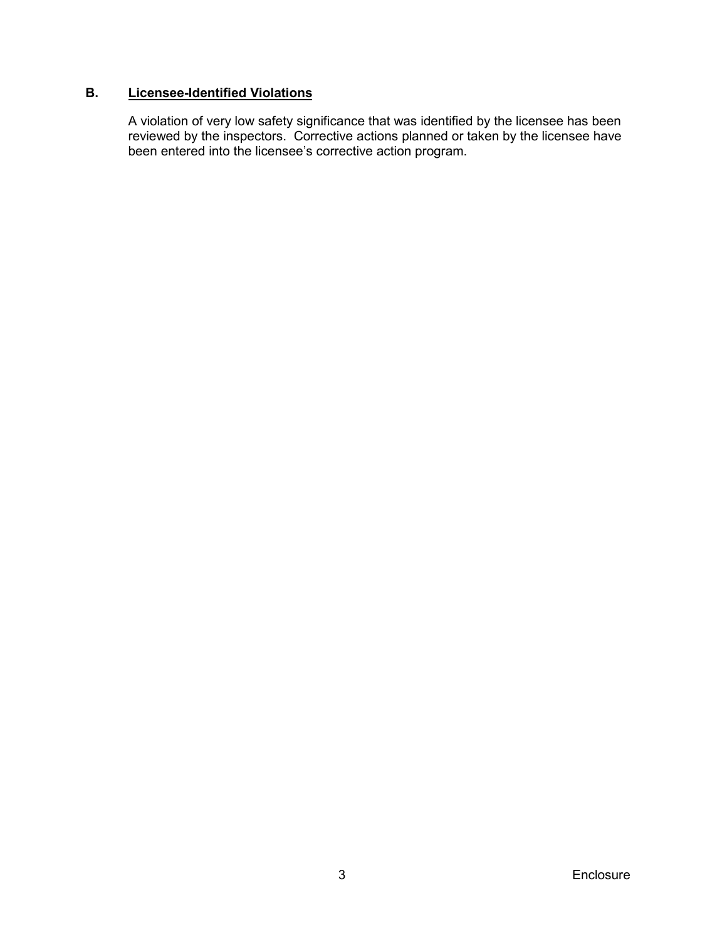## **B. Licensee-Identified Violations**

A violation of very low safety significance that was identified by the licensee has been reviewed by the inspectors. Corrective actions planned or taken by the licensee have been entered into the licensee's corrective action program.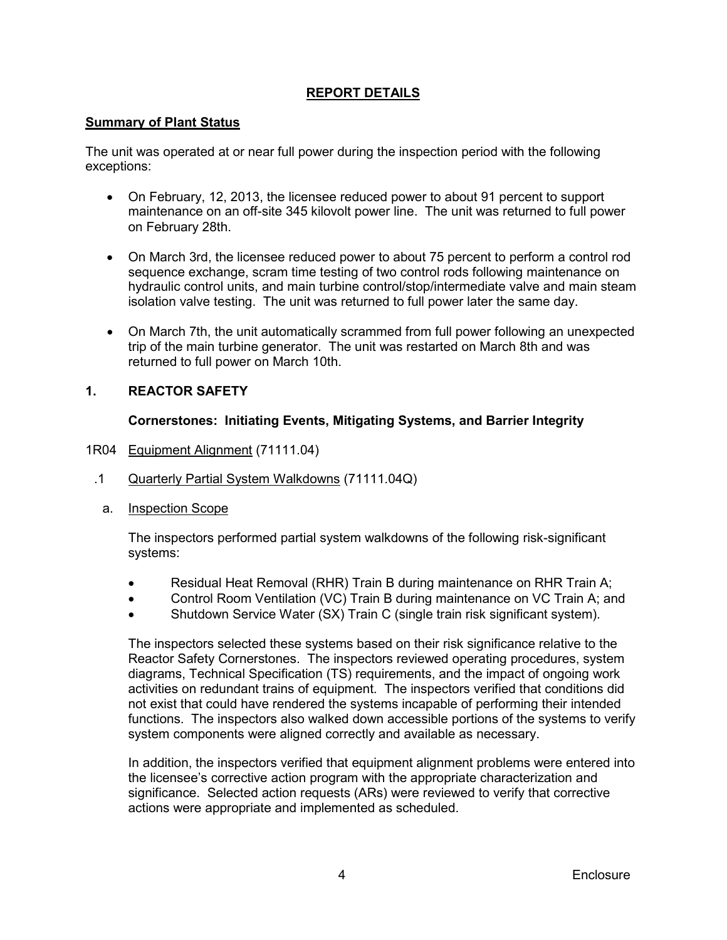## **REPORT DETAILS**

## <span id="page-7-0"></span>**Summary of Plant Status**

The unit was operated at or near full power during the inspection period with the following exceptions:

- On February, 12, 2013, the licensee reduced power to about 91 percent to support maintenance on an off-site 345 kilovolt power line. The unit was returned to full power on February 28th.
- On March 3rd, the licensee reduced power to about 75 percent to perform a control rod sequence exchange, scram time testing of two control rods following maintenance on hydraulic control units, and main turbine control/stop/intermediate valve and main steam isolation valve testing. The unit was returned to full power later the same day.
- On March 7th, the unit automatically scrammed from full power following an unexpected trip of the main turbine generator. The unit was restarted on March 8th and was returned to full power on March 10th.

## <span id="page-7-1"></span>**1. REACTOR SAFETY**

## **Cornerstones: Initiating Events, Mitigating Systems, and Barrier Integrity**

- <span id="page-7-2"></span>1R04 Equipment Alignment (71111.04)
- .1 Quarterly Partial System Walkdowns (71111.04Q)
	- a. Inspection Scope

The inspectors performed partial system walkdowns of the following risk-significant systems:

- Residual Heat Removal (RHR) Train B during maintenance on RHR Train A;
- Control Room Ventilation (VC) Train B during maintenance on VC Train A; and
- Shutdown Service Water (SX) Train C (single train risk significant system).

The inspectors selected these systems based on their risk significance relative to the Reactor Safety Cornerstones. The inspectors reviewed operating procedures, system diagrams, Technical Specification (TS) requirements, and the impact of ongoing work activities on redundant trains of equipment. The inspectors verified that conditions did not exist that could have rendered the systems incapable of performing their intended functions. The inspectors also walked down accessible portions of the systems to verify system components were aligned correctly and available as necessary.

In addition, the inspectors verified that equipment alignment problems were entered into the licensee's corrective action program with the appropriate characterization and significance. Selected action requests (ARs) were reviewed to verify that corrective actions were appropriate and implemented as scheduled.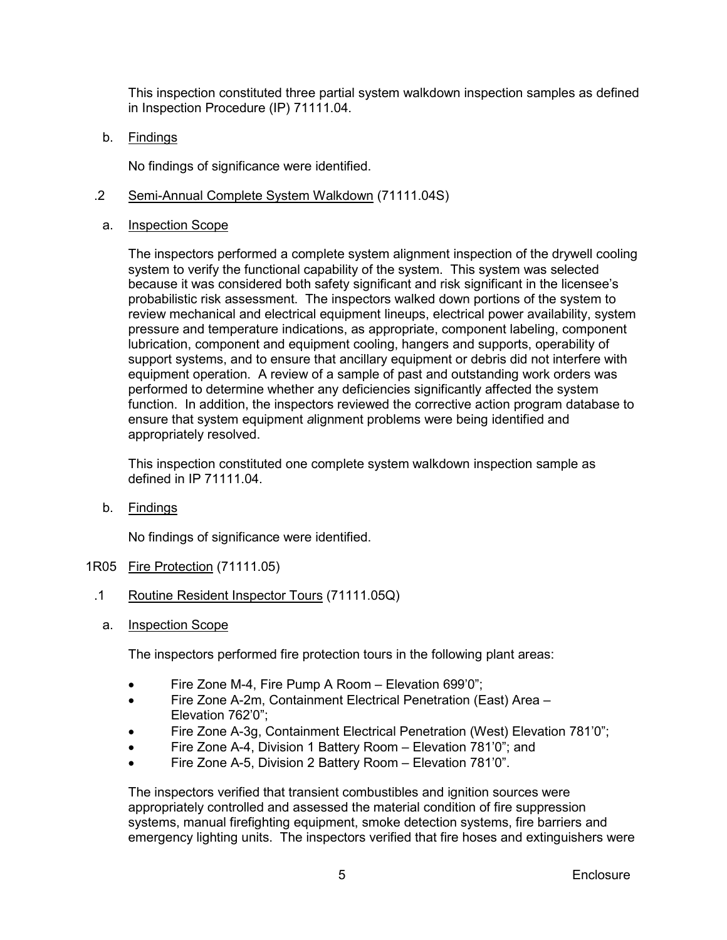This inspection constituted three partial system walkdown inspection samples as defined in Inspection Procedure (IP) 71111.04.

b. Findings

No findings of significance were identified.

- .2 Semi-Annual Complete System Walkdown (71111.04S)
- a. Inspection Scope

The inspectors performed a complete system alignment inspection of the drywell cooling system to verify the functional capability of the system. This system was selected because it was considered both safety significant and risk significant in the licensee's probabilistic risk assessment. The inspectors walked down portions of the system to review mechanical and electrical equipment lineups, electrical power availability, system pressure and temperature indications, as appropriate, component labeling, component lubrication, component and equipment cooling, hangers and supports, operability of support systems, and to ensure that ancillary equipment or debris did not interfere with equipment operation. A review of a sample of past and outstanding work orders was performed to determine whether any deficiencies significantly affected the system function. In addition, the inspectors reviewed the corrective action program database to ensure that system equipment *a*lignment problems were being identified and appropriately resolved.

This inspection constituted one complete system walkdown inspection sample as defined in IP 71111.04.

b. Findings

No findings of significance were identified.

- <span id="page-8-0"></span>1R05 Fire Protection (71111.05)
	- .1 Routine Resident Inspector Tours (71111.05Q)
		- a. Inspection Scope

The inspectors performed fire protection tours in the following plant areas:

- Fire Zone M-4, Fire Pump A Room Elevation 699'0";
- Fire Zone A-2m, Containment Electrical Penetration (East) Area Elevation 762'0";
- Fire Zone A-3g, Containment Electrical Penetration (West) Elevation 781'0";
- Fire Zone A-4, Division 1 Battery Room Elevation 781'0"; and
- Fire Zone A-5, Division 2 Battery Room Elevation 781'0".

The inspectors verified that transient combustibles and ignition sources were appropriately controlled and assessed the material condition of fire suppression systems, manual firefighting equipment, smoke detection systems, fire barriers and emergency lighting units. The inspectors verified that fire hoses and extinguishers were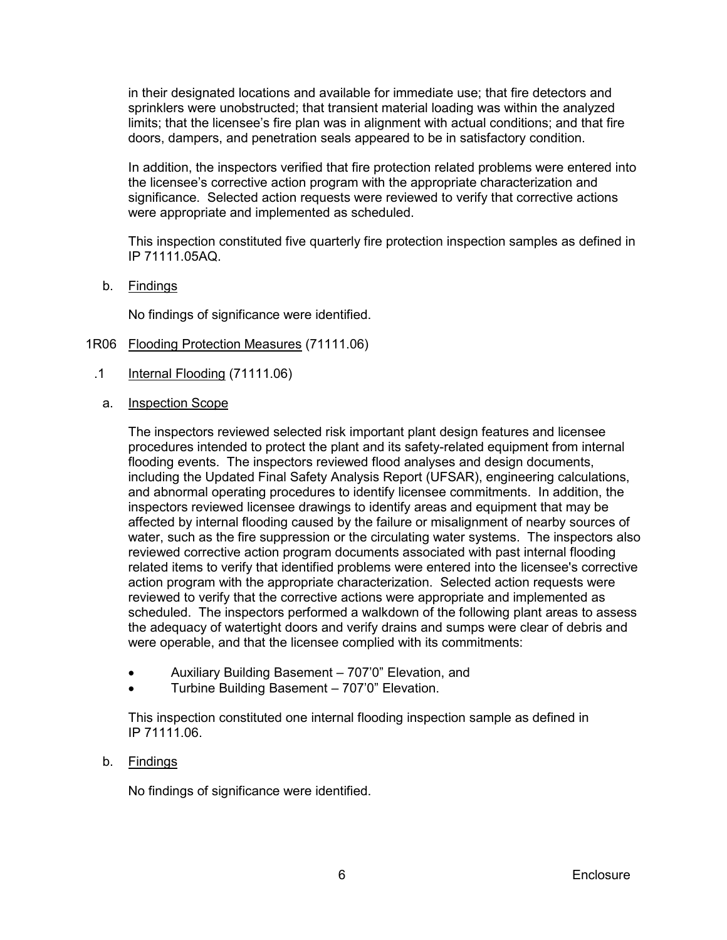in their designated locations and available for immediate use; that fire detectors and sprinklers were unobstructed; that transient material loading was within the analyzed limits; that the licensee's fire plan was in alignment with actual conditions; and that fire doors, dampers, and penetration seals appeared to be in satisfactory condition.

In addition, the inspectors verified that fire protection related problems were entered into the licensee's corrective action program with the appropriate characterization and significance. Selected action requests were reviewed to verify that corrective actions were appropriate and implemented as scheduled.

This inspection constituted five quarterly fire protection inspection samples as defined in IP 71111.05AQ.

b. Findings

No findings of significance were identified.

- <span id="page-9-0"></span>1R06 Flooding Protection Measures (71111.06)
	- .1 Internal Flooding (71111.06)
		- a. Inspection Scope

The inspectors reviewed selected risk important plant design features and licensee procedures intended to protect the plant and its safety-related equipment from internal flooding events. The inspectors reviewed flood analyses and design documents, including the Updated Final Safety Analysis Report (UFSAR), engineering calculations, and abnormal operating procedures to identify licensee commitments. In addition, the inspectors reviewed licensee drawings to identify areas and equipment that may be affected by internal flooding caused by the failure or misalignment of nearby sources of water, such as the fire suppression or the circulating water systems. The inspectors also reviewed corrective action program documents associated with past internal flooding related items to verify that identified problems were entered into the licensee's corrective action program with the appropriate characterization. Selected action requests were reviewed to verify that the corrective actions were appropriate and implemented as scheduled. The inspectors performed a walkdown of the following plant areas to assess the adequacy of watertight doors and verify drains and sumps were clear of debris and were operable, and that the licensee complied with its commitments:

- Auxiliary Building Basement 707'0" Elevation, and
- Turbine Building Basement 707'0" Elevation.

This inspection constituted one internal flooding inspection sample as defined in IP 71111.06.

#### b. Findings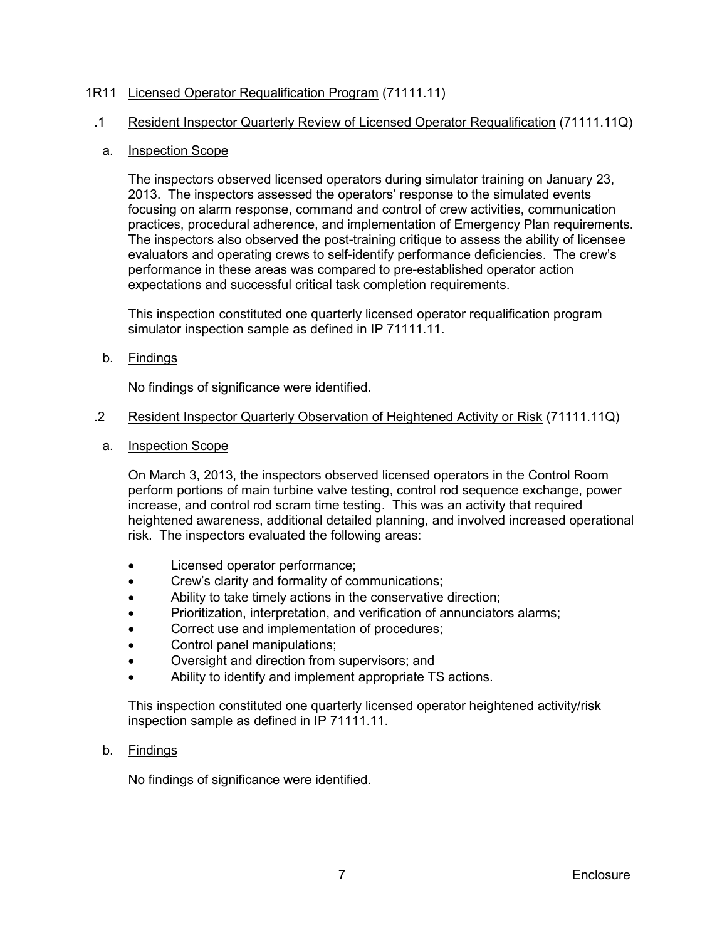## <span id="page-10-0"></span>1R11 Licensed Operator Requalification Program (71111.11)

### .1 Resident Inspector Quarterly Review of Licensed Operator Requalification (71111.11Q)

### a. Inspection Scope

The inspectors observed licensed operators during simulator training on January 23, 2013. The inspectors assessed the operators' response to the simulated events focusing on alarm response, command and control of crew activities, communication practices, procedural adherence, and implementation of Emergency Plan requirements. The inspectors also observed the post-training critique to assess the ability of licensee evaluators and operating crews to self-identify performance deficiencies. The crew's performance in these areas was compared to pre-established operator action expectations and successful critical task completion requirements.

This inspection constituted one quarterly licensed operator requalification program simulator inspection sample as defined in IP 71111.11.

## b. Findings

No findings of significance were identified.

#### .2 Resident Inspector Quarterly Observation of Heightened Activity or Risk (71111.11Q)

a. Inspection Scope

On March 3, 2013, the inspectors observed licensed operators in the Control Room perform portions of main turbine valve testing, control rod sequence exchange, power increase, and control rod scram time testing. This was an activity that required heightened awareness, additional detailed planning, and involved increased operational risk. The inspectors evaluated the following areas:

- Licensed operator performance;
- Crew's clarity and formality of communications;
- Ability to take timely actions in the conservative direction;
- Prioritization, interpretation, and verification of annunciators alarms;
- Correct use and implementation of procedures;
- Control panel manipulations;
- Oversight and direction from supervisors; and
- Ability to identify and implement appropriate TS actions.

This inspection constituted one quarterly licensed operator heightened activity/risk inspection sample as defined in IP 71111.11.

b. Findings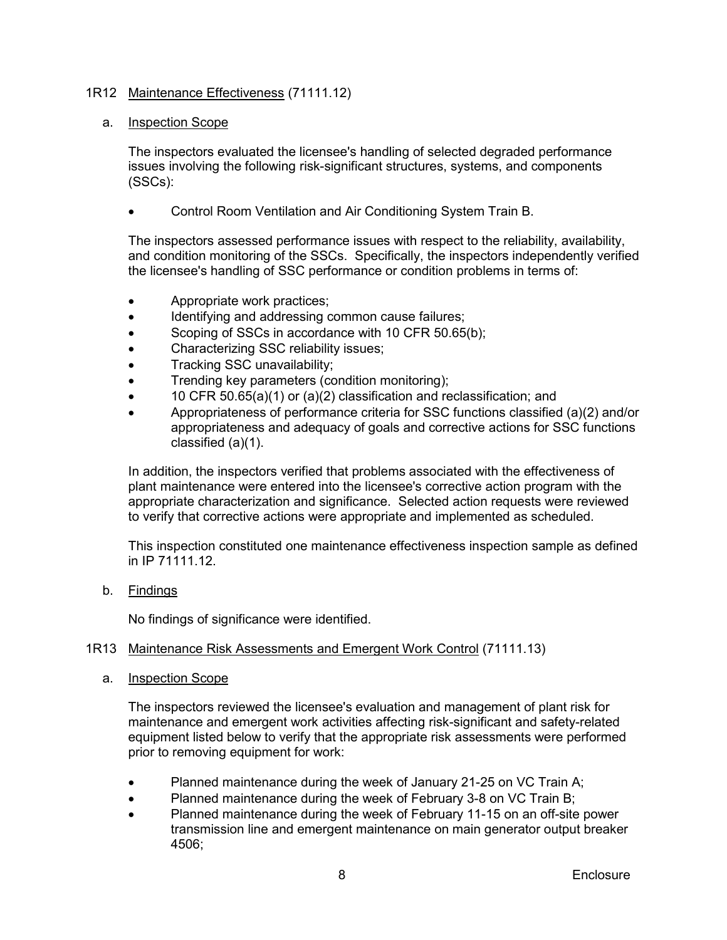## <span id="page-11-0"></span>1R12 Maintenance Effectiveness (71111.12)

#### a. Inspection Scope

The inspectors evaluated the licensee's handling of selected degraded performance issues involving the following risk-significant structures, systems, and components (SSCs):

• Control Room Ventilation and Air Conditioning System Train B.

The inspectors assessed performance issues with respect to the reliability, availability, and condition monitoring of the SSCs. Specifically, the inspectors independently verified the licensee's handling of SSC performance or condition problems in terms of:

- Appropriate work practices;
- Identifying and addressing common cause failures;
- Scoping of SSCs in accordance with 10 CFR 50.65(b);
- Characterizing SSC reliability issues;
- Tracking SSC unavailability;
- Trending key parameters (condition monitoring);
- 10 CFR 50.65(a)(1) or (a)(2) classification and reclassification; and
- Appropriateness of performance criteria for SSC functions classified (a)(2) and/or appropriateness and adequacy of goals and corrective actions for SSC functions classified (a)(1).

In addition, the inspectors verified that problems associated with the effectiveness of plant maintenance were entered into the licensee's corrective action program with the appropriate characterization and significance. Selected action requests were reviewed to verify that corrective actions were appropriate and implemented as scheduled.

This inspection constituted one maintenance effectiveness inspection sample as defined in IP 71111.12.

b. Findings

No findings of significance were identified.

#### <span id="page-11-1"></span>1R13 Maintenance Risk Assessments and Emergent Work Control (71111.13)

a. Inspection Scope

The inspectors reviewed the licensee's evaluation and management of plant risk for maintenance and emergent work activities affecting risk-significant and safety-related equipment listed below to verify that the appropriate risk assessments were performed prior to removing equipment for work:

- Planned maintenance during the week of January 21-25 on VC Train A;
- Planned maintenance during the week of February 3-8 on VC Train B;
- Planned maintenance during the week of February 11-15 on an off-site power transmission line and emergent maintenance on main generator output breaker 4506;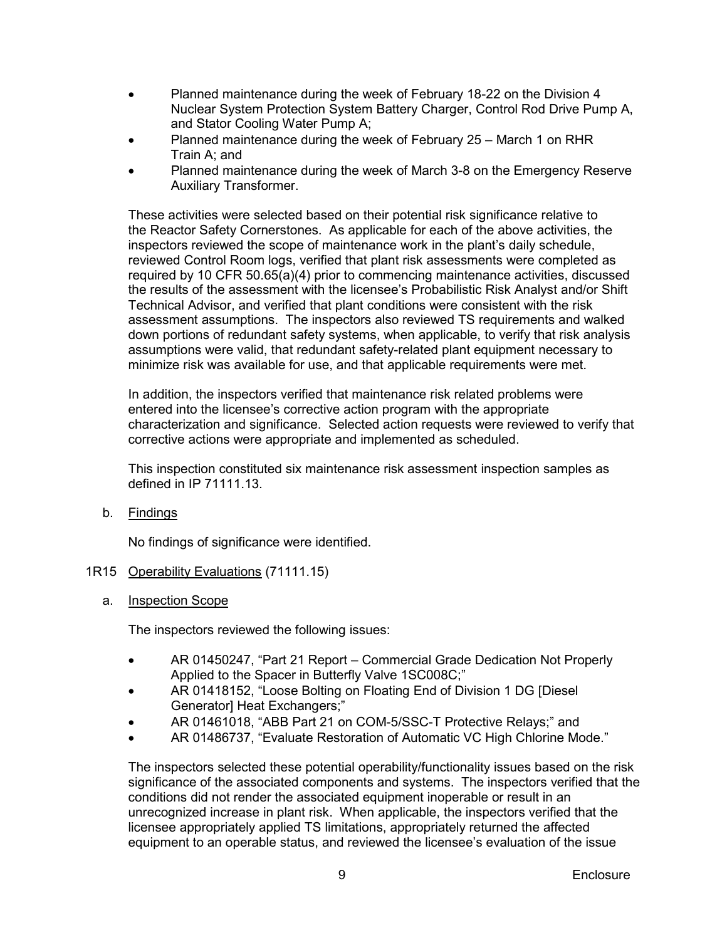- Planned maintenance during the week of February 18-22 on the Division 4 Nuclear System Protection System Battery Charger, Control Rod Drive Pump A, and Stator Cooling Water Pump A;
- Planned maintenance during the week of February 25 March 1 on RHR Train A; and
- Planned maintenance during the week of March 3-8 on the Emergency Reserve Auxiliary Transformer.

These activities were selected based on their potential risk significance relative to the Reactor Safety Cornerstones. As applicable for each of the above activities, the inspectors reviewed the scope of maintenance work in the plant's daily schedule, reviewed Control Room logs, verified that plant risk assessments were completed as required by 10 CFR 50.65(a)(4) prior to commencing maintenance activities, discussed the results of the assessment with the licensee's Probabilistic Risk Analyst and/or Shift Technical Advisor, and verified that plant conditions were consistent with the risk assessment assumptions. The inspectors also reviewed TS requirements and walked down portions of redundant safety systems, when applicable, to verify that risk analysis assumptions were valid, that redundant safety-related plant equipment necessary to minimize risk was available for use, and that applicable requirements were met.

In addition, the inspectors verified that maintenance risk related problems were entered into the licensee's corrective action program with the appropriate characterization and significance. Selected action requests were reviewed to verify that corrective actions were appropriate and implemented as scheduled.

This inspection constituted six maintenance risk assessment inspection samples as defined in IP 71111.13.

b. Findings

No findings of significance were identified.

- <span id="page-12-0"></span>1R15 Operability Evaluations (71111.15)
	- a. Inspection Scope

The inspectors reviewed the following issues:

- AR 01450247, "Part 21 Report Commercial Grade Dedication Not Properly Applied to the Spacer in Butterfly Valve 1SC008C;"
- AR 01418152, "Loose Bolting on Floating End of Division 1 DG [Diesel Generator] Heat Exchangers;"
- AR 01461018, "ABB Part 21 on COM-5/SSC-T Protective Relays;" and
- AR 01486737, "Evaluate Restoration of Automatic VC High Chlorine Mode."

The inspectors selected these potential operability/functionality issues based on the risk significance of the associated components and systems. The inspectors verified that the conditions did not render the associated equipment inoperable or result in an unrecognized increase in plant risk. When applicable, the inspectors verified that the licensee appropriately applied TS limitations, appropriately returned the affected equipment to an operable status, and reviewed the licensee's evaluation of the issue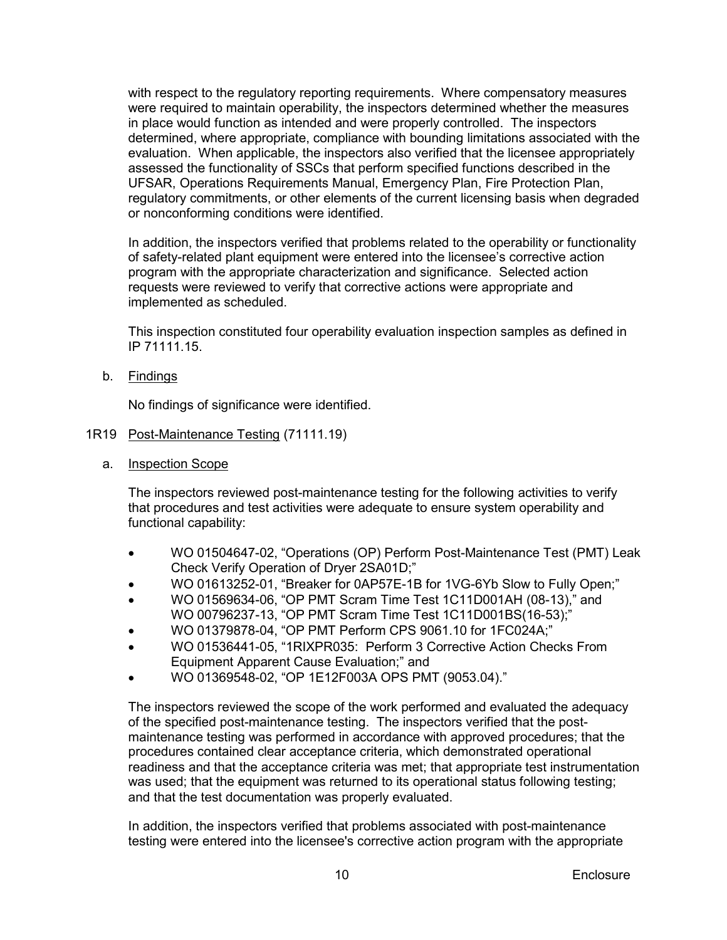with respect to the regulatory reporting requirements. Where compensatory measures were required to maintain operability, the inspectors determined whether the measures in place would function as intended and were properly controlled. The inspectors determined, where appropriate, compliance with bounding limitations associated with the evaluation. When applicable, the inspectors also verified that the licensee appropriately assessed the functionality of SSCs that perform specified functions described in the UFSAR, Operations Requirements Manual, Emergency Plan, Fire Protection Plan, regulatory commitments, or other elements of the current licensing basis when degraded or nonconforming conditions were identified.

In addition, the inspectors verified that problems related to the operability or functionality of safety-related plant equipment were entered into the licensee's corrective action program with the appropriate characterization and significance. Selected action requests were reviewed to verify that corrective actions were appropriate and implemented as scheduled.

This inspection constituted four operability evaluation inspection samples as defined in IP 71111.15.

b. Findings

No findings of significance were identified.

## <span id="page-13-0"></span>1R19 Post-Maintenance Testing (71111.19)

a. Inspection Scope

The inspectors reviewed post-maintenance testing for the following activities to verify that procedures and test activities were adequate to ensure system operability and functional capability:

- WO 01504647-02, "Operations (OP) Perform Post-Maintenance Test (PMT) Leak Check Verify Operation of Dryer 2SA01D;"
- WO 01613252-01, "Breaker for 0AP57E-1B for 1VG-6Yb Slow to Fully Open;"
- WO 01569634-06, "OP PMT Scram Time Test 1C11D001AH (08-13)," and WO 00796237-13, "OP PMT Scram Time Test 1C11D001BS(16-53);"
- WO 01379878-04, "OP PMT Perform CPS 9061.10 for 1FC024A;"
- WO 01536441-05, "1RIXPR035: Perform 3 Corrective Action Checks From Equipment Apparent Cause Evaluation;" and
- WO 01369548-02, "OP 1E12F003A OPS PMT (9053.04)."

The inspectors reviewed the scope of the work performed and evaluated the adequacy of the specified post-maintenance testing. The inspectors verified that the postmaintenance testing was performed in accordance with approved procedures; that the procedures contained clear acceptance criteria, which demonstrated operational readiness and that the acceptance criteria was met; that appropriate test instrumentation was used; that the equipment was returned to its operational status following testing; and that the test documentation was properly evaluated.

In addition, the inspectors verified that problems associated with post-maintenance testing were entered into the licensee's corrective action program with the appropriate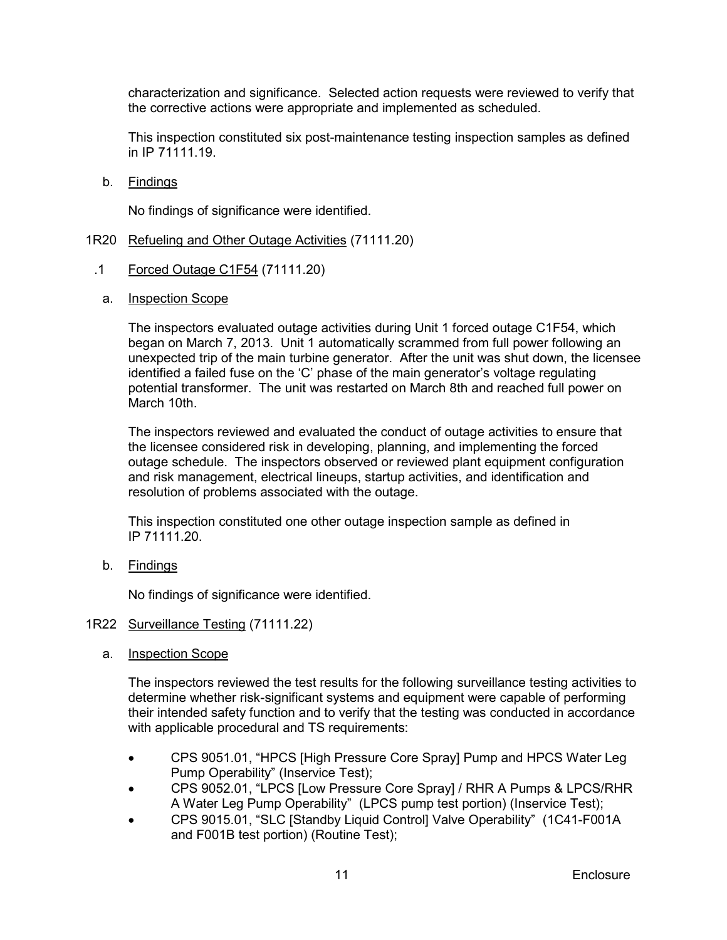characterization and significance. Selected action requests were reviewed to verify that the corrective actions were appropriate and implemented as scheduled.

This inspection constituted six post-maintenance testing inspection samples as defined in IP 71111.19.

b. Findings

No findings of significance were identified.

- <span id="page-14-0"></span>1R20 Refueling and Other Outage Activities (71111.20)
- .1 Forced Outage C1F54 (71111.20)
	- a. Inspection Scope

The inspectors evaluated outage activities during Unit 1 forced outage C1F54, which began on March 7, 2013. Unit 1 automatically scrammed from full power following an unexpected trip of the main turbine generator. After the unit was shut down, the licensee identified a failed fuse on the 'C' phase of the main generator's voltage regulating potential transformer. The unit was restarted on March 8th and reached full power on March 10th.

The inspectors reviewed and evaluated the conduct of outage activities to ensure that the licensee considered risk in developing, planning, and implementing the forced outage schedule. The inspectors observed or reviewed plant equipment configuration and risk management, electrical lineups, startup activities, and identification and resolution of problems associated with the outage.

This inspection constituted one other outage inspection sample as defined in IP 71111.20.

b. Findings

No findings of significance were identified.

#### <span id="page-14-1"></span>1R22 Surveillance Testing (71111.22)

a. Inspection Scope

The inspectors reviewed the test results for the following surveillance testing activities to determine whether risk-significant systems and equipment were capable of performing their intended safety function and to verify that the testing was conducted in accordance with applicable procedural and TS requirements:

- CPS 9051.01, "HPCS [High Pressure Core Spray] Pump and HPCS Water Leg Pump Operability" (Inservice Test);
- CPS 9052.01, "LPCS [Low Pressure Core Spray] / RHR A Pumps & LPCS/RHR A Water Leg Pump Operability" (LPCS pump test portion) (Inservice Test);
- CPS 9015.01, "SLC [Standby Liquid Control] Valve Operability" (1C41-F001A and F001B test portion) (Routine Test);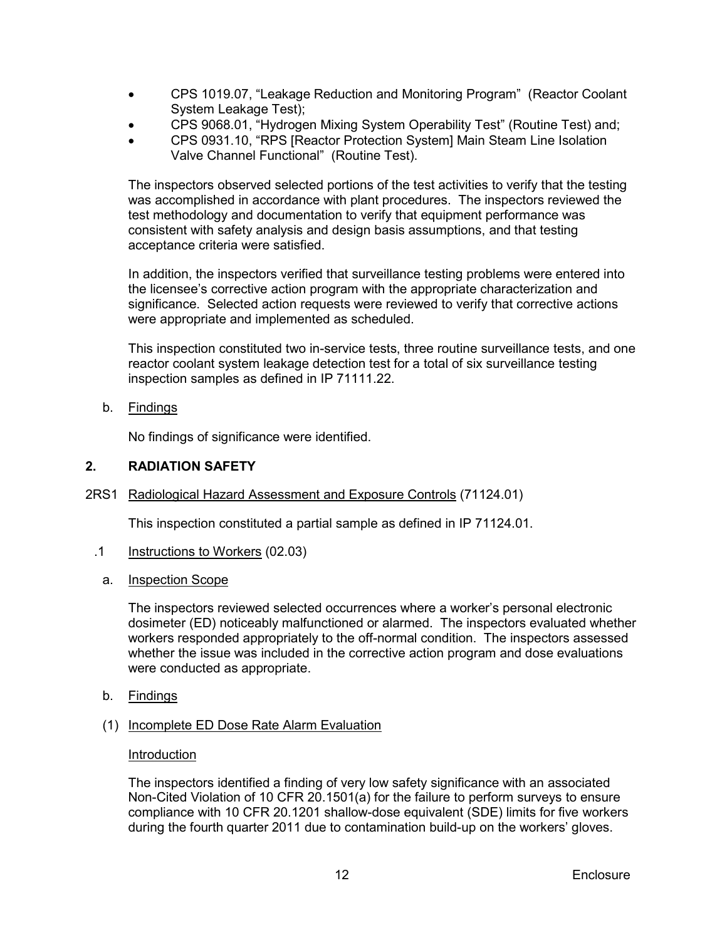- CPS 1019.07, "Leakage Reduction and Monitoring Program" (Reactor Coolant System Leakage Test);
- CPS 9068.01, "Hydrogen Mixing System Operability Test" (Routine Test) and;
- CPS 0931.10, "RPS [Reactor Protection System] Main Steam Line Isolation Valve Channel Functional" (Routine Test).

The inspectors observed selected portions of the test activities to verify that the testing was accomplished in accordance with plant procedures. The inspectors reviewed the test methodology and documentation to verify that equipment performance was consistent with safety analysis and design basis assumptions, and that testing acceptance criteria were satisfied.

In addition, the inspectors verified that surveillance testing problems were entered into the licensee's corrective action program with the appropriate characterization and significance. Selected action requests were reviewed to verify that corrective actions were appropriate and implemented as scheduled.

This inspection constituted two in-service tests, three routine surveillance tests, and one reactor coolant system leakage detection test for a total of six surveillance testing inspection samples as defined in IP 71111.22.

b. Findings

No findings of significance were identified.

## <span id="page-15-0"></span>**2. RADIATION SAFETY**

<span id="page-15-1"></span>2RS1 Radiological Hazard Assessment and Exposure Controls (71124.01)

This inspection constituted a partial sample as defined in IP 71124.01.

- .1 Instructions to Workers (02.03)
	- a. Inspection Scope

The inspectors reviewed selected occurrences where a worker's personal electronic dosimeter (ED) noticeably malfunctioned or alarmed. The inspectors evaluated whether workers responded appropriately to the off-normal condition. The inspectors assessed whether the issue was included in the corrective action program and dose evaluations were conducted as appropriate.

- b. Findings
- (1) Incomplete ED Dose Rate Alarm Evaluation

#### Introduction

The inspectors identified a finding of very low safety significance with an associated Non-Cited Violation of 10 CFR 20.1501(a) for the failure to perform surveys to ensure compliance with 10 CFR 20.1201 shallow-dose equivalent (SDE) limits for five workers during the fourth quarter 2011 due to contamination build-up on the workers' gloves.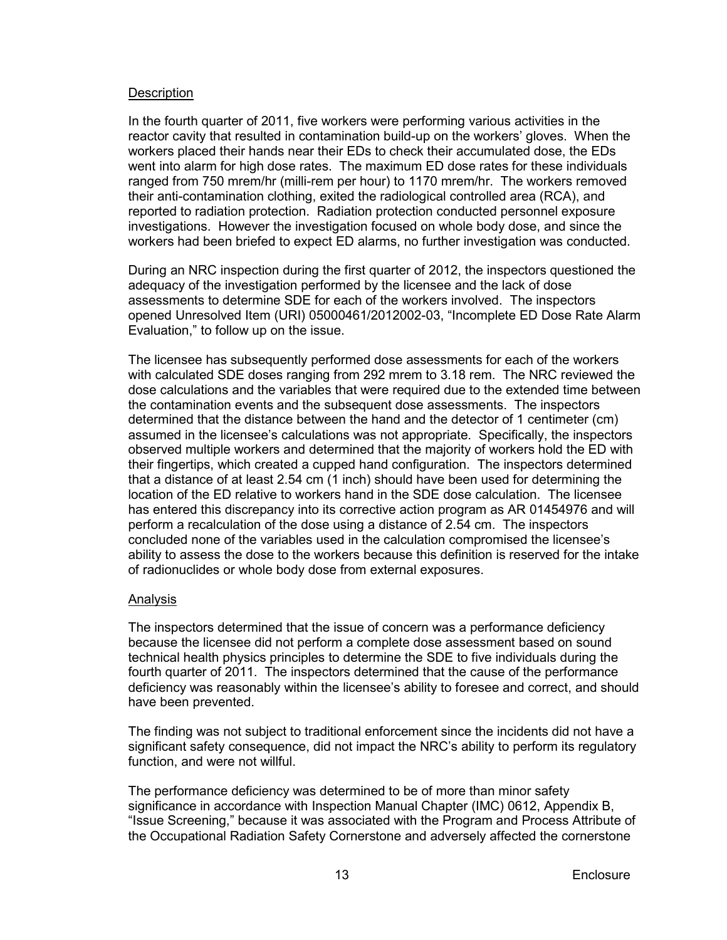#### **Description**

In the fourth quarter of 2011, five workers were performing various activities in the reactor cavity that resulted in contamination build-up on the workers' gloves. When the workers placed their hands near their EDs to check their accumulated dose, the EDs went into alarm for high dose rates. The maximum ED dose rates for these individuals ranged from 750 mrem/hr (milli-rem per hour) to 1170 mrem/hr. The workers removed their anti-contamination clothing, exited the radiological controlled area (RCA), and reported to radiation protection. Radiation protection conducted personnel exposure investigations. However the investigation focused on whole body dose, and since the workers had been briefed to expect ED alarms, no further investigation was conducted.

During an NRC inspection during the first quarter of 2012, the inspectors questioned the adequacy of the investigation performed by the licensee and the lack of dose assessments to determine SDE for each of the workers involved. The inspectors opened Unresolved Item (URI) 05000461/2012002-03, "Incomplete ED Dose Rate Alarm Evaluation," to follow up on the issue.

The licensee has subsequently performed dose assessments for each of the workers with calculated SDE doses ranging from 292 mrem to 3.18 rem. The NRC reviewed the dose calculations and the variables that were required due to the extended time between the contamination events and the subsequent dose assessments. The inspectors determined that the distance between the hand and the detector of 1 centimeter (cm) assumed in the licensee's calculations was not appropriate. Specifically, the inspectors observed multiple workers and determined that the majority of workers hold the ED with their fingertips, which created a cupped hand configuration. The inspectors determined that a distance of at least 2.54 cm (1 inch) should have been used for determining the location of the ED relative to workers hand in the SDE dose calculation. The licensee has entered this discrepancy into its corrective action program as AR 01454976 and will perform a recalculation of the dose using a distance of 2.54 cm. The inspectors concluded none of the variables used in the calculation compromised the licensee's ability to assess the dose to the workers because this definition is reserved for the intake of radionuclides or whole body dose from external exposures.

## Analysis

The inspectors determined that the issue of concern was a performance deficiency because the licensee did not perform a complete dose assessment based on sound technical health physics principles to determine the SDE to five individuals during the fourth quarter of 2011. The inspectors determined that the cause of the performance deficiency was reasonably within the licensee's ability to foresee and correct, and should have been prevented.

The finding was not subject to traditional enforcement since the incidents did not have a significant safety consequence, did not impact the NRC's ability to perform its regulatory function, and were not willful.

The performance deficiency was determined to be of more than minor safety significance in accordance with Inspection Manual Chapter (IMC) 0612, Appendix B, "Issue Screening," because it was associated with the Program and Process Attribute of the Occupational Radiation Safety Cornerstone and adversely affected the cornerstone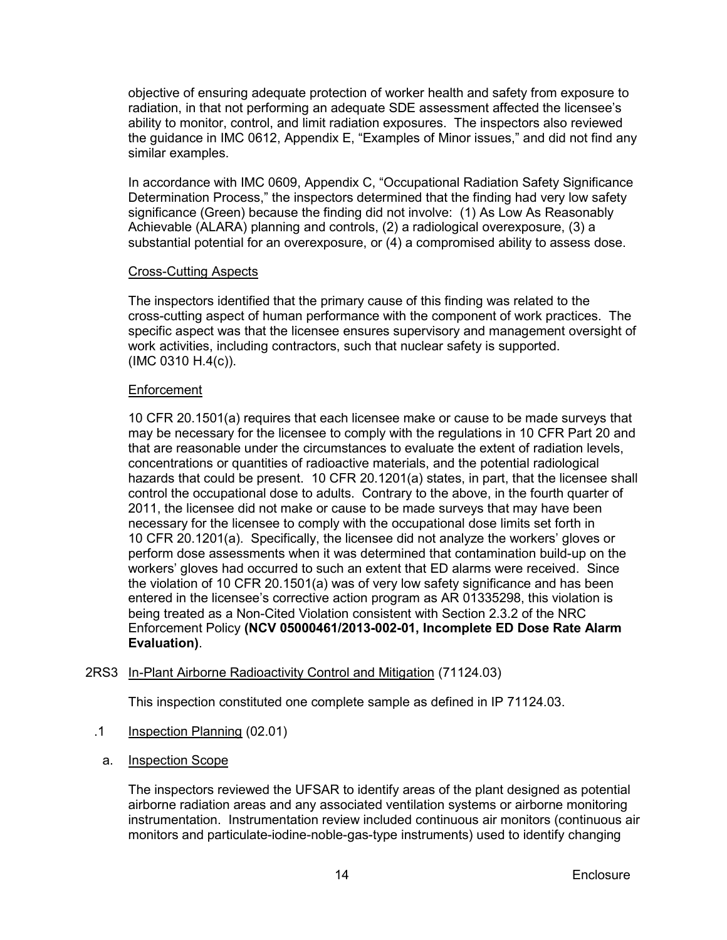objective of ensuring adequate protection of worker health and safety from exposure to radiation, in that not performing an adequate SDE assessment affected the licensee's ability to monitor, control, and limit radiation exposures. The inspectors also reviewed the guidance in IMC 0612, Appendix E, "Examples of Minor issues," and did not find any similar examples.

In accordance with IMC 0609, Appendix C, "Occupational Radiation Safety Significance Determination Process," the inspectors determined that the finding had very low safety significance (Green) because the finding did not involve: (1) As Low As Reasonably Achievable (ALARA) planning and controls, (2) a radiological overexposure, (3) a substantial potential for an overexposure, or (4) a compromised ability to assess dose.

## Cross-Cutting Aspects

The inspectors identified that the primary cause of this finding was related to the cross-cutting aspect of human performance with the component of work practices. The specific aspect was that the licensee ensures supervisory and management oversight of work activities, including contractors, such that nuclear safety is supported. (IMC 0310 H.4(c)).

## **Enforcement**

10 CFR 20.1501(a) requires that each licensee make or cause to be made surveys that may be necessary for the licensee to comply with the regulations in 10 CFR Part 20 and that are reasonable under the circumstances to evaluate the extent of radiation levels, concentrations or quantities of radioactive materials, and the potential radiological hazards that could be present. 10 CFR 20.1201(a) states, in part, that the licensee shall control the occupational dose to adults. Contrary to the above, in the fourth quarter of 2011, the licensee did not make or cause to be made surveys that may have been necessary for the licensee to comply with the occupational dose limits set forth in 10 CFR 20.1201(a). Specifically, the licensee did not analyze the workers' gloves or perform dose assessments when it was determined that contamination build-up on the workers' gloves had occurred to such an extent that ED alarms were received. Since the violation of 10 CFR 20.1501(a) was of very low safety significance and has been entered in the licensee's corrective action program as AR 01335298, this violation is being treated as a Non-Cited Violation consistent with Section 2.3.2 of the NRC Enforcement Policy **(NCV 05000461/2013-002-01, Incomplete ED Dose Rate Alarm Evaluation)**.

## <span id="page-17-0"></span>2RS3 In-Plant Airborne Radioactivity Control and Mitigation (71124.03)

This inspection constituted one complete sample as defined in IP 71124.03.

- .1 Inspection Planning (02.01)
	- a. Inspection Scope

The inspectors reviewed the UFSAR to identify areas of the plant designed as potential airborne radiation areas and any associated ventilation systems or airborne monitoring instrumentation. Instrumentation review included continuous air monitors (continuous air monitors and particulate-iodine-noble-gas-type instruments) used to identify changing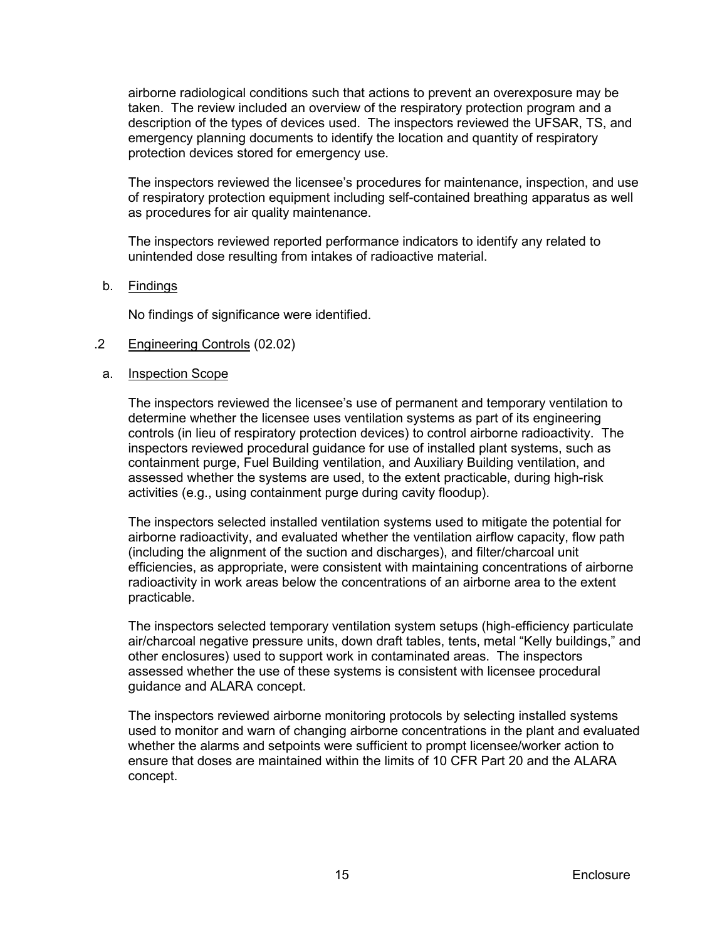airborne radiological conditions such that actions to prevent an overexposure may be taken. The review included an overview of the respiratory protection program and a description of the types of devices used. The inspectors reviewed the UFSAR, TS, and emergency planning documents to identify the location and quantity of respiratory protection devices stored for emergency use.

The inspectors reviewed the licensee's procedures for maintenance, inspection, and use of respiratory protection equipment including self-contained breathing apparatus as well as procedures for air quality maintenance.

The inspectors reviewed reported performance indicators to identify any related to unintended dose resulting from intakes of radioactive material.

#### b. Findings

No findings of significance were identified.

#### .2 Engineering Controls (02.02)

#### a. Inspection Scope

The inspectors reviewed the licensee's use of permanent and temporary ventilation to determine whether the licensee uses ventilation systems as part of its engineering controls (in lieu of respiratory protection devices) to control airborne radioactivity. The inspectors reviewed procedural guidance for use of installed plant systems, such as containment purge, Fuel Building ventilation, and Auxiliary Building ventilation, and assessed whether the systems are used, to the extent practicable, during high-risk activities (e.g., using containment purge during cavity floodup).

The inspectors selected installed ventilation systems used to mitigate the potential for airborne radioactivity, and evaluated whether the ventilation airflow capacity, flow path (including the alignment of the suction and discharges), and filter/charcoal unit efficiencies, as appropriate, were consistent with maintaining concentrations of airborne radioactivity in work areas below the concentrations of an airborne area to the extent practicable.

The inspectors selected temporary ventilation system setups (high-efficiency particulate air/charcoal negative pressure units, down draft tables, tents, metal "Kelly buildings," and other enclosures) used to support work in contaminated areas. The inspectors assessed whether the use of these systems is consistent with licensee procedural guidance and ALARA concept.

The inspectors reviewed airborne monitoring protocols by selecting installed systems used to monitor and warn of changing airborne concentrations in the plant and evaluated whether the alarms and setpoints were sufficient to prompt licensee/worker action to ensure that doses are maintained within the limits of 10 CFR Part 20 and the ALARA concept.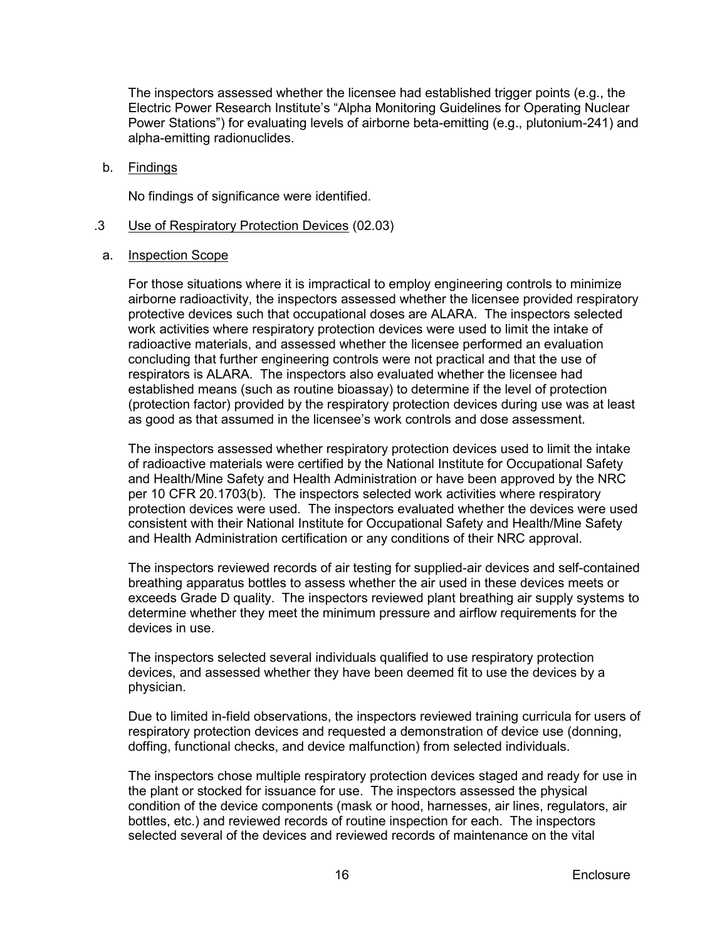The inspectors assessed whether the licensee had established trigger points (e.g., the Electric Power Research Institute's "Alpha Monitoring Guidelines for Operating Nuclear Power Stations") for evaluating levels of airborne beta-emitting (e.g., plutonium-241) and alpha-emitting radionuclides.

b. Findings

No findings of significance were identified.

- .3 Use of Respiratory Protection Devices (02.03)
- a. Inspection Scope

For those situations where it is impractical to employ engineering controls to minimize airborne radioactivity, the inspectors assessed whether the licensee provided respiratory protective devices such that occupational doses are ALARA. The inspectors selected work activities where respiratory protection devices were used to limit the intake of radioactive materials, and assessed whether the licensee performed an evaluation concluding that further engineering controls were not practical and that the use of respirators is ALARA. The inspectors also evaluated whether the licensee had established means (such as routine bioassay) to determine if the level of protection (protection factor) provided by the respiratory protection devices during use was at least as good as that assumed in the licensee's work controls and dose assessment.

The inspectors assessed whether respiratory protection devices used to limit the intake of radioactive materials were certified by the National Institute for Occupational Safety and Health/Mine Safety and Health Administration or have been approved by the NRC per 10 CFR 20.1703(b). The inspectors selected work activities where respiratory protection devices were used. The inspectors evaluated whether the devices were used consistent with their National Institute for Occupational Safety and Health/Mine Safety and Health Administration certification or any conditions of their NRC approval.

The inspectors reviewed records of air testing for supplied-air devices and self-contained breathing apparatus bottles to assess whether the air used in these devices meets or exceeds Grade D quality. The inspectors reviewed plant breathing air supply systems to determine whether they meet the minimum pressure and airflow requirements for the devices in use.

The inspectors selected several individuals qualified to use respiratory protection devices, and assessed whether they have been deemed fit to use the devices by a physician.

Due to limited in-field observations, the inspectors reviewed training curricula for users of respiratory protection devices and requested a demonstration of device use (donning, doffing, functional checks, and device malfunction) from selected individuals.

The inspectors chose multiple respiratory protection devices staged and ready for use in the plant or stocked for issuance for use. The inspectors assessed the physical condition of the device components (mask or hood, harnesses, air lines, regulators, air bottles, etc.) and reviewed records of routine inspection for each. The inspectors selected several of the devices and reviewed records of maintenance on the vital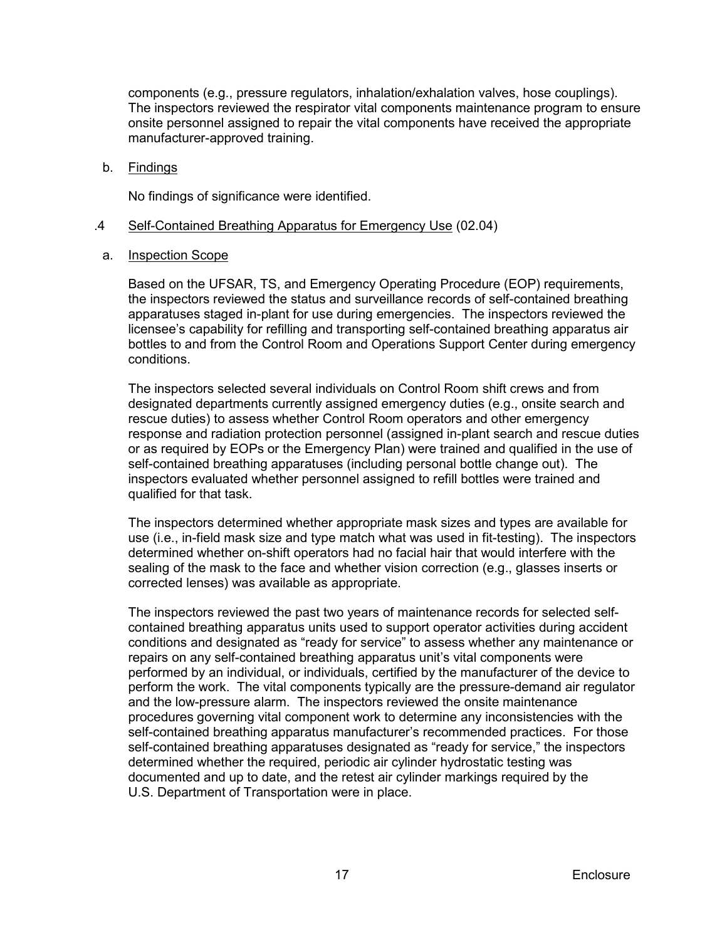components (e.g., pressure regulators, inhalation/exhalation valves, hose couplings). The inspectors reviewed the respirator vital components maintenance program to ensure onsite personnel assigned to repair the vital components have received the appropriate manufacturer-approved training.

b. Findings

No findings of significance were identified.

## .4 Self-Contained Breathing Apparatus for Emergency Use (02.04)

a. Inspection Scope

Based on the UFSAR, TS, and Emergency Operating Procedure (EOP) requirements, the inspectors reviewed the status and surveillance records of self-contained breathing apparatuses staged in-plant for use during emergencies. The inspectors reviewed the licensee's capability for refilling and transporting self-contained breathing apparatus air bottles to and from the Control Room and Operations Support Center during emergency conditions.

The inspectors selected several individuals on Control Room shift crews and from designated departments currently assigned emergency duties (e.g., onsite search and rescue duties) to assess whether Control Room operators and other emergency response and radiation protection personnel (assigned in-plant search and rescue duties or as required by EOPs or the Emergency Plan) were trained and qualified in the use of self-contained breathing apparatuses (including personal bottle change out). The inspectors evaluated whether personnel assigned to refill bottles were trained and qualified for that task.

The inspectors determined whether appropriate mask sizes and types are available for use (i.e., in-field mask size and type match what was used in fit-testing). The inspectors determined whether on-shift operators had no facial hair that would interfere with the sealing of the mask to the face and whether vision correction (e.g., glasses inserts or corrected lenses) was available as appropriate.

The inspectors reviewed the past two years of maintenance records for selected selfcontained breathing apparatus units used to support operator activities during accident conditions and designated as "ready for service" to assess whether any maintenance or repairs on any self-contained breathing apparatus unit's vital components were performed by an individual, or individuals, certified by the manufacturer of the device to perform the work. The vital components typically are the pressure-demand air regulator and the low-pressure alarm. The inspectors reviewed the onsite maintenance procedures governing vital component work to determine any inconsistencies with the self-contained breathing apparatus manufacturer's recommended practices. For those self-contained breathing apparatuses designated as "ready for service," the inspectors determined whether the required, periodic air cylinder hydrostatic testing was documented and up to date, and the retest air cylinder markings required by the U.S. Department of Transportation were in place.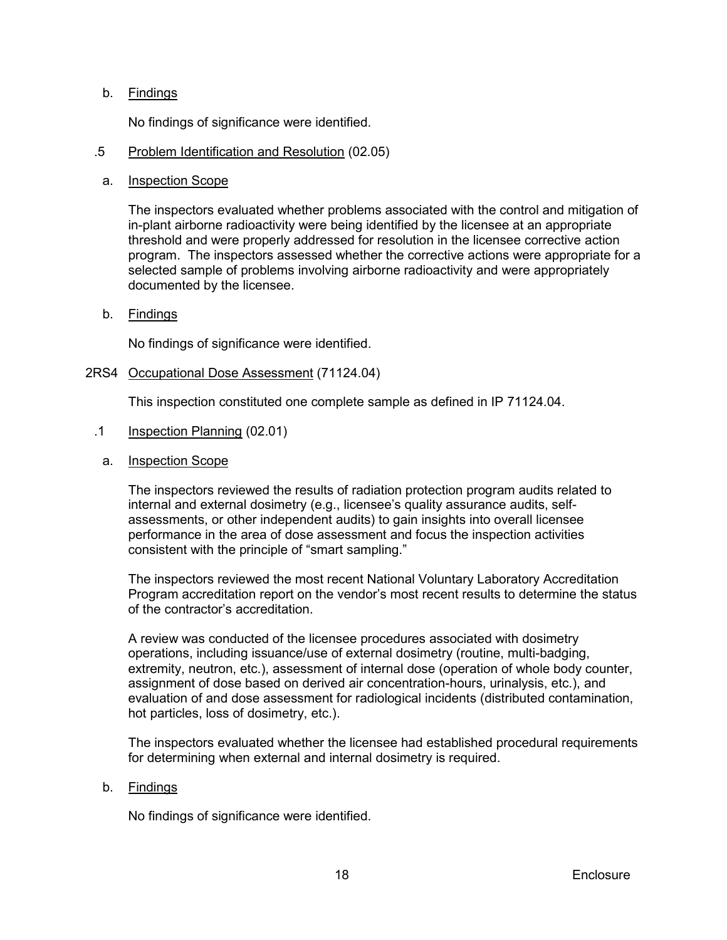## b. Findings

No findings of significance were identified.

## .5 Problem Identification and Resolution (02.05)

### a. Inspection Scope

The inspectors evaluated whether problems associated with the control and mitigation of in-plant airborne radioactivity were being identified by the licensee at an appropriate threshold and were properly addressed for resolution in the licensee corrective action program. The inspectors assessed whether the corrective actions were appropriate for a selected sample of problems involving airborne radioactivity and were appropriately documented by the licensee.

#### b. Findings

No findings of significance were identified.

## <span id="page-21-0"></span>2RS4 Occupational Dose Assessment (71124.04)

This inspection constituted one complete sample as defined in IP 71124.04.

- .1 Inspection Planning (02.01)
	- a. Inspection Scope

The inspectors reviewed the results of radiation protection program audits related to internal and external dosimetry (e.g., licensee's quality assurance audits, selfassessments, or other independent audits) to gain insights into overall licensee performance in the area of dose assessment and focus the inspection activities consistent with the principle of "smart sampling."

The inspectors reviewed the most recent National Voluntary Laboratory Accreditation Program accreditation report on the vendor's most recent results to determine the status of the contractor's accreditation.

A review was conducted of the licensee procedures associated with dosimetry operations, including issuance/use of external dosimetry (routine, multi-badging, extremity, neutron, etc.), assessment of internal dose (operation of whole body counter, assignment of dose based on derived air concentration-hours, urinalysis, etc.), and evaluation of and dose assessment for radiological incidents (distributed contamination, hot particles, loss of dosimetry, etc.).

The inspectors evaluated whether the licensee had established procedural requirements for determining when external and internal dosimetry is required.

#### b. Findings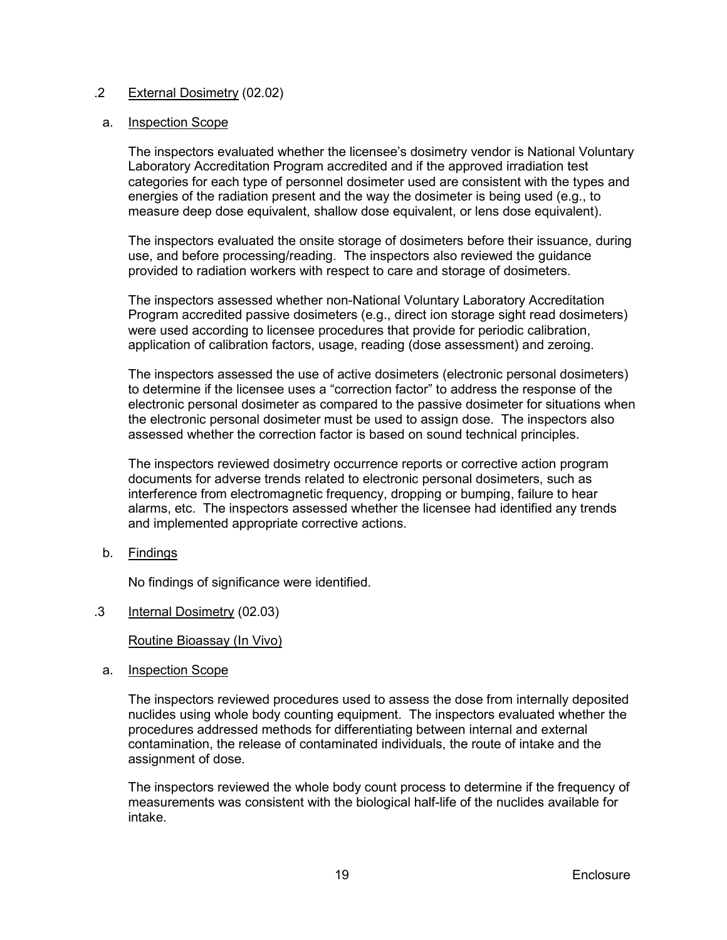## .2 External Dosimetry (02.02)

#### a. Inspection Scope

The inspectors evaluated whether the licensee's dosimetry vendor is National Voluntary Laboratory Accreditation Program accredited and if the approved irradiation test categories for each type of personnel dosimeter used are consistent with the types and energies of the radiation present and the way the dosimeter is being used (e.g., to measure deep dose equivalent, shallow dose equivalent, or lens dose equivalent).

The inspectors evaluated the onsite storage of dosimeters before their issuance, during use, and before processing/reading. The inspectors also reviewed the guidance provided to radiation workers with respect to care and storage of dosimeters.

The inspectors assessed whether non-National Voluntary Laboratory Accreditation Program accredited passive dosimeters (e.g., direct ion storage sight read dosimeters) were used according to licensee procedures that provide for periodic calibration, application of calibration factors, usage, reading (dose assessment) and zeroing.

The inspectors assessed the use of active dosimeters (electronic personal dosimeters) to determine if the licensee uses a "correction factor" to address the response of the electronic personal dosimeter as compared to the passive dosimeter for situations when the electronic personal dosimeter must be used to assign dose. The inspectors also assessed whether the correction factor is based on sound technical principles.

The inspectors reviewed dosimetry occurrence reports or corrective action program documents for adverse trends related to electronic personal dosimeters, such as interference from electromagnetic frequency, dropping or bumping, failure to hear alarms, etc. The inspectors assessed whether the licensee had identified any trends and implemented appropriate corrective actions.

b. Findings

No findings of significance were identified.

.3 Internal Dosimetry (02.03)

Routine Bioassay (In Vivo)

a. Inspection Scope

The inspectors reviewed procedures used to assess the dose from internally deposited nuclides using whole body counting equipment. The inspectors evaluated whether the procedures addressed methods for differentiating between internal and external contamination, the release of contaminated individuals, the route of intake and the assignment of dose.

The inspectors reviewed the whole body count process to determine if the frequency of measurements was consistent with the biological half-life of the nuclides available for intake.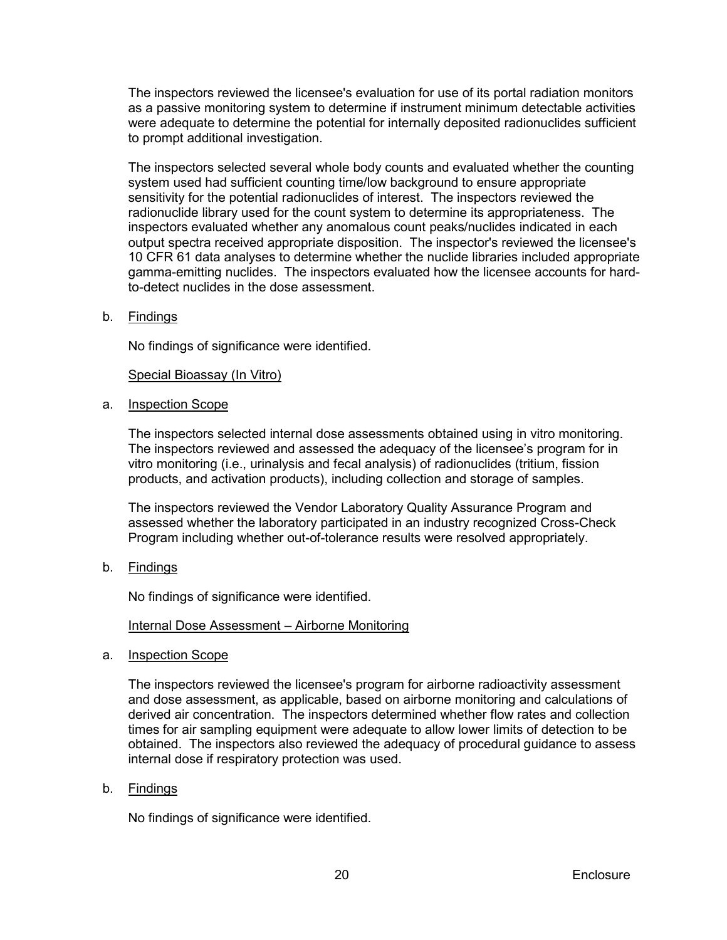The inspectors reviewed the licensee's evaluation for use of its portal radiation monitors as a passive monitoring system to determine if instrument minimum detectable activities were adequate to determine the potential for internally deposited radionuclides sufficient to prompt additional investigation.

The inspectors selected several whole body counts and evaluated whether the counting system used had sufficient counting time/low background to ensure appropriate sensitivity for the potential radionuclides of interest. The inspectors reviewed the radionuclide library used for the count system to determine its appropriateness. The inspectors evaluated whether any anomalous count peaks/nuclides indicated in each output spectra received appropriate disposition. The inspector's reviewed the licensee's 10 CFR 61 data analyses to determine whether the nuclide libraries included appropriate gamma-emitting nuclides. The inspectors evaluated how the licensee accounts for hardto-detect nuclides in the dose assessment.

b. Findings

No findings of significance were identified.

## Special Bioassay (In Vitro)

a. Inspection Scope

The inspectors selected internal dose assessments obtained using in vitro monitoring. The inspectors reviewed and assessed the adequacy of the licensee's program for in vitro monitoring (i.e., urinalysis and fecal analysis) of radionuclides (tritium, fission products, and activation products), including collection and storage of samples.

The inspectors reviewed the Vendor Laboratory Quality Assurance Program and assessed whether the laboratory participated in an industry recognized Cross-Check Program including whether out-of-tolerance results were resolved appropriately.

b. Findings

No findings of significance were identified.

#### Internal Dose Assessment – Airborne Monitoring

a. Inspection Scope

The inspectors reviewed the licensee's program for airborne radioactivity assessment and dose assessment, as applicable, based on airborne monitoring and calculations of derived air concentration. The inspectors determined whether flow rates and collection times for air sampling equipment were adequate to allow lower limits of detection to be obtained. The inspectors also reviewed the adequacy of procedural guidance to assess internal dose if respiratory protection was used.

b. Findings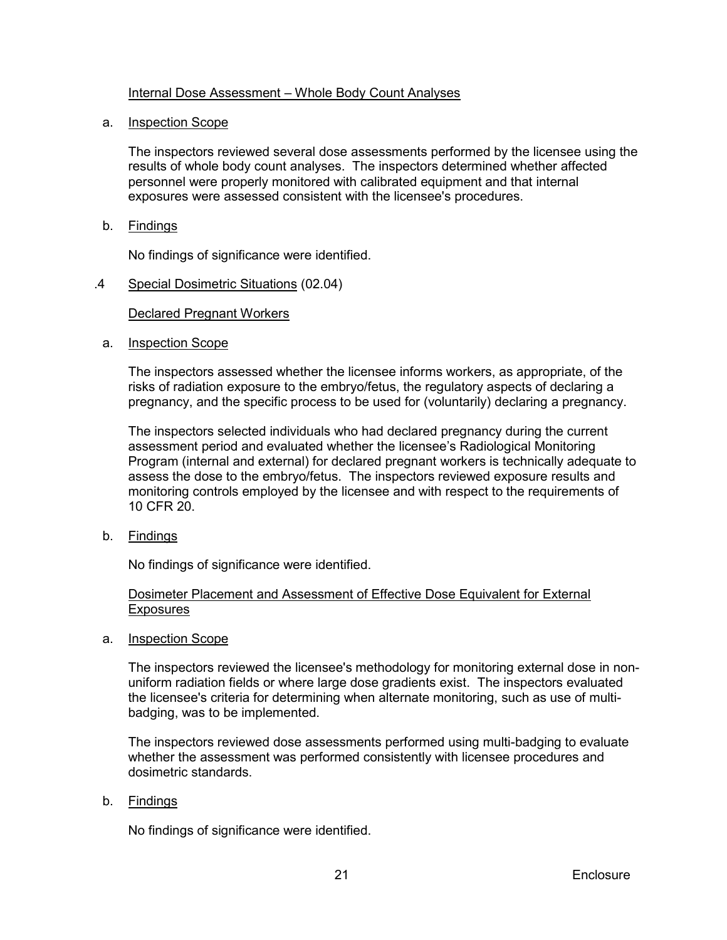## Internal Dose Assessment – Whole Body Count Analyses

### a. Inspection Scope

The inspectors reviewed several dose assessments performed by the licensee using the results of whole body count analyses. The inspectors determined whether affected personnel were properly monitored with calibrated equipment and that internal exposures were assessed consistent with the licensee's procedures.

b. Findings

No findings of significance were identified.

.4 Special Dosimetric Situations (02.04)

## Declared Pregnant Workers

a. Inspection Scope

The inspectors assessed whether the licensee informs workers, as appropriate, of the risks of radiation exposure to the embryo/fetus, the regulatory aspects of declaring a pregnancy, and the specific process to be used for (voluntarily) declaring a pregnancy.

The inspectors selected individuals who had declared pregnancy during the current assessment period and evaluated whether the licensee's Radiological Monitoring Program (internal and external) for declared pregnant workers is technically adequate to assess the dose to the embryo/fetus. The inspectors reviewed exposure results and monitoring controls employed by the licensee and with respect to the requirements of 10 CFR 20.

b. Findings

No findings of significance were identified.

## Dosimeter Placement and Assessment of Effective Dose Equivalent for External **Exposures**

a. Inspection Scope

The inspectors reviewed the licensee's methodology for monitoring external dose in nonuniform radiation fields or where large dose gradients exist. The inspectors evaluated the licensee's criteria for determining when alternate monitoring, such as use of multibadging, was to be implemented.

The inspectors reviewed dose assessments performed using multi-badging to evaluate whether the assessment was performed consistently with licensee procedures and dosimetric standards.

b. Findings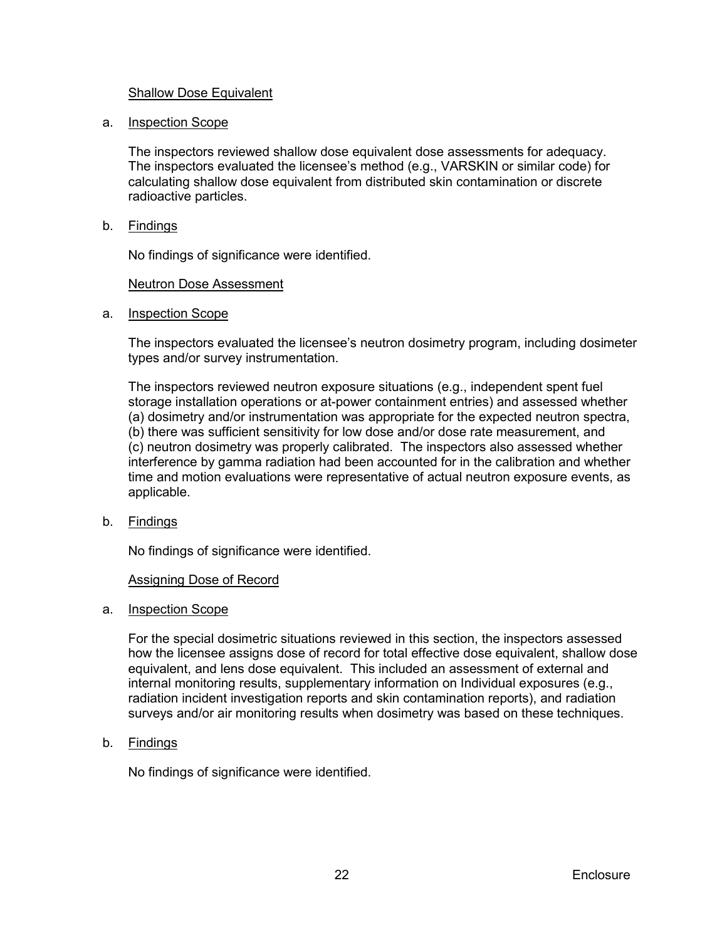## Shallow Dose Equivalent

a. Inspection Scope

The inspectors reviewed shallow dose equivalent dose assessments for adequacy. The inspectors evaluated the licensee's method (e.g., VARSKIN or similar code) for calculating shallow dose equivalent from distributed skin contamination or discrete radioactive particles.

b. Findings

No findings of significance were identified.

## Neutron Dose Assessment

a. Inspection Scope

The inspectors evaluated the licensee's neutron dosimetry program, including dosimeter types and/or survey instrumentation.

The inspectors reviewed neutron exposure situations (e.g., independent spent fuel storage installation operations or at-power containment entries) and assessed whether (a) dosimetry and/or instrumentation was appropriate for the expected neutron spectra, (b) there was sufficient sensitivity for low dose and/or dose rate measurement, and (c) neutron dosimetry was properly calibrated. The inspectors also assessed whether interference by gamma radiation had been accounted for in the calibration and whether time and motion evaluations were representative of actual neutron exposure events, as applicable.

b. Findings

No findings of significance were identified.

#### **Assigning Dose of Record**

a. Inspection Scope

For the special dosimetric situations reviewed in this section, the inspectors assessed how the licensee assigns dose of record for total effective dose equivalent, shallow dose equivalent, and lens dose equivalent. This included an assessment of external and internal monitoring results, supplementary information on Individual exposures (e.g., radiation incident investigation reports and skin contamination reports), and radiation surveys and/or air monitoring results when dosimetry was based on these techniques.

b. Findings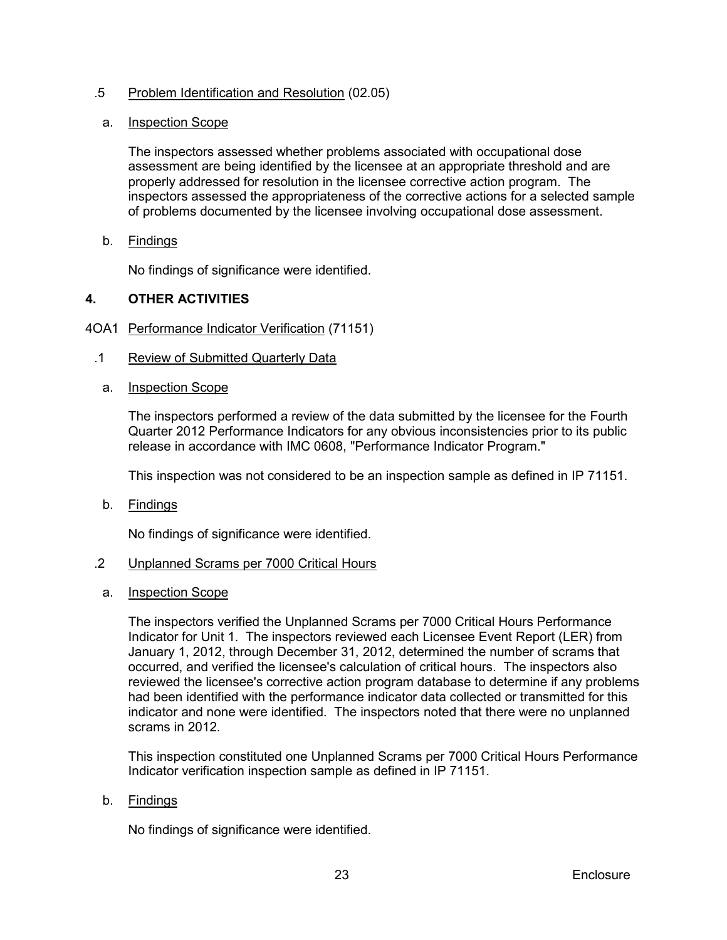## .5 Problem Identification and Resolution (02.05)

## a. Inspection Scope

The inspectors assessed whether problems associated with occupational dose assessment are being identified by the licensee at an appropriate threshold and are properly addressed for resolution in the licensee corrective action program. The inspectors assessed the appropriateness of the corrective actions for a selected sample of problems documented by the licensee involving occupational dose assessment.

## b. Findings

No findings of significance were identified.

## <span id="page-26-0"></span>**4. OTHER ACTIVITIES**

## <span id="page-26-1"></span>4OA1 Performance Indicator Verification (71151)

- .1 Review of Submitted Quarterly Data
	- a. Inspection Scope

The inspectors performed a review of the data submitted by the licensee for the Fourth Quarter 2012 Performance Indicators for any obvious inconsistencies prior to its public release in accordance with IMC 0608, "Performance Indicator Program."

This inspection was not considered to be an inspection sample as defined in IP 71151.

b. Findings

No findings of significance were identified.

## .2 Unplanned Scrams per 7000 Critical Hours

a. Inspection Scope

The inspectors verified the Unplanned Scrams per 7000 Critical Hours Performance Indicator for Unit 1. The inspectors reviewed each Licensee Event Report (LER) from January 1, 2012, through December 31, 2012, determined the number of scrams that occurred, and verified the licensee's calculation of critical hours. The inspectors also reviewed the licensee's corrective action program database to determine if any problems had been identified with the performance indicator data collected or transmitted for this indicator and none were identified. The inspectors noted that there were no unplanned scrams in 2012.

This inspection constituted one Unplanned Scrams per 7000 Critical Hours Performance Indicator verification inspection sample as defined in IP 71151.

#### b. Findings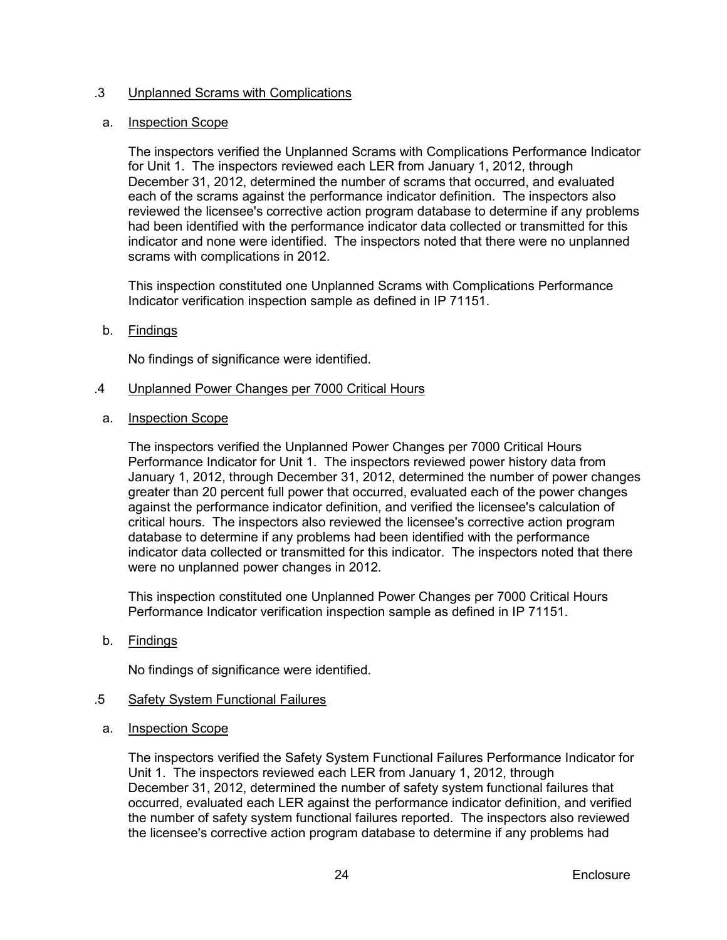## .3 Unplanned Scrams with Complications

## a. Inspection Scope

The inspectors verified the Unplanned Scrams with Complications Performance Indicator for Unit 1. The inspectors reviewed each LER from January 1, 2012, through December 31, 2012, determined the number of scrams that occurred, and evaluated each of the scrams against the performance indicator definition. The inspectors also reviewed the licensee's corrective action program database to determine if any problems had been identified with the performance indicator data collected or transmitted for this indicator and none were identified. The inspectors noted that there were no unplanned scrams with complications in 2012.

This inspection constituted one Unplanned Scrams with Complications Performance Indicator verification inspection sample as defined in IP 71151.

## b. Findings

No findings of significance were identified.

#### .4 Unplanned Power Changes per 7000 Critical Hours

a. Inspection Scope

The inspectors verified the Unplanned Power Changes per 7000 Critical Hours Performance Indicator for Unit 1. The inspectors reviewed power history data from January 1, 2012, through December 31, 2012, determined the number of power changes greater than 20 percent full power that occurred, evaluated each of the power changes against the performance indicator definition, and verified the licensee's calculation of critical hours. The inspectors also reviewed the licensee's corrective action program database to determine if any problems had been identified with the performance indicator data collected or transmitted for this indicator. The inspectors noted that there were no unplanned power changes in 2012.

This inspection constituted one Unplanned Power Changes per 7000 Critical Hours Performance Indicator verification inspection sample as defined in IP 71151.

b. Findings

No findings of significance were identified.

## .5 Safety System Functional Failures

a. Inspection Scope

The inspectors verified the Safety System Functional Failures Performance Indicator for Unit 1. The inspectors reviewed each LER from January 1, 2012, through December 31, 2012, determined the number of safety system functional failures that occurred, evaluated each LER against the performance indicator definition, and verified the number of safety system functional failures reported. The inspectors also reviewed the licensee's corrective action program database to determine if any problems had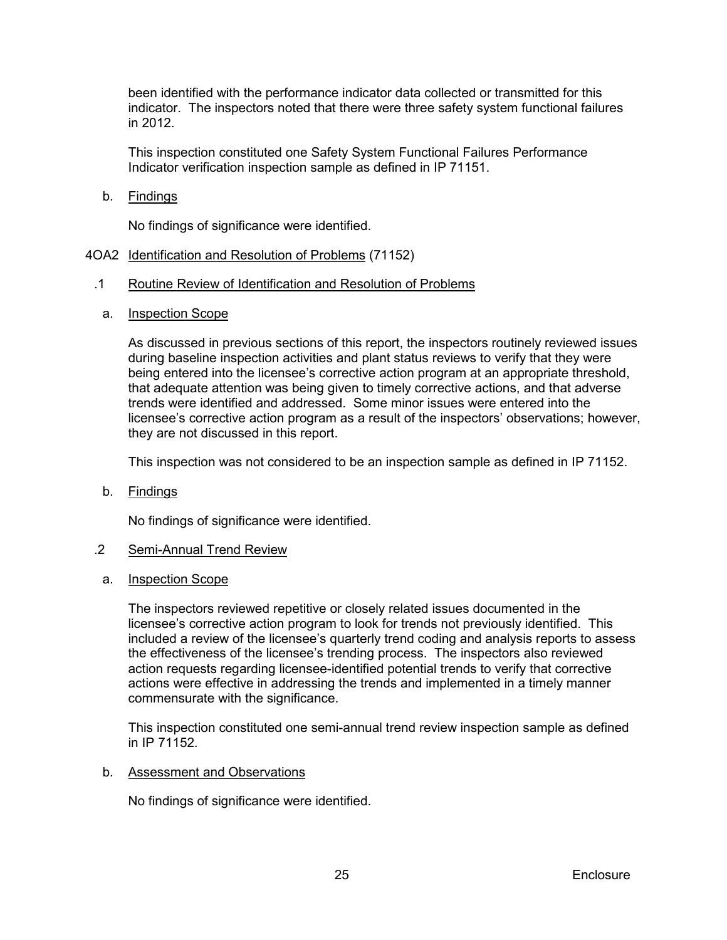been identified with the performance indicator data collected or transmitted for this indicator. The inspectors noted that there were three safety system functional failures in 2012.

This inspection constituted one Safety System Functional Failures Performance Indicator verification inspection sample as defined in IP 71151.

b. Findings

No findings of significance were identified.

#### <span id="page-28-0"></span>4OA2 Identification and Resolution of Problems (71152)

#### .1 Routine Review of Identification and Resolution of Problems

a. Inspection Scope

As discussed in previous sections of this report, the inspectors routinely reviewed issues during baseline inspection activities and plant status reviews to verify that they were being entered into the licensee's corrective action program at an appropriate threshold, that adequate attention was being given to timely corrective actions, and that adverse trends were identified and addressed. Some minor issues were entered into the licensee's corrective action program as a result of the inspectors' observations; however, they are not discussed in this report.

This inspection was not considered to be an inspection sample as defined in IP 71152.

b. Findings

No findings of significance were identified.

#### .2 Semi-Annual Trend Review

a. Inspection Scope

The inspectors reviewed repetitive or closely related issues documented in the licensee's corrective action program to look for trends not previously identified. This included a review of the licensee's quarterly trend coding and analysis reports to assess the effectiveness of the licensee's trending process. The inspectors also reviewed action requests regarding licensee-identified potential trends to verify that corrective actions were effective in addressing the trends and implemented in a timely manner commensurate with the significance.

This inspection constituted one semi-annual trend review inspection sample as defined in IP 71152.

#### b. Assessment and Observations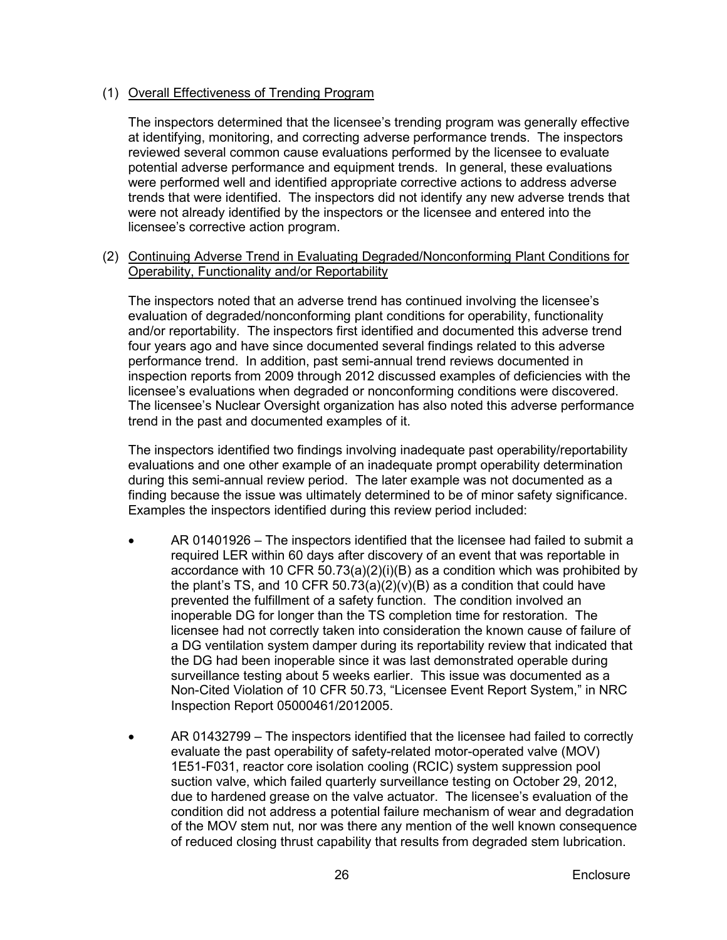## (1) Overall Effectiveness of Trending Program

The inspectors determined that the licensee's trending program was generally effective at identifying, monitoring, and correcting adverse performance trends. The inspectors reviewed several common cause evaluations performed by the licensee to evaluate potential adverse performance and equipment trends. In general, these evaluations were performed well and identified appropriate corrective actions to address adverse trends that were identified. The inspectors did not identify any new adverse trends that were not already identified by the inspectors or the licensee and entered into the licensee's corrective action program.

(2) Continuing Adverse Trend in Evaluating Degraded/Nonconforming Plant Conditions for Operability, Functionality and/or Reportability

The inspectors noted that an adverse trend has continued involving the licensee's evaluation of degraded/nonconforming plant conditions for operability, functionality and/or reportability. The inspectors first identified and documented this adverse trend four years ago and have since documented several findings related to this adverse performance trend. In addition, past semi-annual trend reviews documented in inspection reports from 2009 through 2012 discussed examples of deficiencies with the licensee's evaluations when degraded or nonconforming conditions were discovered. The licensee's Nuclear Oversight organization has also noted this adverse performance trend in the past and documented examples of it.

The inspectors identified two findings involving inadequate past operability/reportability evaluations and one other example of an inadequate prompt operability determination during this semi-annual review period. The later example was not documented as a finding because the issue was ultimately determined to be of minor safety significance. Examples the inspectors identified during this review period included:

- AR 01401926 The inspectors identified that the licensee had failed to submit a required LER within 60 days after discovery of an event that was reportable in accordance with 10 CFR 50.73(a)(2)(i)(B) as a condition which was prohibited by the plant's TS, and 10 CFR  $50.73(a)(2)(v)(B)$  as a condition that could have prevented the fulfillment of a safety function. The condition involved an inoperable DG for longer than the TS completion time for restoration. The licensee had not correctly taken into consideration the known cause of failure of a DG ventilation system damper during its reportability review that indicated that the DG had been inoperable since it was last demonstrated operable during surveillance testing about 5 weeks earlier. This issue was documented as a Non-Cited Violation of 10 CFR 50.73, "Licensee Event Report System," in NRC Inspection Report 05000461/2012005.
- AR 01432799 The inspectors identified that the licensee had failed to correctly evaluate the past operability of safety-related motor-operated valve (MOV) 1E51-F031, reactor core isolation cooling (RCIC) system suppression pool suction valve, which failed quarterly surveillance testing on October 29, 2012, due to hardened grease on the valve actuator. The licensee's evaluation of the condition did not address a potential failure mechanism of wear and degradation of the MOV stem nut, nor was there any mention of the well known consequence of reduced closing thrust capability that results from degraded stem lubrication.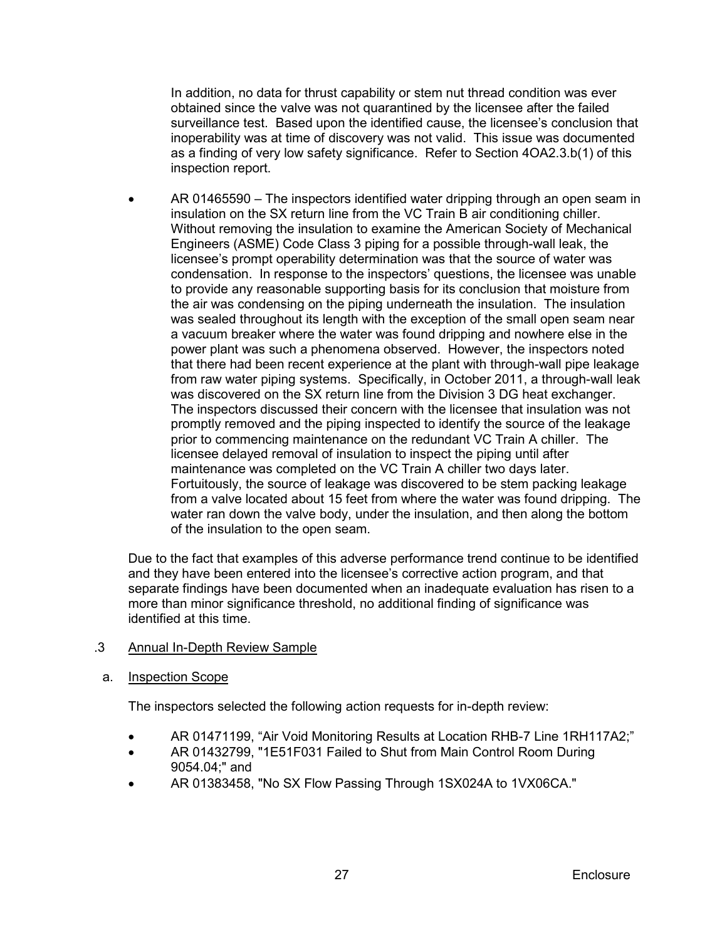In addition, no data for thrust capability or stem nut thread condition was ever obtained since the valve was not quarantined by the licensee after the failed surveillance test. Based upon the identified cause, the licensee's conclusion that inoperability was at time of discovery was not valid. This issue was documented as a finding of very low safety significance. Refer to Section 4OA2.3.b(1) of this inspection report.

• AR 01465590 – The inspectors identified water dripping through an open seam in insulation on the SX return line from the VC Train B air conditioning chiller. Without removing the insulation to examine the American Society of Mechanical Engineers (ASME) Code Class 3 piping for a possible through-wall leak, the licensee's prompt operability determination was that the source of water was condensation. In response to the inspectors' questions, the licensee was unable to provide any reasonable supporting basis for its conclusion that moisture from the air was condensing on the piping underneath the insulation. The insulation was sealed throughout its length with the exception of the small open seam near a vacuum breaker where the water was found dripping and nowhere else in the power plant was such a phenomena observed. However, the inspectors noted that there had been recent experience at the plant with through-wall pipe leakage from raw water piping systems. Specifically, in October 2011, a through-wall leak was discovered on the SX return line from the Division 3 DG heat exchanger. The inspectors discussed their concern with the licensee that insulation was not promptly removed and the piping inspected to identify the source of the leakage prior to commencing maintenance on the redundant VC Train A chiller. The licensee delayed removal of insulation to inspect the piping until after maintenance was completed on the VC Train A chiller two days later. Fortuitously, the source of leakage was discovered to be stem packing leakage from a valve located about 15 feet from where the water was found dripping. The water ran down the valve body, under the insulation, and then along the bottom of the insulation to the open seam.

Due to the fact that examples of this adverse performance trend continue to be identified and they have been entered into the licensee's corrective action program, and that separate findings have been documented when an inadequate evaluation has risen to a more than minor significance threshold, no additional finding of significance was identified at this time.

## .3 Annual In-Depth Review Sample

## a. Inspection Scope

The inspectors selected the following action requests for in-depth review:

- AR 01471199, "Air Void Monitoring Results at Location RHB-7 Line 1RH117A2;"
- AR 01432799, "1E51F031 Failed to Shut from Main Control Room During 9054.04;" and
- AR 01383458, "No SX Flow Passing Through 1SX024A to 1VX06CA."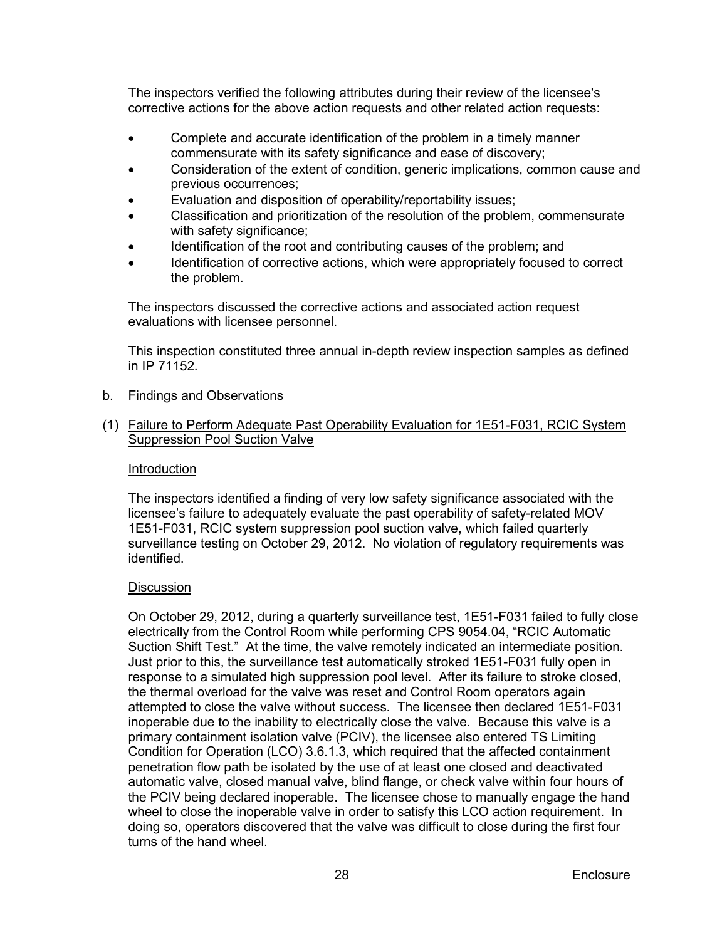The inspectors verified the following attributes during their review of the licensee's corrective actions for the above action requests and other related action requests:

- Complete and accurate identification of the problem in a timely manner commensurate with its safety significance and ease of discovery;
- Consideration of the extent of condition, generic implications, common cause and previous occurrences;
- Evaluation and disposition of operability/reportability issues;
- Classification and prioritization of the resolution of the problem, commensurate with safety significance;
- Identification of the root and contributing causes of the problem; and
- Identification of corrective actions, which were appropriately focused to correct the problem.

The inspectors discussed the corrective actions and associated action request evaluations with licensee personnel.

This inspection constituted three annual in-depth review inspection samples as defined in IP 71152.

#### b. Findings and Observations

## (1) Failure to Perform Adequate Past Operability Evaluation for 1E51-F031, RCIC System Suppression Pool Suction Valve

#### Introduction

The inspectors identified a finding of very low safety significance associated with the licensee's failure to adequately evaluate the past operability of safety-related MOV 1E51-F031, RCIC system suppression pool suction valve, which failed quarterly surveillance testing on October 29, 2012. No violation of regulatory requirements was identified.

#### **Discussion**

On October 29, 2012, during a quarterly surveillance test, 1E51-F031 failed to fully close electrically from the Control Room while performing CPS 9054.04, "RCIC Automatic Suction Shift Test." At the time, the valve remotely indicated an intermediate position. Just prior to this, the surveillance test automatically stroked 1E51-F031 fully open in response to a simulated high suppression pool level. After its failure to stroke closed, the thermal overload for the valve was reset and Control Room operators again attempted to close the valve without success. The licensee then declared 1E51-F031 inoperable due to the inability to electrically close the valve. Because this valve is a primary containment isolation valve (PCIV), the licensee also entered TS Limiting Condition for Operation (LCO) 3.6.1.3, which required that the affected containment penetration flow path be isolated by the use of at least one closed and deactivated automatic valve, closed manual valve, blind flange, or check valve within four hours of the PCIV being declared inoperable. The licensee chose to manually engage the hand wheel to close the inoperable valve in order to satisfy this LCO action requirement. In doing so, operators discovered that the valve was difficult to close during the first four turns of the hand wheel.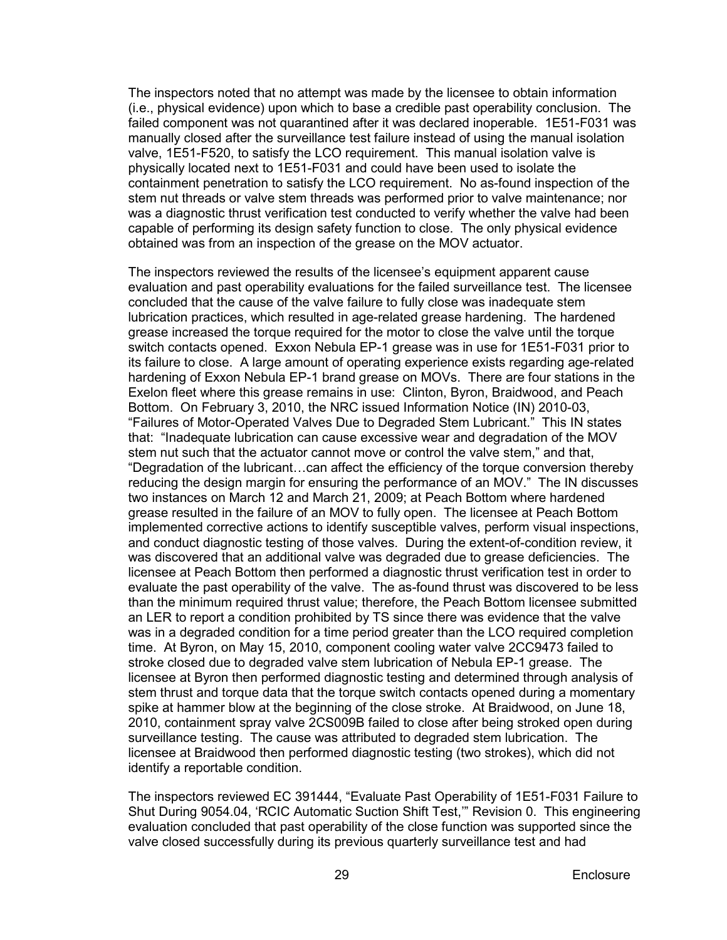The inspectors noted that no attempt was made by the licensee to obtain information (i.e., physical evidence) upon which to base a credible past operability conclusion. The failed component was not quarantined after it was declared inoperable. 1E51-F031 was manually closed after the surveillance test failure instead of using the manual isolation valve, 1E51-F520, to satisfy the LCO requirement. This manual isolation valve is physically located next to 1E51-F031 and could have been used to isolate the containment penetration to satisfy the LCO requirement. No as-found inspection of the stem nut threads or valve stem threads was performed prior to valve maintenance; nor was a diagnostic thrust verification test conducted to verify whether the valve had been capable of performing its design safety function to close. The only physical evidence obtained was from an inspection of the grease on the MOV actuator.

The inspectors reviewed the results of the licensee's equipment apparent cause evaluation and past operability evaluations for the failed surveillance test. The licensee concluded that the cause of the valve failure to fully close was inadequate stem lubrication practices, which resulted in age-related grease hardening. The hardened grease increased the torque required for the motor to close the valve until the torque switch contacts opened. Exxon Nebula EP-1 grease was in use for 1E51-F031 prior to its failure to close. A large amount of operating experience exists regarding age-related hardening of Exxon Nebula EP-1 brand grease on MOVs. There are four stations in the Exelon fleet where this grease remains in use: Clinton, Byron, Braidwood, and Peach Bottom. On February 3, 2010, the NRC issued Information Notice (IN) 2010-03, "Failures of Motor-Operated Valves Due to Degraded Stem Lubricant." This IN states that: "Inadequate lubrication can cause excessive wear and degradation of the MOV stem nut such that the actuator cannot move or control the valve stem," and that, "Degradation of the lubricant…can affect the efficiency of the torque conversion thereby reducing the design margin for ensuring the performance of an MOV." The IN discusses two instances on March 12 and March 21, 2009; at Peach Bottom where hardened grease resulted in the failure of an MOV to fully open. The licensee at Peach Bottom implemented corrective actions to identify susceptible valves, perform visual inspections, and conduct diagnostic testing of those valves. During the extent-of-condition review, it was discovered that an additional valve was degraded due to grease deficiencies. The licensee at Peach Bottom then performed a diagnostic thrust verification test in order to evaluate the past operability of the valve. The as-found thrust was discovered to be less than the minimum required thrust value; therefore, the Peach Bottom licensee submitted an LER to report a condition prohibited by TS since there was evidence that the valve was in a degraded condition for a time period greater than the LCO required completion time. At Byron, on May 15, 2010, component cooling water valve 2CC9473 failed to stroke closed due to degraded valve stem lubrication of Nebula EP-1 grease. The licensee at Byron then performed diagnostic testing and determined through analysis of stem thrust and torque data that the torque switch contacts opened during a momentary spike at hammer blow at the beginning of the close stroke. At Braidwood, on June 18, 2010, containment spray valve 2CS009B failed to close after being stroked open during surveillance testing. The cause was attributed to degraded stem lubrication. The licensee at Braidwood then performed diagnostic testing (two strokes), which did not identify a reportable condition.

The inspectors reviewed EC 391444, "Evaluate Past Operability of 1E51-F031 Failure to Shut During 9054.04, 'RCIC Automatic Suction Shift Test,'" Revision 0. This engineering evaluation concluded that past operability of the close function was supported since the valve closed successfully during its previous quarterly surveillance test and had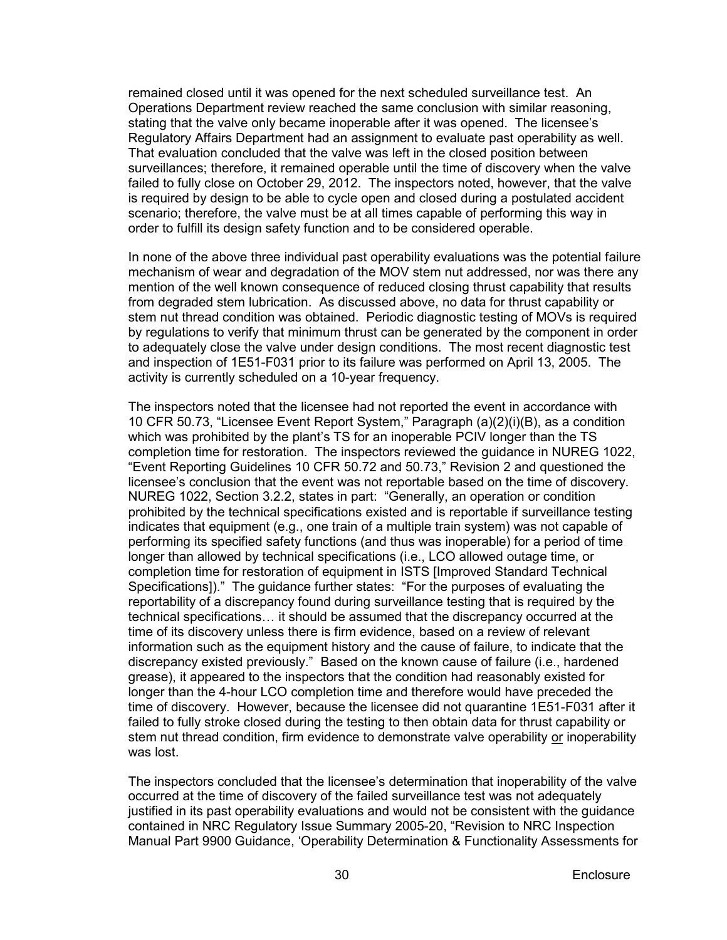remained closed until it was opened for the next scheduled surveillance test. An Operations Department review reached the same conclusion with similar reasoning, stating that the valve only became inoperable after it was opened. The licensee's Regulatory Affairs Department had an assignment to evaluate past operability as well. That evaluation concluded that the valve was left in the closed position between surveillances; therefore, it remained operable until the time of discovery when the valve failed to fully close on October 29, 2012. The inspectors noted, however, that the valve is required by design to be able to cycle open and closed during a postulated accident scenario; therefore, the valve must be at all times capable of performing this way in order to fulfill its design safety function and to be considered operable.

In none of the above three individual past operability evaluations was the potential failure mechanism of wear and degradation of the MOV stem nut addressed, nor was there any mention of the well known consequence of reduced closing thrust capability that results from degraded stem lubrication. As discussed above, no data for thrust capability or stem nut thread condition was obtained. Periodic diagnostic testing of MOVs is required by regulations to verify that minimum thrust can be generated by the component in order to adequately close the valve under design conditions. The most recent diagnostic test and inspection of 1E51-F031 prior to its failure was performed on April 13, 2005. The activity is currently scheduled on a 10-year frequency.

The inspectors noted that the licensee had not reported the event in accordance with 10 CFR 50.73, "Licensee Event Report System," Paragraph (a)(2)(i)(B), as a condition which was prohibited by the plant's TS for an inoperable PCIV longer than the TS completion time for restoration. The inspectors reviewed the guidance in NUREG 1022, "Event Reporting Guidelines 10 CFR 50.72 and 50.73," Revision 2 and questioned the licensee's conclusion that the event was not reportable based on the time of discovery. NUREG 1022, Section 3.2.2, states in part: "Generally, an operation or condition prohibited by the technical specifications existed and is reportable if surveillance testing indicates that equipment (e.g., one train of a multiple train system) was not capable of performing its specified safety functions (and thus was inoperable) for a period of time longer than allowed by technical specifications (i.e., LCO allowed outage time, or completion time for restoration of equipment in ISTS [Improved Standard Technical Specifications])." The guidance further states: "For the purposes of evaluating the reportability of a discrepancy found during surveillance testing that is required by the technical specifications… it should be assumed that the discrepancy occurred at the time of its discovery unless there is firm evidence, based on a review of relevant information such as the equipment history and the cause of failure, to indicate that the discrepancy existed previously." Based on the known cause of failure (i.e., hardened grease), it appeared to the inspectors that the condition had reasonably existed for longer than the 4-hour LCO completion time and therefore would have preceded the time of discovery. However, because the licensee did not quarantine 1E51-F031 after it failed to fully stroke closed during the testing to then obtain data for thrust capability or stem nut thread condition, firm evidence to demonstrate valve operability or inoperability was lost.

The inspectors concluded that the licensee's determination that inoperability of the valve occurred at the time of discovery of the failed surveillance test was not adequately justified in its past operability evaluations and would not be consistent with the guidance contained in NRC Regulatory Issue Summary 2005-20, "Revision to NRC Inspection Manual Part 9900 Guidance, 'Operability Determination & Functionality Assessments for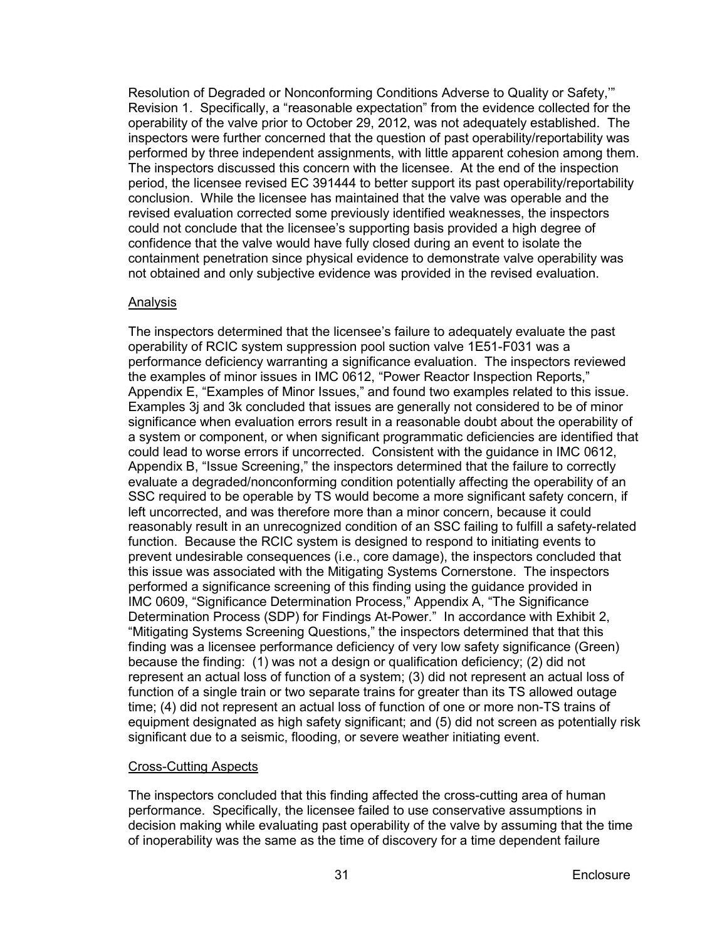Resolution of Degraded or Nonconforming Conditions Adverse to Quality or Safety,'" Revision 1. Specifically, a "reasonable expectation" from the evidence collected for the operability of the valve prior to October 29, 2012, was not adequately established. The inspectors were further concerned that the question of past operability/reportability was performed by three independent assignments, with little apparent cohesion among them. The inspectors discussed this concern with the licensee. At the end of the inspection period, the licensee revised EC 391444 to better support its past operability/reportability conclusion. While the licensee has maintained that the valve was operable and the revised evaluation corrected some previously identified weaknesses, the inspectors could not conclude that the licensee's supporting basis provided a high degree of confidence that the valve would have fully closed during an event to isolate the containment penetration since physical evidence to demonstrate valve operability was not obtained and only subjective evidence was provided in the revised evaluation.

## Analysis

The inspectors determined that the licensee's failure to adequately evaluate the past operability of RCIC system suppression pool suction valve 1E51-F031 was a performance deficiency warranting a significance evaluation. The inspectors reviewed the examples of minor issues in IMC 0612, "Power Reactor Inspection Reports," Appendix E, "Examples of Minor Issues," and found two examples related to this issue. Examples 3j and 3k concluded that issues are generally not considered to be of minor significance when evaluation errors result in a reasonable doubt about the operability of a system or component, or when significant programmatic deficiencies are identified that could lead to worse errors if uncorrected. Consistent with the guidance in IMC 0612, Appendix B, "Issue Screening," the inspectors determined that the failure to correctly evaluate a degraded/nonconforming condition potentially affecting the operability of an SSC required to be operable by TS would become a more significant safety concern, if left uncorrected, and was therefore more than a minor concern, because it could reasonably result in an unrecognized condition of an SSC failing to fulfill a safety-related function. Because the RCIC system is designed to respond to initiating events to prevent undesirable consequences (i.e., core damage), the inspectors concluded that this issue was associated with the Mitigating Systems Cornerstone. The inspectors performed a significance screening of this finding using the guidance provided in IMC 0609, "Significance Determination Process," Appendix A, "The Significance Determination Process (SDP) for Findings At-Power." In accordance with Exhibit 2, "Mitigating Systems Screening Questions," the inspectors determined that that this finding was a licensee performance deficiency of very low safety significance (Green) because the finding: (1) was not a design or qualification deficiency; (2) did not represent an actual loss of function of a system; (3) did not represent an actual loss of function of a single train or two separate trains for greater than its TS allowed outage time; (4) did not represent an actual loss of function of one or more non-TS trains of equipment designated as high safety significant; and (5) did not screen as potentially risk significant due to a seismic, flooding, or severe weather initiating event.

#### Cross-Cutting Aspects

The inspectors concluded that this finding affected the cross-cutting area of human performance. Specifically, the licensee failed to use conservative assumptions in decision making while evaluating past operability of the valve by assuming that the time of inoperability was the same as the time of discovery for a time dependent failure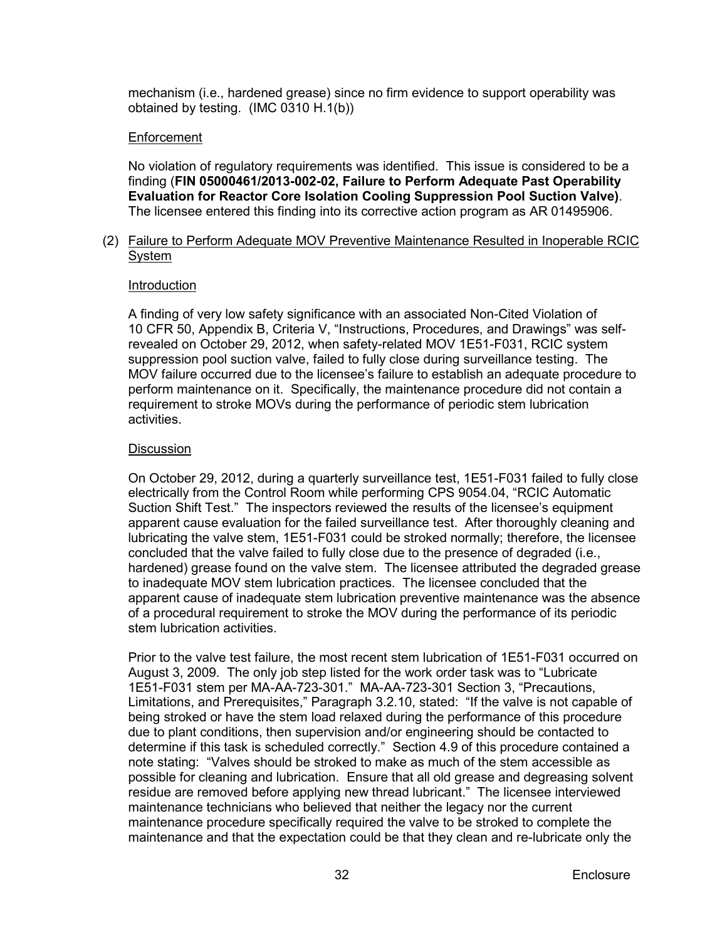mechanism (i.e., hardened grease) since no firm evidence to support operability was obtained by testing. (IMC 0310 H.1(b))

## **Enforcement**

No violation of regulatory requirements was identified. This issue is considered to be a finding (**FIN 05000461/2013-002-02, Failure to Perform Adequate Past Operability Evaluation for Reactor Core Isolation Cooling Suppression Pool Suction Valve)**. The licensee entered this finding into its corrective action program as AR 01495906.

## (2) Failure to Perform Adequate MOV Preventive Maintenance Resulted in Inoperable RCIC System

#### Introduction

A finding of very low safety significance with an associated Non-Cited Violation of 10 CFR 50, Appendix B, Criteria V, "Instructions, Procedures, and Drawings" was selfrevealed on October 29, 2012, when safety-related MOV 1E51-F031, RCIC system suppression pool suction valve, failed to fully close during surveillance testing. The MOV failure occurred due to the licensee's failure to establish an adequate procedure to perform maintenance on it. Specifically, the maintenance procedure did not contain a requirement to stroke MOVs during the performance of periodic stem lubrication activities.

## **Discussion**

On October 29, 2012, during a quarterly surveillance test, 1E51-F031 failed to fully close electrically from the Control Room while performing CPS 9054.04, "RCIC Automatic Suction Shift Test." The inspectors reviewed the results of the licensee's equipment apparent cause evaluation for the failed surveillance test. After thoroughly cleaning and lubricating the valve stem, 1E51-F031 could be stroked normally; therefore, the licensee concluded that the valve failed to fully close due to the presence of degraded (i.e., hardened) grease found on the valve stem. The licensee attributed the degraded grease to inadequate MOV stem lubrication practices. The licensee concluded that the apparent cause of inadequate stem lubrication preventive maintenance was the absence of a procedural requirement to stroke the MOV during the performance of its periodic stem lubrication activities.

Prior to the valve test failure, the most recent stem lubrication of 1E51-F031 occurred on August 3, 2009. The only job step listed for the work order task was to "Lubricate 1E51-F031 stem per MA-AA-723-301." MA-AA-723-301 Section 3, "Precautions, Limitations, and Prerequisites," Paragraph 3.2.10, stated: "If the valve is not capable of being stroked or have the stem load relaxed during the performance of this procedure due to plant conditions, then supervision and/or engineering should be contacted to determine if this task is scheduled correctly." Section 4.9 of this procedure contained a note stating: "Valves should be stroked to make as much of the stem accessible as possible for cleaning and lubrication. Ensure that all old grease and degreasing solvent residue are removed before applying new thread lubricant." The licensee interviewed maintenance technicians who believed that neither the legacy nor the current maintenance procedure specifically required the valve to be stroked to complete the maintenance and that the expectation could be that they clean and re-lubricate only the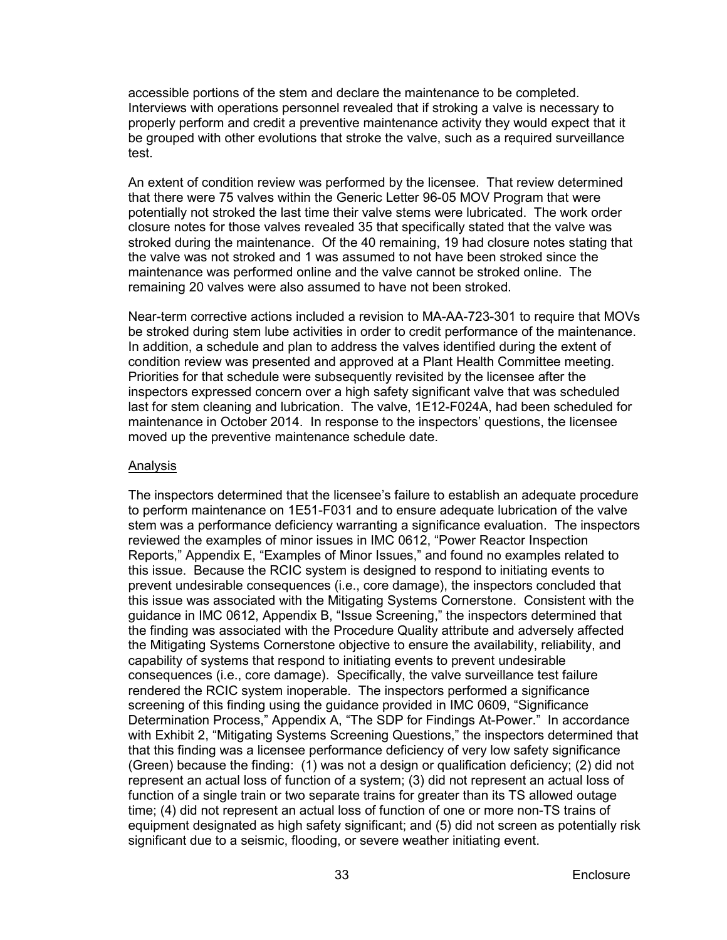accessible portions of the stem and declare the maintenance to be completed. Interviews with operations personnel revealed that if stroking a valve is necessary to properly perform and credit a preventive maintenance activity they would expect that it be grouped with other evolutions that stroke the valve, such as a required surveillance test.

An extent of condition review was performed by the licensee. That review determined that there were 75 valves within the Generic Letter 96-05 MOV Program that were potentially not stroked the last time their valve stems were lubricated. The work order closure notes for those valves revealed 35 that specifically stated that the valve was stroked during the maintenance. Of the 40 remaining, 19 had closure notes stating that the valve was not stroked and 1 was assumed to not have been stroked since the maintenance was performed online and the valve cannot be stroked online. The remaining 20 valves were also assumed to have not been stroked.

Near-term corrective actions included a revision to MA-AA-723-301 to require that MOVs be stroked during stem lube activities in order to credit performance of the maintenance. In addition, a schedule and plan to address the valves identified during the extent of condition review was presented and approved at a Plant Health Committee meeting. Priorities for that schedule were subsequently revisited by the licensee after the inspectors expressed concern over a high safety significant valve that was scheduled last for stem cleaning and lubrication. The valve, 1E12-F024A, had been scheduled for maintenance in October 2014. In response to the inspectors' questions, the licensee moved up the preventive maintenance schedule date.

### Analysis

The inspectors determined that the licensee's failure to establish an adequate procedure to perform maintenance on 1E51-F031 and to ensure adequate lubrication of the valve stem was a performance deficiency warranting a significance evaluation. The inspectors reviewed the examples of minor issues in IMC 0612, "Power Reactor Inspection Reports," Appendix E, "Examples of Minor Issues," and found no examples related to this issue. Because the RCIC system is designed to respond to initiating events to prevent undesirable consequences (i.e., core damage), the inspectors concluded that this issue was associated with the Mitigating Systems Cornerstone. Consistent with the guidance in IMC 0612, Appendix B, "Issue Screening," the inspectors determined that the finding was associated with the Procedure Quality attribute and adversely affected the Mitigating Systems Cornerstone objective to ensure the availability, reliability, and capability of systems that respond to initiating events to prevent undesirable consequences (i.e., core damage). Specifically, the valve surveillance test failure rendered the RCIC system inoperable. The inspectors performed a significance screening of this finding using the guidance provided in IMC 0609, "Significance Determination Process," Appendix A, "The SDP for Findings At-Power." In accordance with Exhibit 2, "Mitigating Systems Screening Questions," the inspectors determined that that this finding was a licensee performance deficiency of very low safety significance (Green) because the finding: (1) was not a design or qualification deficiency; (2) did not represent an actual loss of function of a system; (3) did not represent an actual loss of function of a single train or two separate trains for greater than its TS allowed outage time; (4) did not represent an actual loss of function of one or more non-TS trains of equipment designated as high safety significant; and (5) did not screen as potentially risk significant due to a seismic, flooding, or severe weather initiating event.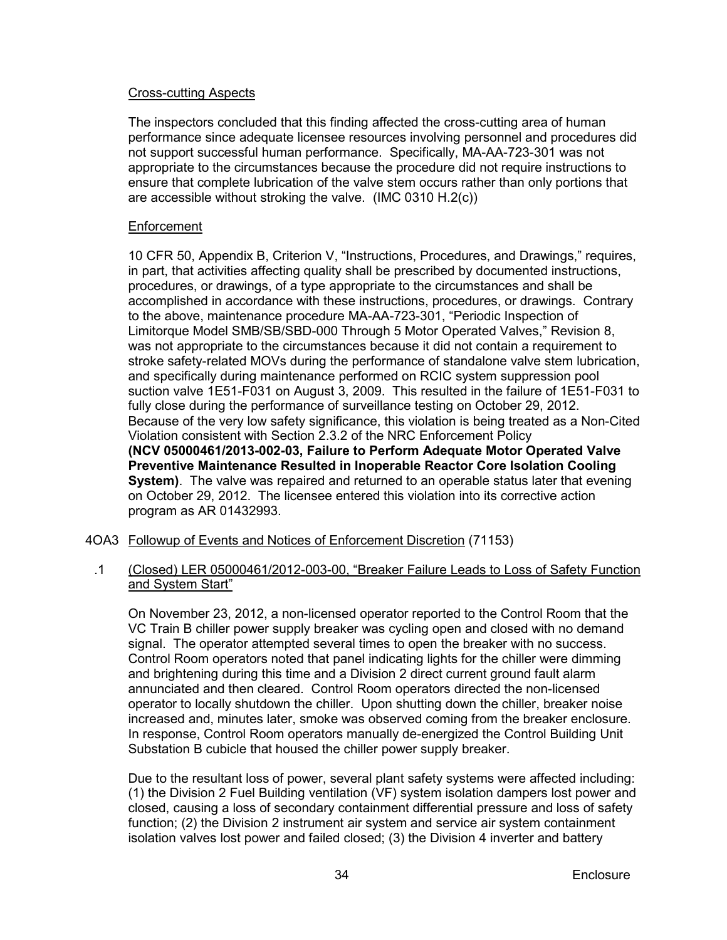## Cross-cutting Aspects

The inspectors concluded that this finding affected the cross-cutting area of human performance since adequate licensee resources involving personnel and procedures did not support successful human performance. Specifically, MA-AA-723-301 was not appropriate to the circumstances because the procedure did not require instructions to ensure that complete lubrication of the valve stem occurs rather than only portions that are accessible without stroking the valve. (IMC 0310 H.2(c))

## Enforcement

10 CFR 50, Appendix B, Criterion V, "Instructions, Procedures, and Drawings," requires, in part, that activities affecting quality shall be prescribed by documented instructions, procedures, or drawings, of a type appropriate to the circumstances and shall be accomplished in accordance with these instructions, procedures, or drawings. Contrary to the above, maintenance procedure MA-AA-723-301, "Periodic Inspection of Limitorque Model SMB/SB/SBD-000 Through 5 Motor Operated Valves," Revision 8, was not appropriate to the circumstances because it did not contain a requirement to stroke safety-related MOVs during the performance of standalone valve stem lubrication, and specifically during maintenance performed on RCIC system suppression pool suction valve 1E51-F031 on August 3, 2009. This resulted in the failure of 1E51-F031 to fully close during the performance of surveillance testing on October 29, 2012. Because of the very low safety significance, this violation is being treated as a Non-Cited Violation consistent with Section 2.3.2 of the NRC Enforcement Policy **(NCV 05000461/2013-002-03, Failure to Perform Adequate Motor Operated Valve Preventive Maintenance Resulted in Inoperable Reactor Core Isolation Cooling System)**. The valve was repaired and returned to an operable status later that evening on October 29, 2012. The licensee entered this violation into its corrective action program as AR 01432993.

- <span id="page-37-0"></span>4OA3 Followup of Events and Notices of Enforcement Discretion (71153)
	- .1 (Closed) LER 05000461/2012-003-00, "Breaker Failure Leads to Loss of Safety Function and System Start"

On November 23, 2012, a non-licensed operator reported to the Control Room that the VC Train B chiller power supply breaker was cycling open and closed with no demand signal. The operator attempted several times to open the breaker with no success. Control Room operators noted that panel indicating lights for the chiller were dimming and brightening during this time and a Division 2 direct current ground fault alarm annunciated and then cleared. Control Room operators directed the non-licensed operator to locally shutdown the chiller. Upon shutting down the chiller, breaker noise increased and, minutes later, smoke was observed coming from the breaker enclosure. In response, Control Room operators manually de-energized the Control Building Unit Substation B cubicle that housed the chiller power supply breaker.

Due to the resultant loss of power, several plant safety systems were affected including: (1) the Division 2 Fuel Building ventilation (VF) system isolation dampers lost power and closed, causing a loss of secondary containment differential pressure and loss of safety function; (2) the Division 2 instrument air system and service air system containment isolation valves lost power and failed closed; (3) the Division 4 inverter and battery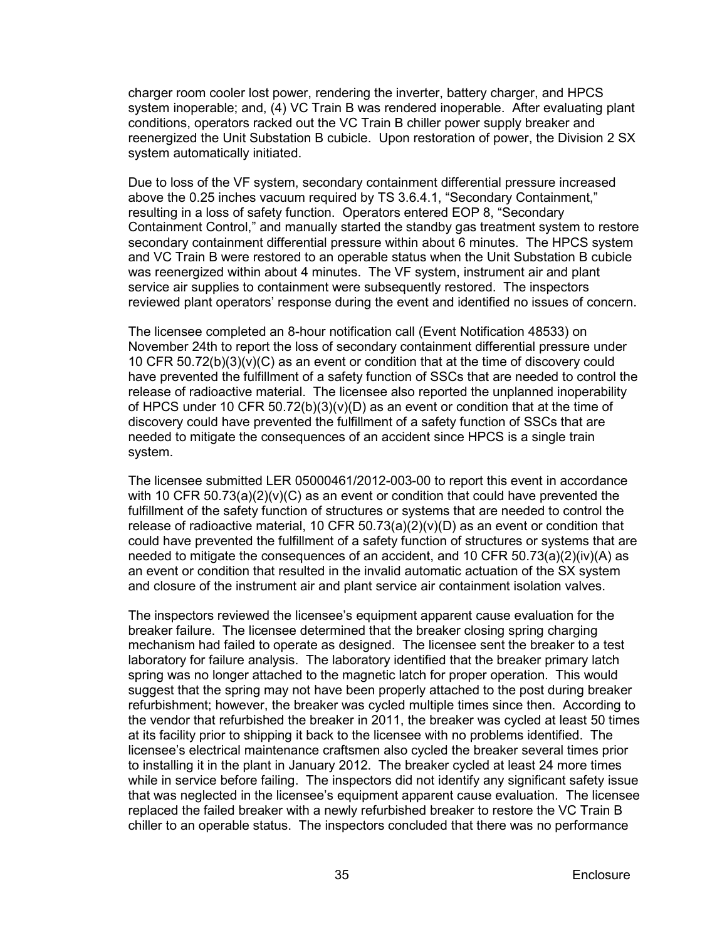charger room cooler lost power, rendering the inverter, battery charger, and HPCS system inoperable; and, (4) VC Train B was rendered inoperable. After evaluating plant conditions, operators racked out the VC Train B chiller power supply breaker and reenergized the Unit Substation B cubicle. Upon restoration of power, the Division 2 SX system automatically initiated.

Due to loss of the VF system, secondary containment differential pressure increased above the 0.25 inches vacuum required by TS 3.6.4.1, "Secondary Containment," resulting in a loss of safety function. Operators entered EOP 8, "Secondary Containment Control," and manually started the standby gas treatment system to restore secondary containment differential pressure within about 6 minutes. The HPCS system and VC Train B were restored to an operable status when the Unit Substation B cubicle was reenergized within about 4 minutes. The VF system, instrument air and plant service air supplies to containment were subsequently restored. The inspectors reviewed plant operators' response during the event and identified no issues of concern.

The licensee completed an 8-hour notification call (Event Notification 48533) on November 24th to report the loss of secondary containment differential pressure under 10 CFR 50.72(b)(3)(v)(C) as an event or condition that at the time of discovery could have prevented the fulfillment of a safety function of SSCs that are needed to control the release of radioactive material. The licensee also reported the unplanned inoperability of HPCS under 10 CFR 50.72(b)(3)(v)(D) as an event or condition that at the time of discovery could have prevented the fulfillment of a safety function of SSCs that are needed to mitigate the consequences of an accident since HPCS is a single train system.

The licensee submitted LER 05000461/2012-003-00 to report this event in accordance with 10 CFR  $50.73(a)(2)(v)(C)$  as an event or condition that could have prevented the fulfillment of the safety function of structures or systems that are needed to control the release of radioactive material, 10 CFR  $50.73(a)(2)(v)(D)$  as an event or condition that could have prevented the fulfillment of a safety function of structures or systems that are needed to mitigate the consequences of an accident, and 10 CFR 50.73(a)(2)(iv)(A) as an event or condition that resulted in the invalid automatic actuation of the SX system and closure of the instrument air and plant service air containment isolation valves.

The inspectors reviewed the licensee's equipment apparent cause evaluation for the breaker failure. The licensee determined that the breaker closing spring charging mechanism had failed to operate as designed. The licensee sent the breaker to a test laboratory for failure analysis. The laboratory identified that the breaker primary latch spring was no longer attached to the magnetic latch for proper operation. This would suggest that the spring may not have been properly attached to the post during breaker refurbishment; however, the breaker was cycled multiple times since then. According to the vendor that refurbished the breaker in 2011, the breaker was cycled at least 50 times at its facility prior to shipping it back to the licensee with no problems identified. The licensee's electrical maintenance craftsmen also cycled the breaker several times prior to installing it in the plant in January 2012. The breaker cycled at least 24 more times while in service before failing. The inspectors did not identify any significant safety issue that was neglected in the licensee's equipment apparent cause evaluation. The licensee replaced the failed breaker with a newly refurbished breaker to restore the VC Train B chiller to an operable status. The inspectors concluded that there was no performance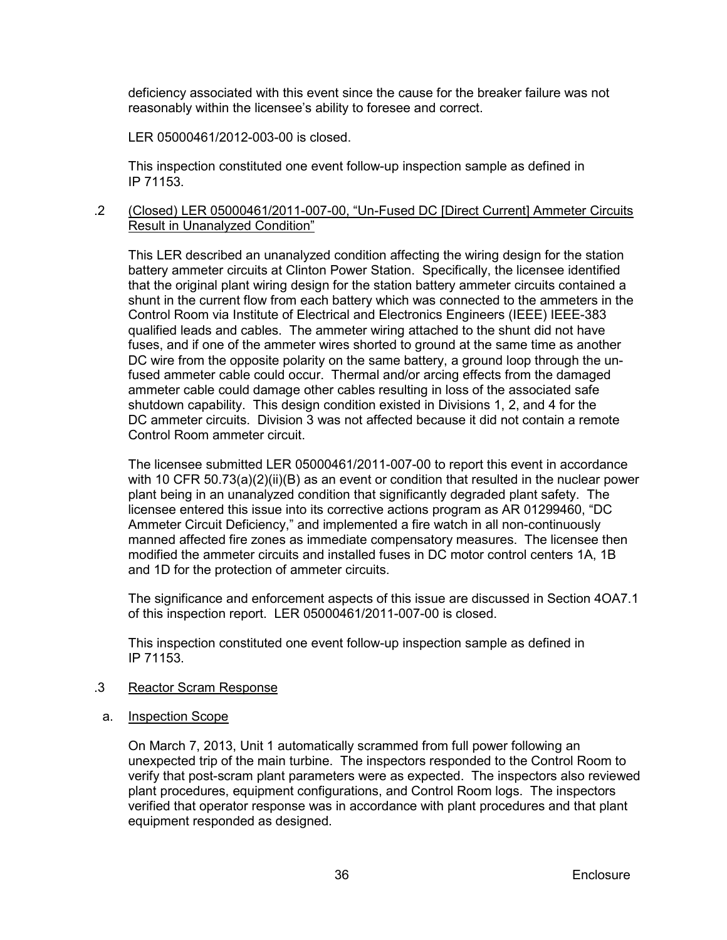deficiency associated with this event since the cause for the breaker failure was not reasonably within the licensee's ability to foresee and correct.

LER 05000461/2012-003-00 is closed.

This inspection constituted one event follow-up inspection sample as defined in IP 71153.

## .2 (Closed) LER 05000461/2011-007-00, "Un-Fused DC [Direct Current] Ammeter Circuits Result in Unanalyzed Condition"

This LER described an unanalyzed condition affecting the wiring design for the station battery ammeter circuits at Clinton Power Station. Specifically, the licensee identified that the original plant wiring design for the station battery ammeter circuits contained a shunt in the current flow from each battery which was connected to the ammeters in the Control Room via Institute of Electrical and Electronics Engineers (IEEE) IEEE-383 qualified leads and cables. The ammeter wiring attached to the shunt did not have fuses, and if one of the ammeter wires shorted to ground at the same time as another DC wire from the opposite polarity on the same battery, a ground loop through the unfused ammeter cable could occur. Thermal and/or arcing effects from the damaged ammeter cable could damage other cables resulting in loss of the associated safe shutdown capability. This design condition existed in Divisions 1, 2, and 4 for the DC ammeter circuits. Division 3 was not affected because it did not contain a remote Control Room ammeter circuit.

The licensee submitted LER 05000461/2011-007-00 to report this event in accordance with 10 CFR 50.73(a)(2)(ii)(B) as an event or condition that resulted in the nuclear power plant being in an unanalyzed condition that significantly degraded plant safety. The licensee entered this issue into its corrective actions program as AR 01299460, "DC Ammeter Circuit Deficiency," and implemented a fire watch in all non-continuously manned affected fire zones as immediate compensatory measures. The licensee then modified the ammeter circuits and installed fuses in DC motor control centers 1A, 1B and 1D for the protection of ammeter circuits.

The significance and enforcement aspects of this issue are discussed in Section 4OA7.1 of this inspection report. LER 05000461/2011-007-00 is closed.

This inspection constituted one event follow-up inspection sample as defined in IP 71153.

#### .3 Reactor Scram Response

a. Inspection Scope

On March 7, 2013, Unit 1 automatically scrammed from full power following an unexpected trip of the main turbine. The inspectors responded to the Control Room to verify that post-scram plant parameters were as expected. The inspectors also reviewed plant procedures, equipment configurations, and Control Room logs. The inspectors verified that operator response was in accordance with plant procedures and that plant equipment responded as designed.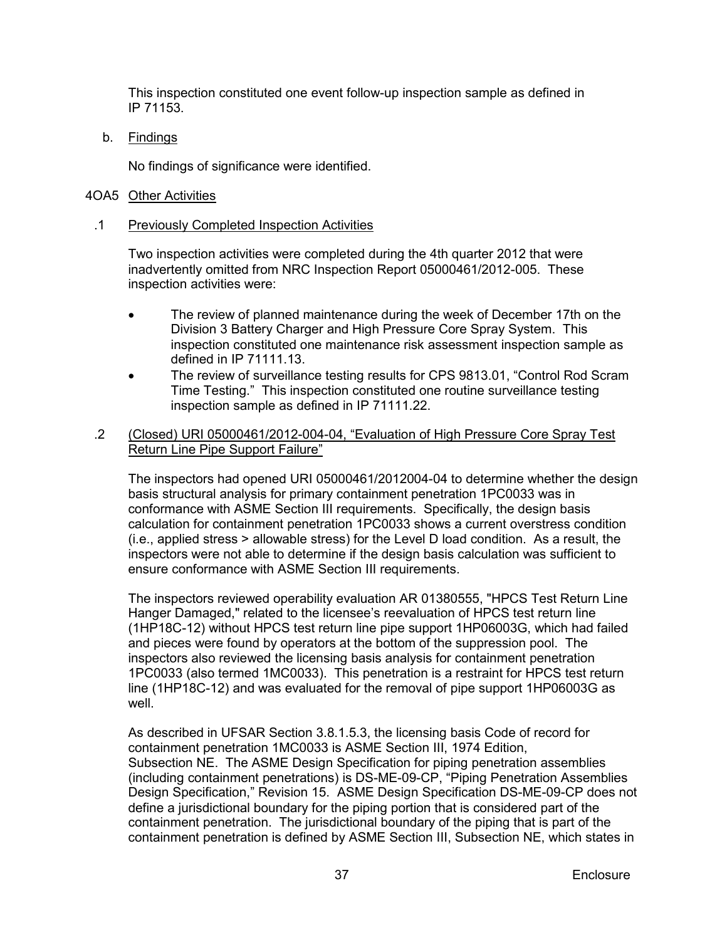This inspection constituted one event follow-up inspection sample as defined in IP 71153.

b. Findings

No findings of significance were identified.

## <span id="page-40-0"></span>4OA5 Other Activities

## .1 Previously Completed Inspection Activities

Two inspection activities were completed during the 4th quarter 2012 that were inadvertently omitted from NRC Inspection Report 05000461/2012-005. These inspection activities were:

- The review of planned maintenance during the week of December 17th on the Division 3 Battery Charger and High Pressure Core Spray System. This inspection constituted one maintenance risk assessment inspection sample as defined in IP 71111.13.
- The review of surveillance testing results for CPS 9813.01, "Control Rod Scram Time Testing." This inspection constituted one routine surveillance testing inspection sample as defined in IP 71111.22.
- .2 (Closed) URI 05000461/2012-004-04, "Evaluation of High Pressure Core Spray Test Return Line Pipe Support Failure"

The inspectors had opened URI 05000461/2012004-04 to determine whether the design basis structural analysis for primary containment penetration 1PC0033 was in conformance with ASME Section III requirements. Specifically, the design basis calculation for containment penetration 1PC0033 shows a current overstress condition (i.e., applied stress > allowable stress) for the Level D load condition. As a result, the inspectors were not able to determine if the design basis calculation was sufficient to ensure conformance with ASME Section III requirements.

The inspectors reviewed operability evaluation AR 01380555, "HPCS Test Return Line Hanger Damaged," related to the licensee's reevaluation of HPCS test return line (1HP18C-12) without HPCS test return line pipe support 1HP06003G, which had failed and pieces were found by operators at the bottom of the suppression pool. The inspectors also reviewed the licensing basis analysis for containment penetration 1PC0033 (also termed 1MC0033). This penetration is a restraint for HPCS test return line (1HP18C-12) and was evaluated for the removal of pipe support 1HP06003G as well.

As described in UFSAR Section 3.8.1.5.3, the licensing basis Code of record for containment penetration 1MC0033 is ASME Section III, 1974 Edition, Subsection NE. The ASME Design Specification for piping penetration assemblies (including containment penetrations) is DS-ME-09-CP, "Piping Penetration Assemblies Design Specification," Revision 15. ASME Design Specification DS-ME-09-CP does not define a jurisdictional boundary for the piping portion that is considered part of the containment penetration. The jurisdictional boundary of the piping that is part of the containment penetration is defined by ASME Section III, Subsection NE, which states in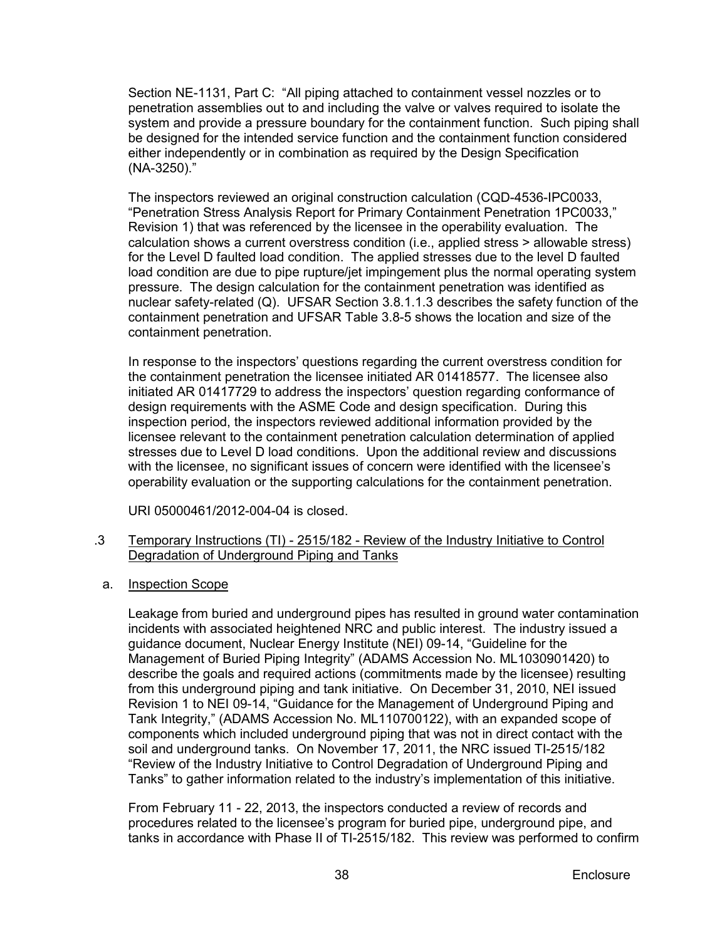Section NE-1131, Part C: "All piping attached to containment vessel nozzles or to penetration assemblies out to and including the valve or valves required to isolate the system and provide a pressure boundary for the containment function. Such piping shall be designed for the intended service function and the containment function considered either independently or in combination as required by the Design Specification (NA-3250)."

The inspectors reviewed an original construction calculation (CQD-4536-IPC0033, "Penetration Stress Analysis Report for Primary Containment Penetration 1PC0033," Revision 1) that was referenced by the licensee in the operability evaluation. The calculation shows a current overstress condition (i.e., applied stress > allowable stress) for the Level D faulted load condition. The applied stresses due to the level D faulted load condition are due to pipe rupture/jet impingement plus the normal operating system pressure. The design calculation for the containment penetration was identified as nuclear safety-related (Q). UFSAR Section 3.8.1.1.3 describes the safety function of the containment penetration and UFSAR Table 3.8-5 shows the location and size of the containment penetration.

In response to the inspectors' questions regarding the current overstress condition for the containment penetration the licensee initiated AR 01418577. The licensee also initiated AR 01417729 to address the inspectors' question regarding conformance of design requirements with the ASME Code and design specification. During this inspection period, the inspectors reviewed additional information provided by the licensee relevant to the containment penetration calculation determination of applied stresses due to Level D load conditions. Upon the additional review and discussions with the licensee, no significant issues of concern were identified with the licensee's operability evaluation or the supporting calculations for the containment penetration.

URI 05000461/2012-004-04 is closed.

## .3 Temporary Instructions (TI) - 2515/182 - Review of the Industry Initiative to Control Degradation of Underground Piping and Tanks

a. Inspection Scope

Leakage from buried and underground pipes has resulted in ground water contamination incidents with associated heightened NRC and public interest. The industry issued a guidance document, Nuclear Energy Institute (NEI) 09-14, "Guideline for the Management of Buried Piping Integrity" (ADAMS Accession No. ML1030901420) to describe the goals and required actions (commitments made by the licensee) resulting from this underground piping and tank initiative. On December 31, 2010, NEI issued Revision 1 to NEI 09-14, "Guidance for the Management of Underground Piping and Tank Integrity," (ADAMS Accession No. ML110700122), with an expanded scope of components which included underground piping that was not in direct contact with the soil and underground tanks. On November 17, 2011, the NRC issued TI-2515/182 "Review of the Industry Initiative to Control Degradation of Underground Piping and Tanks" to gather information related to the industry's implementation of this initiative.

From February 11 - 22, 2013, the inspectors conducted a review of records and procedures related to the licensee's program for buried pipe, underground pipe, and tanks in accordance with Phase II of TI-2515/182. This review was performed to confirm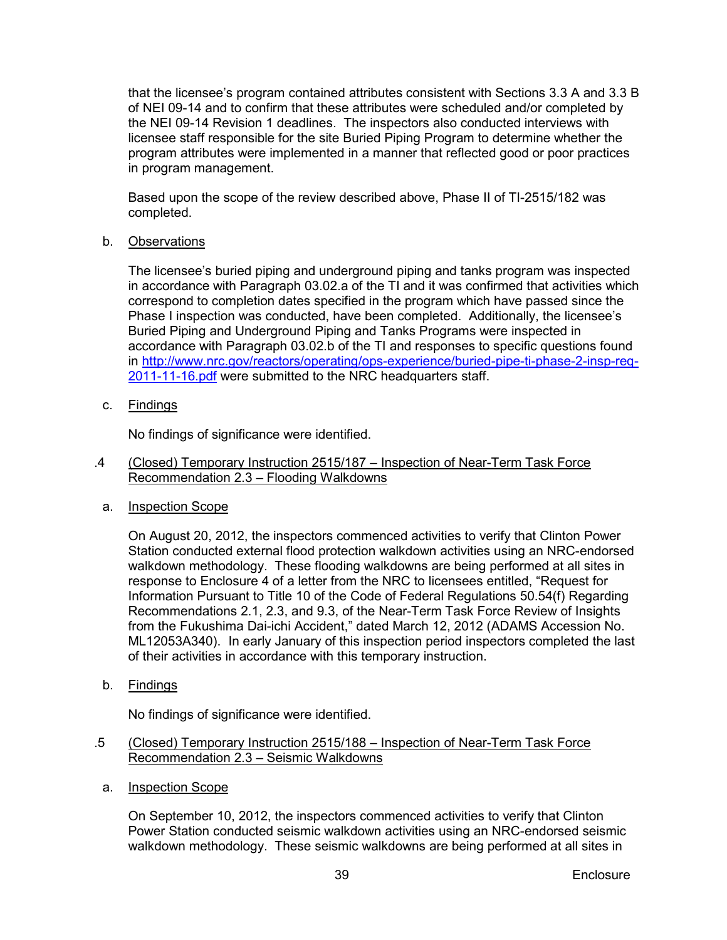that the licensee's program contained attributes consistent with Sections 3.3 A and 3.3 B of NEI 09-14 and to confirm that these attributes were scheduled and/or completed by the NEI 09-14 Revision 1 deadlines. The inspectors also conducted interviews with licensee staff responsible for the site Buried Piping Program to determine whether the program attributes were implemented in a manner that reflected good or poor practices in program management.

Based upon the scope of the review described above, Phase II of TI-2515/182 was completed.

## b. Observations

The licensee's buried piping and underground piping and tanks program was inspected in accordance with Paragraph 03.02.a of the TI and it was confirmed that activities which correspond to completion dates specified in the program which have passed since the Phase I inspection was conducted, have been completed. Additionally, the licensee's Buried Piping and Underground Piping and Tanks Programs were inspected in accordance with Paragraph 03.02.b of the TI and responses to specific questions found in [http://www.nrc.gov/reactors/operating/ops-experience/buried-pipe-ti-phase-2-insp-req-](http://www.nrc.gov/reactors/operating/ops-experience/buried-pipe-ti-phase-2-insp-req-2011-11-16.pdf)[2011-11-16.pdf](http://www.nrc.gov/reactors/operating/ops-experience/buried-pipe-ti-phase-2-insp-req-2011-11-16.pdf) were submitted to the NRC headquarters staff.

c. Findings

No findings of significance were identified.

- .4 (Closed) Temporary Instruction 2515/187 Inspection of Near-Term Task Force Recommendation 2.3 – Flooding Walkdowns
- a. Inspection Scope

On August 20, 2012, the inspectors commenced activities to verify that Clinton Power Station conducted external flood protection walkdown activities using an NRC-endorsed walkdown methodology. These flooding walkdowns are being performed at all sites in response to Enclosure 4 of a letter from the NRC to licensees entitled, "Request for Information Pursuant to Title 10 of the Code of Federal Regulations 50.54(f) Regarding Recommendations 2.1, 2.3, and 9.3, of the Near-Term Task Force Review of Insights from the Fukushima Dai-ichi Accident," dated March 12, 2012 (ADAMS Accession No. ML12053A340). In early January of this inspection period inspectors completed the last of their activities in accordance with this temporary instruction.

b. Findings

No findings of significance were identified.

- .5 (Closed) Temporary Instruction 2515/188 Inspection of Near-Term Task Force Recommendation 2.3 – Seismic Walkdowns
- a. Inspection Scope

On September 10, 2012, the inspectors commenced activities to verify that Clinton Power Station conducted seismic walkdown activities using an NRC-endorsed seismic walkdown methodology. These seismic walkdowns are being performed at all sites in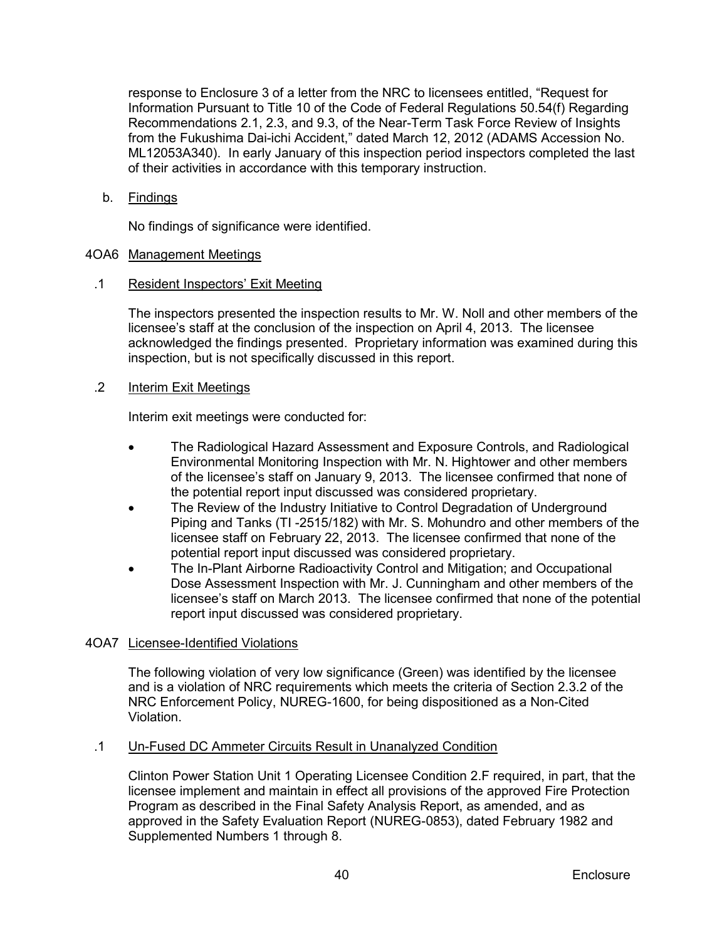response to Enclosure 3 of a letter from the NRC to licensees entitled, "Request for Information Pursuant to Title 10 of the Code of Federal Regulations 50.54(f) Regarding Recommendations 2.1, 2.3, and 9.3, of the Near-Term Task Force Review of Insights from the Fukushima Dai-ichi Accident," dated March 12, 2012 (ADAMS Accession No. ML12053A340). In early January of this inspection period inspectors completed the last of their activities in accordance with this temporary instruction.

b. Findings

No findings of significance were identified.

## <span id="page-43-0"></span>4OA6 Management Meetings

## .1 Resident Inspectors' Exit Meeting

The inspectors presented the inspection results to Mr. W. Noll and other members of the licensee's staff at the conclusion of the inspection on April 4, 2013. The licensee acknowledged the findings presented. Proprietary information was examined during this inspection, but is not specifically discussed in this report.

## .2 Interim Exit Meetings

Interim exit meetings were conducted for:

- The Radiological Hazard Assessment and Exposure Controls, and Radiological Environmental Monitoring Inspection with Mr. N. Hightower and other members of the licensee's staff on January 9, 2013. The licensee confirmed that none of the potential report input discussed was considered proprietary.
- The Review of the Industry Initiative to Control Degradation of Underground Piping and Tanks (TI -2515/182) with Mr. S. Mohundro and other members of the licensee staff on February 22, 2013. The licensee confirmed that none of the potential report input discussed was considered proprietary.
- The In-Plant Airborne Radioactivity Control and Mitigation; and Occupational Dose Assessment Inspection with Mr. J. Cunningham and other members of the licensee's staff on March 2013. The licensee confirmed that none of the potential report input discussed was considered proprietary.

## <span id="page-43-1"></span>4OA7 Licensee-Identified Violations

The following violation of very low significance (Green) was identified by the licensee and is a violation of NRC requirements which meets the criteria of Section 2.3.2 of the NRC Enforcement Policy, NUREG-1600, for being dispositioned as a Non-Cited Violation.

#### .1 Un-Fused DC Ammeter Circuits Result in Unanalyzed Condition

Clinton Power Station Unit 1 Operating Licensee Condition 2.F required, in part, that the licensee implement and maintain in effect all provisions of the approved Fire Protection Program as described in the Final Safety Analysis Report, as amended, and as approved in the Safety Evaluation Report (NUREG-0853), dated February 1982 and Supplemented Numbers 1 through 8.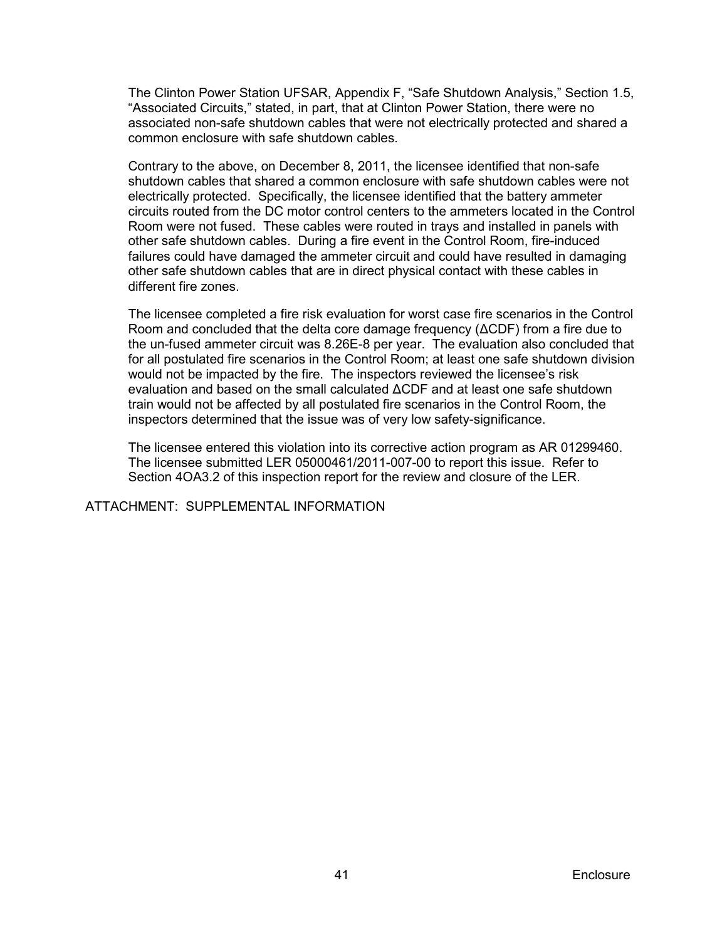The Clinton Power Station UFSAR, Appendix F, "Safe Shutdown Analysis," Section 1.5, "Associated Circuits," stated, in part, that at Clinton Power Station, there were no associated non-safe shutdown cables that were not electrically protected and shared a common enclosure with safe shutdown cables.

Contrary to the above, on December 8, 2011, the licensee identified that non-safe shutdown cables that shared a common enclosure with safe shutdown cables were not electrically protected. Specifically, the licensee identified that the battery ammeter circuits routed from the DC motor control centers to the ammeters located in the Control Room were not fused. These cables were routed in trays and installed in panels with other safe shutdown cables. During a fire event in the Control Room, fire-induced failures could have damaged the ammeter circuit and could have resulted in damaging other safe shutdown cables that are in direct physical contact with these cables in different fire zones.

The licensee completed a fire risk evaluation for worst case fire scenarios in the Control Room and concluded that the delta core damage frequency (ΔCDF) from a fire due to the un-fused ammeter circuit was 8.26E-8 per year. The evaluation also concluded that for all postulated fire scenarios in the Control Room; at least one safe shutdown division would not be impacted by the fire. The inspectors reviewed the licensee's risk evaluation and based on the small calculated ΔCDF and at least one safe shutdown train would not be affected by all postulated fire scenarios in the Control Room, the inspectors determined that the issue was of very low safety-significance.

The licensee entered this violation into its corrective action program as AR 01299460. The licensee submitted LER 05000461/2011-007-00 to report this issue. Refer to Section 4OA3.2 of this inspection report for the review and closure of the LER.

ATTACHMENT: SUPPLEMENTAL INFORMATION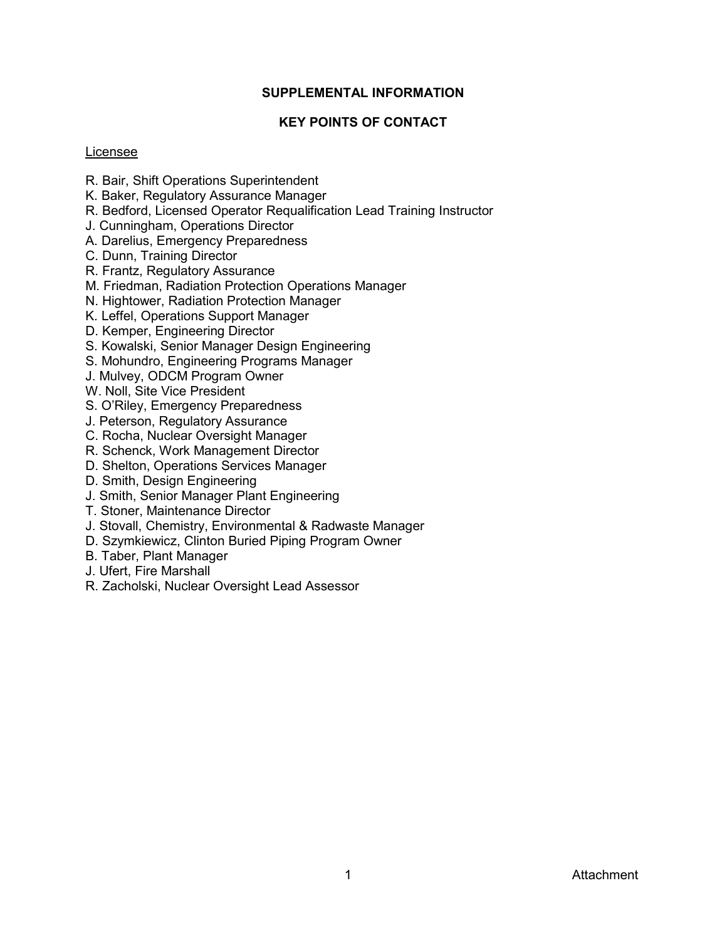## **SUPPLEMENTAL INFORMATION**

## **KEY POINTS OF CONTACT**

## <span id="page-45-1"></span><span id="page-45-0"></span>Licensee

- R. Bair, Shift Operations Superintendent
- K. Baker, Regulatory Assurance Manager
- R. Bedford, Licensed Operator Requalification Lead Training Instructor
- J. Cunningham, Operations Director
- A. Darelius, Emergency Preparedness
- C. Dunn, Training Director
- R. Frantz, Regulatory Assurance
- M. Friedman, Radiation Protection Operations Manager
- N. Hightower, Radiation Protection Manager
- K. Leffel, Operations Support Manager
- D. Kemper, Engineering Director
- S. Kowalski, Senior Manager Design Engineering
- S. Mohundro, Engineering Programs Manager
- J. Mulvey, ODCM Program Owner
- W. Noll, Site Vice President
- S. O'Riley, Emergency Preparedness
- J. Peterson, Regulatory Assurance
- C. Rocha, Nuclear Oversight Manager
- R. Schenck, Work Management Director
- D. Shelton, Operations Services Manager
- D. Smith, Design Engineering
- J. Smith, Senior Manager Plant Engineering
- T. Stoner, Maintenance Director
- J. Stovall, Chemistry, Environmental & Radwaste Manager
- D. Szymkiewicz, Clinton Buried Piping Program Owner
- B. Taber, Plant Manager
- J. Ufert, Fire Marshall
- R. Zacholski, Nuclear Oversight Lead Assessor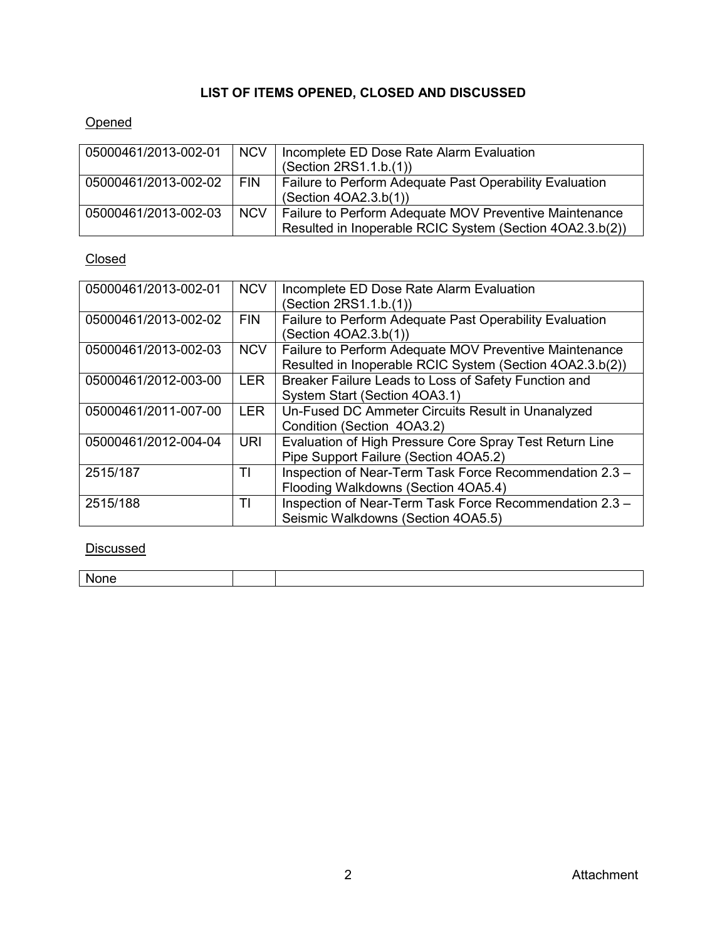# **LIST OF ITEMS OPENED, CLOSED AND DISCUSSED**

# <span id="page-46-0"></span>**Opened**

| 05000461/2013-002-01 | <b>NCV</b> | Incomplete ED Dose Rate Alarm Evaluation<br>(Section 2RS1.1.b.(1))                                                 |  |  |
|----------------------|------------|--------------------------------------------------------------------------------------------------------------------|--|--|
| 05000461/2013-002-02 | <b>FIN</b> | Failure to Perform Adequate Past Operability Evaluation<br>(Section 4OA2.3.b(1))                                   |  |  |
| 05000461/2013-002-03 | <b>NCV</b> | Failure to Perform Adequate MOV Preventive Maintenance<br>Resulted in Inoperable RCIC System (Section 4OA2.3.b(2)) |  |  |

# Closed

| 05000461/2013-002-01 | <b>NCV</b> | Incomplete ED Dose Rate Alarm Evaluation                 |  |  |  |
|----------------------|------------|----------------------------------------------------------|--|--|--|
|                      |            | (Section 2RS1.1.b.(1))                                   |  |  |  |
| 05000461/2013-002-02 | <b>FIN</b> | Failure to Perform Adequate Past Operability Evaluation  |  |  |  |
|                      |            | (Section 4OA2.3.b(1))                                    |  |  |  |
| 05000461/2013-002-03 | <b>NCV</b> | Failure to Perform Adequate MOV Preventive Maintenance   |  |  |  |
|                      |            | Resulted in Inoperable RCIC System (Section 4OA2.3.b(2)) |  |  |  |
| 05000461/2012-003-00 | <b>LER</b> | Breaker Failure Leads to Loss of Safety Function and     |  |  |  |
|                      |            | System Start (Section 4OA3.1)                            |  |  |  |
| 05000461/2011-007-00 | <b>LER</b> | Un-Fused DC Ammeter Circuits Result in Unanalyzed        |  |  |  |
|                      |            | Condition (Section 4OA3.2)                               |  |  |  |
| 05000461/2012-004-04 | <b>URI</b> | Evaluation of High Pressure Core Spray Test Return Line  |  |  |  |
|                      |            | Pipe Support Failure (Section 4OA5.2)                    |  |  |  |
| 2515/187             | TI         | Inspection of Near-Term Task Force Recommendation 2.3 -  |  |  |  |
|                      |            | Flooding Walkdowns (Section 4OA5.4)                      |  |  |  |
| 2515/188             | TI         | Inspection of Near-Term Task Force Recommendation 2.3 -  |  |  |  |
|                      |            | Seismic Walkdowns (Section 4OA5.5)                       |  |  |  |

## **Discussed**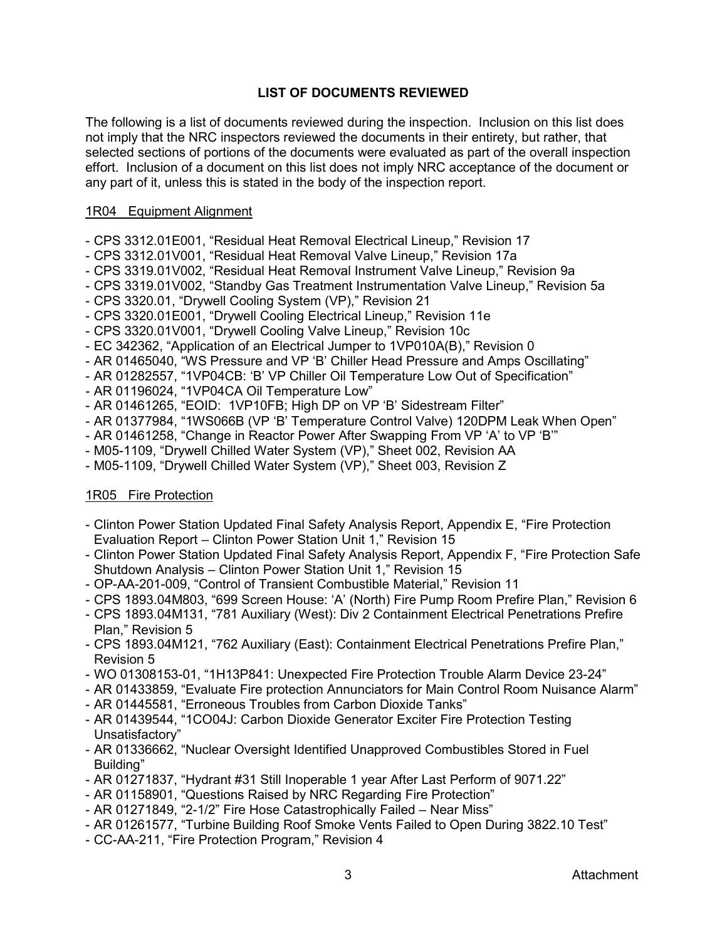## **LIST OF DOCUMENTS REVIEWED**

<span id="page-47-0"></span>The following is a list of documents reviewed during the inspection. Inclusion on this list does not imply that the NRC inspectors reviewed the documents in their entirety, but rather, that selected sections of portions of the documents were evaluated as part of the overall inspection effort. Inclusion of a document on this list does not imply NRC acceptance of the document or any part of it, unless this is stated in the body of the inspection report.

## 1R04 Equipment Alignment

- CPS 3312.01E001, "Residual Heat Removal Electrical Lineup," Revision 17
- CPS 3312.01V001, "Residual Heat Removal Valve Lineup," Revision 17a
- CPS 3319.01V002, "Residual Heat Removal Instrument Valve Lineup," Revision 9a
- CPS 3319.01V002, "Standby Gas Treatment Instrumentation Valve Lineup," Revision 5a
- CPS 3320.01, "Drywell Cooling System (VP)," Revision 21
- CPS 3320.01E001, "Drywell Cooling Electrical Lineup," Revision 11e
- CPS 3320.01V001, "Drywell Cooling Valve Lineup," Revision 10c
- EC 342362, "Application of an Electrical Jumper to 1VP010A(B)," Revision 0
- AR 01465040, "WS Pressure and VP 'B' Chiller Head Pressure and Amps Oscillating"
- AR 01282557, "1VP04CB: 'B' VP Chiller Oil Temperature Low Out of Specification"
- AR 01196024, "1VP04CA Oil Temperature Low"
- AR 01461265, "EOID: 1VP10FB; High DP on VP 'B' Sidestream Filter"
- AR 01377984, "1WS066B (VP 'B' Temperature Control Valve) 120DPM Leak When Open"
- AR 01461258, "Change in Reactor Power After Swapping From VP 'A' to VP 'B'"
- M05-1109, "Drywell Chilled Water System (VP)," Sheet 002, Revision AA
- M05-1109, "Drywell Chilled Water System (VP)," Sheet 003, Revision Z

## 1R05 Fire Protection

- Clinton Power Station Updated Final Safety Analysis Report, Appendix E, "Fire Protection Evaluation Report – Clinton Power Station Unit 1," Revision 15
- Clinton Power Station Updated Final Safety Analysis Report, Appendix F, "Fire Protection Safe Shutdown Analysis – Clinton Power Station Unit 1," Revision 15
- OP-AA-201-009, "Control of Transient Combustible Material," Revision 11
- CPS 1893.04M803, "699 Screen House: 'A' (North) Fire Pump Room Prefire Plan," Revision 6
- CPS 1893.04M131, "781 Auxiliary (West): Div 2 Containment Electrical Penetrations Prefire Plan," Revision 5
- CPS 1893.04M121, "762 Auxiliary (East): Containment Electrical Penetrations Prefire Plan," Revision 5
- WO 01308153-01, "1H13P841: Unexpected Fire Protection Trouble Alarm Device 23-24"
- AR 01433859, "Evaluate Fire protection Annunciators for Main Control Room Nuisance Alarm"
- AR 01445581, "Erroneous Troubles from Carbon Dioxide Tanks"
- AR 01439544, "1CO04J: Carbon Dioxide Generator Exciter Fire Protection Testing Unsatisfactory"
- AR 01336662, "Nuclear Oversight Identified Unapproved Combustibles Stored in Fuel Building"
- AR 01271837, "Hydrant #31 Still Inoperable 1 year After Last Perform of 9071.22"
- AR 01158901, "Questions Raised by NRC Regarding Fire Protection"
- AR 01271849, "2-1/2" Fire Hose Catastrophically Failed Near Miss"
- AR 01261577, "Turbine Building Roof Smoke Vents Failed to Open During 3822.10 Test"
- CC-AA-211, "Fire Protection Program," Revision 4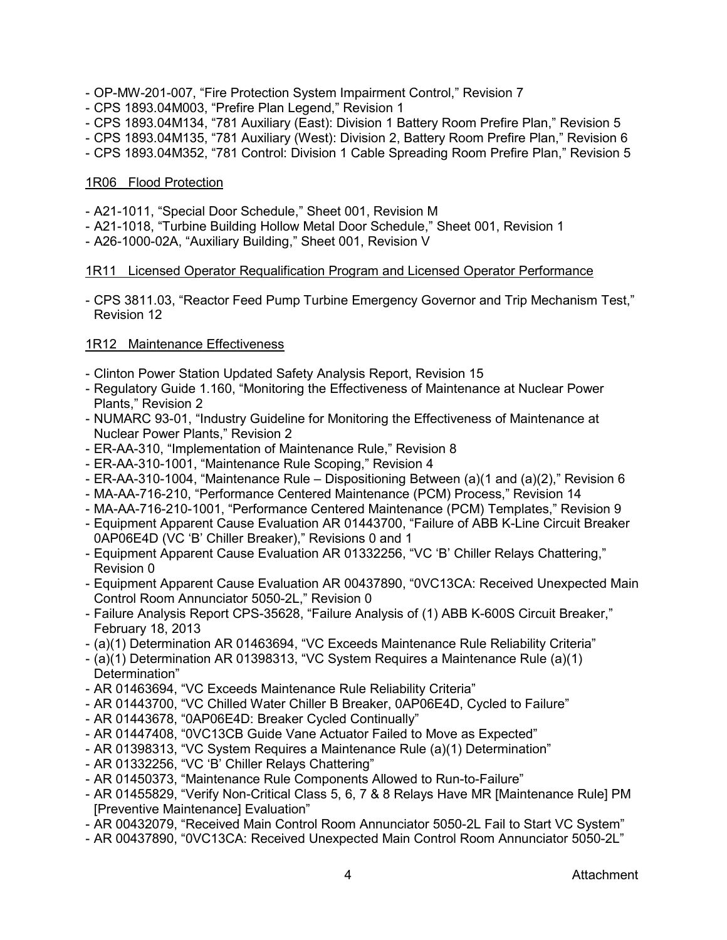- OP-MW-201-007, "Fire Protection System Impairment Control," Revision 7
- CPS 1893.04M003, "Prefire Plan Legend," Revision 1
- CPS 1893.04M134, "781 Auxiliary (East): Division 1 Battery Room Prefire Plan," Revision 5
- CPS 1893.04M135, "781 Auxiliary (West): Division 2, Battery Room Prefire Plan," Revision 6
- CPS 1893.04M352, "781 Control: Division 1 Cable Spreading Room Prefire Plan," Revision 5

## 1R06 Flood Protection

- A21-1011, "Special Door Schedule," Sheet 001, Revision M
- A21-1018, "Turbine Building Hollow Metal Door Schedule," Sheet 001, Revision 1
- A26-1000-02A, "Auxiliary Building," Sheet 001, Revision V

## 1R11 Licensed Operator Requalification Program and Licensed Operator Performance

- CPS 3811.03, "Reactor Feed Pump Turbine Emergency Governor and Trip Mechanism Test," Revision 12

## 1R12 Maintenance Effectiveness

- Clinton Power Station Updated Safety Analysis Report, Revision 15
- Regulatory Guide 1.160, "Monitoring the Effectiveness of Maintenance at Nuclear Power Plants," Revision 2
- NUMARC 93-01, "Industry Guideline for Monitoring the Effectiveness of Maintenance at Nuclear Power Plants," Revision 2
- ER-AA-310, "Implementation of Maintenance Rule," Revision 8
- ER-AA-310-1001, "Maintenance Rule Scoping," Revision 4
- ER-AA-310-1004, "Maintenance Rule Dispositioning Between (a)(1 and (a)(2)," Revision 6
- MA-AA-716-210, "Performance Centered Maintenance (PCM) Process," Revision 14
- MA-AA-716-210-1001, "Performance Centered Maintenance (PCM) Templates," Revision 9
- Equipment Apparent Cause Evaluation AR 01443700, "Failure of ABB K-Line Circuit Breaker 0AP06E4D (VC 'B' Chiller Breaker)," Revisions 0 and 1
- Equipment Apparent Cause Evaluation AR 01332256, "VC 'B' Chiller Relays Chattering," Revision 0
- Equipment Apparent Cause Evaluation AR 00437890, "0VC13CA: Received Unexpected Main Control Room Annunciator 5050-2L," Revision 0
- Failure Analysis Report CPS-35628, "Failure Analysis of (1) ABB K-600S Circuit Breaker," February 18, 2013
- (a)(1) Determination AR 01463694, "VC Exceeds Maintenance Rule Reliability Criteria"
- (a)(1) Determination AR 01398313, "VC System Requires a Maintenance Rule (a)(1) Determination"
- AR 01463694, "VC Exceeds Maintenance Rule Reliability Criteria"
- AR 01443700, "VC Chilled Water Chiller B Breaker, 0AP06E4D, Cycled to Failure"
- AR 01443678, "0AP06E4D: Breaker Cycled Continually"
- AR 01447408, "0VC13CB Guide Vane Actuator Failed to Move as Expected"
- AR 01398313, "VC System Requires a Maintenance Rule (a)(1) Determination"
- AR 01332256, "VC 'B' Chiller Relays Chattering"
- AR 01450373, "Maintenance Rule Components Allowed to Run-to-Failure"
- AR 01455829, "Verify Non-Critical Class 5, 6, 7 & 8 Relays Have MR [Maintenance Rule] PM [Preventive Maintenance] Evaluation"
- AR 00432079, "Received Main Control Room Annunciator 5050-2L Fail to Start VC System"
- AR 00437890, "0VC13CA: Received Unexpected Main Control Room Annunciator 5050-2L"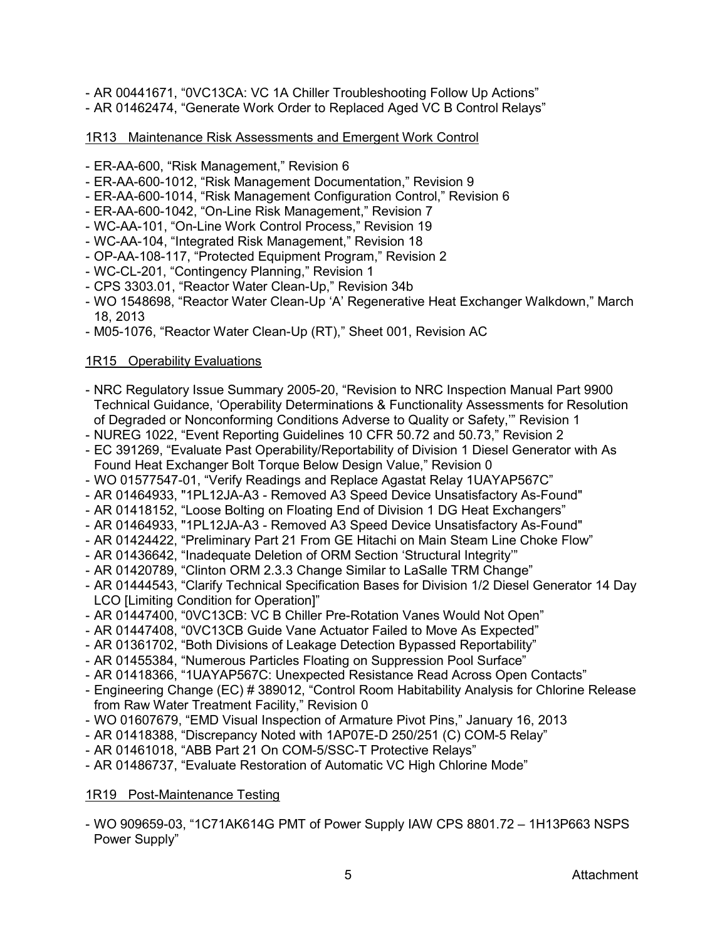- AR 00441671, "0VC13CA: VC 1A Chiller Troubleshooting Follow Up Actions"
- AR 01462474, "Generate Work Order to Replaced Aged VC B Control Relays"

## 1R13 Maintenance Risk Assessments and Emergent Work Control

- ER-AA-600, "Risk Management," Revision 6
- ER-AA-600-1012, "Risk Management Documentation," Revision 9
- ER-AA-600-1014, "Risk Management Configuration Control," Revision 6
- ER-AA-600-1042, "On-Line Risk Management," Revision 7
- WC-AA-101, "On-Line Work Control Process," Revision 19
- WC-AA-104, "Integrated Risk Management," Revision 18
- OP-AA-108-117, "Protected Equipment Program," Revision 2
- WC-CL-201, "Contingency Planning," Revision 1
- CPS 3303.01, "Reactor Water Clean-Up," Revision 34b
- WO 1548698, "Reactor Water Clean-Up 'A' Regenerative Heat Exchanger Walkdown," March 18, 2013
- M05-1076, "Reactor Water Clean-Up (RT)," Sheet 001, Revision AC

## 1R15 Operability Evaluations

- NRC Regulatory Issue Summary 2005-20, "Revision to NRC Inspection Manual Part 9900 Technical Guidance, 'Operability Determinations & Functionality Assessments for Resolution of Degraded or Nonconforming Conditions Adverse to Quality or Safety,'" Revision 1
- NUREG 1022, "Event Reporting Guidelines 10 CFR 50.72 and 50.73," Revision 2
- EC 391269, "Evaluate Past Operability/Reportability of Division 1 Diesel Generator with As Found Heat Exchanger Bolt Torque Below Design Value," Revision 0
- WO 01577547-01, "Verify Readings and Replace Agastat Relay 1UAYAP567C"
- AR 01464933, "1PL12JA-A3 Removed A3 Speed Device Unsatisfactory As-Found"
- AR 01418152, "Loose Bolting on Floating End of Division 1 DG Heat Exchangers"
- AR 01464933, "1PL12JA-A3 Removed A3 Speed Device Unsatisfactory As-Found"
- AR 01424422, "Preliminary Part 21 From GE Hitachi on Main Steam Line Choke Flow"
- AR 01436642, "Inadequate Deletion of ORM Section 'Structural Integrity'"
- AR 01420789, "Clinton ORM 2.3.3 Change Similar to LaSalle TRM Change"
- AR 01444543, "Clarify Technical Specification Bases for Division 1/2 Diesel Generator 14 Day LCO [Limiting Condition for Operation]"
- AR 01447400, "0VC13CB: VC B Chiller Pre-Rotation Vanes Would Not Open"
- AR 01447408, "0VC13CB Guide Vane Actuator Failed to Move As Expected"
- AR 01361702, "Both Divisions of Leakage Detection Bypassed Reportability"
- AR 01455384, "Numerous Particles Floating on Suppression Pool Surface"
- AR 01418366, "1UAYAP567C: Unexpected Resistance Read Across Open Contacts"
- Engineering Change (EC) # 389012, "Control Room Habitability Analysis for Chlorine Release from Raw Water Treatment Facility," Revision 0
- WO 01607679, "EMD Visual Inspection of Armature Pivot Pins," January 16, 2013
- AR 01418388, "Discrepancy Noted with 1AP07E-D 250/251 (C) COM-5 Relay"
- AR 01461018, "ABB Part 21 On COM-5/SSC-T Protective Relays"
- AR 01486737, "Evaluate Restoration of Automatic VC High Chlorine Mode"

# 1R19 Post-Maintenance Testing

- WO 909659-03, "1C71AK614G PMT of Power Supply IAW CPS 8801.72 – 1H13P663 NSPS Power Supply"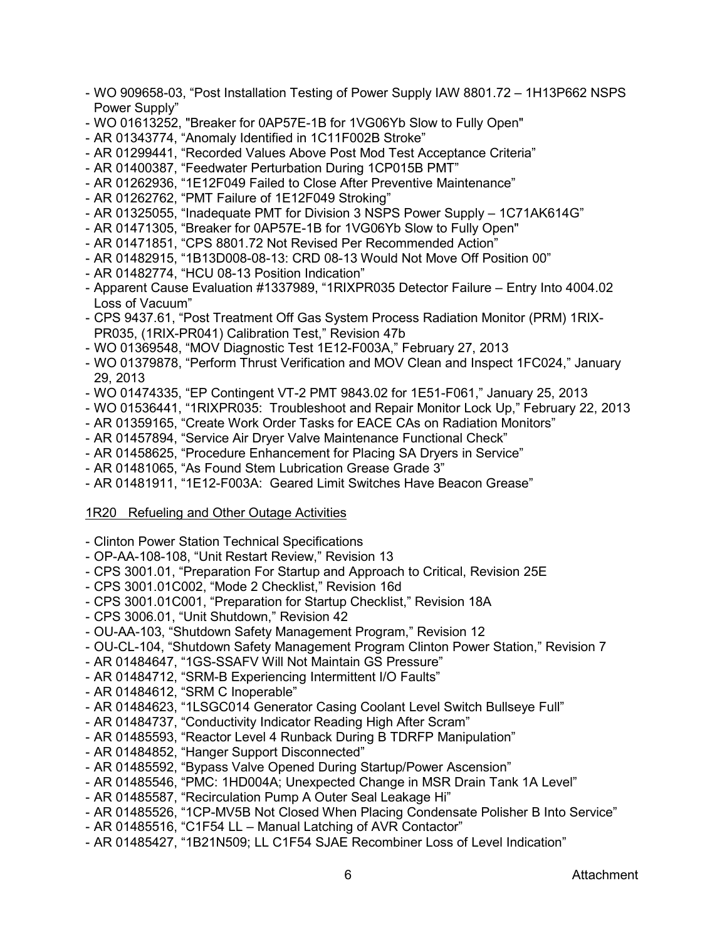- WO 909658-03, "Post Installation Testing of Power Supply IAW 8801.72 1H13P662 NSPS Power Supply"
- WO 01613252, "Breaker for 0AP57E-1B for 1VG06Yb Slow to Fully Open"
- AR 01343774, "Anomaly Identified in 1C11F002B Stroke"
- AR 01299441, "Recorded Values Above Post Mod Test Acceptance Criteria"
- AR 01400387, "Feedwater Perturbation During 1CP015B PMT"
- AR 01262936, "1E12F049 Failed to Close After Preventive Maintenance"
- AR 01262762, "PMT Failure of 1E12F049 Stroking"
- AR 01325055, "Inadequate PMT for Division 3 NSPS Power Supply 1C71AK614G"
- AR 01471305, "Breaker for 0AP57E-1B for 1VG06Yb Slow to Fully Open"
- AR 01471851, "CPS 8801.72 Not Revised Per Recommended Action"
- AR 01482915, "1B13D008-08-13: CRD 08-13 Would Not Move Off Position 00"
- AR 01482774, "HCU 08-13 Position Indication"
- Apparent Cause Evaluation #1337989, "1RIXPR035 Detector Failure Entry Into 4004.02 Loss of Vacuum"
- CPS 9437.61, "Post Treatment Off Gas System Process Radiation Monitor (PRM) 1RIX-PR035, (1RIX-PR041) Calibration Test," Revision 47b
- WO 01369548, "MOV Diagnostic Test 1E12-F003A," February 27, 2013
- WO 01379878, "Perform Thrust Verification and MOV Clean and Inspect 1FC024," January 29, 2013
- WO 01474335, "EP Contingent VT-2 PMT 9843.02 for 1E51-F061," January 25, 2013
- WO 01536441, "1RIXPR035: Troubleshoot and Repair Monitor Lock Up," February 22, 2013
- AR 01359165, "Create Work Order Tasks for EACE CAs on Radiation Monitors"
- AR 01457894, "Service Air Dryer Valve Maintenance Functional Check"
- AR 01458625, "Procedure Enhancement for Placing SA Dryers in Service"
- AR 01481065, "As Found Stem Lubrication Grease Grade 3"
- AR 01481911, "1E12-F003A: Geared Limit Switches Have Beacon Grease"

#### 1R20 Refueling and Other Outage Activities

- Clinton Power Station Technical Specifications
- OP-AA-108-108, "Unit Restart Review," Revision 13
- CPS 3001.01, "Preparation For Startup and Approach to Critical, Revision 25E
- CPS 3001.01C002, "Mode 2 Checklist," Revision 16d
- CPS 3001.01C001, "Preparation for Startup Checklist," Revision 18A
- CPS 3006.01, "Unit Shutdown," Revision 42
- OU-AA-103, "Shutdown Safety Management Program," Revision 12
- OU-CL-104, "Shutdown Safety Management Program Clinton Power Station," Revision 7
- AR 01484647, "1GS-SSAFV Will Not Maintain GS Pressure"
- AR 01484712, "SRM-B Experiencing Intermittent I/O Faults"
- AR 01484612, "SRM C Inoperable"
- AR 01484623, "1LSGC014 Generator Casing Coolant Level Switch Bullseye Full"
- AR 01484737, "Conductivity Indicator Reading High After Scram"
- AR 01485593, "Reactor Level 4 Runback During B TDRFP Manipulation"
- AR 01484852, "Hanger Support Disconnected"
- AR 01485592, "Bypass Valve Opened During Startup/Power Ascension"
- AR 01485546, "PMC: 1HD004A; Unexpected Change in MSR Drain Tank 1A Level"
- AR 01485587, "Recirculation Pump A Outer Seal Leakage Hi"
- AR 01485526, "1CP-MV5B Not Closed When Placing Condensate Polisher B Into Service"
- AR 01485516, "C1F54 LL Manual Latching of AVR Contactor"
- AR 01485427, "1B21N509; LL C1F54 SJAE Recombiner Loss of Level Indication"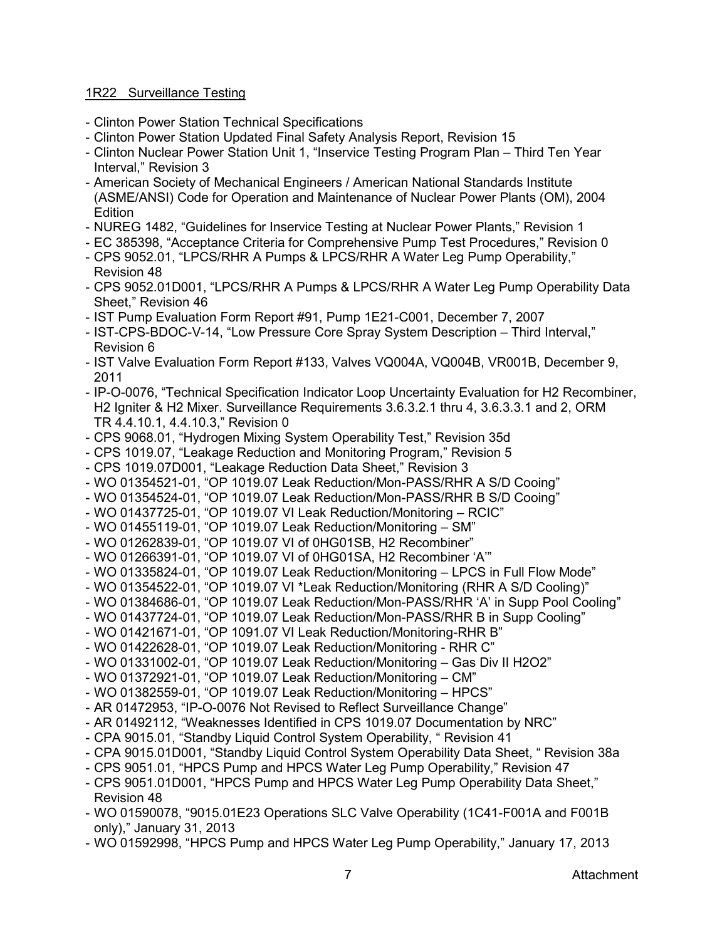## 1R22 Surveillance Testing

- Clinton Power Station Technical Specifications
- Clinton Power Station Updated Final Safety Analysis Report, Revision 15
- Clinton Nuclear Power Station Unit 1, "Inservice Testing Program Plan Third Ten Year Interval," Revision 3
- American Society of Mechanical Engineers / American National Standards Institute (ASME/ANSI) Code for Operation and Maintenance of Nuclear Power Plants (OM), 2004 Edition
- NUREG 1482, "Guidelines for Inservice Testing at Nuclear Power Plants," Revision 1
- EC 385398, "Acceptance Criteria for Comprehensive Pump Test Procedures," Revision 0
- CPS 9052.01, "LPCS/RHR A Pumps & LPCS/RHR A Water Leg Pump Operability," Revision 48
- CPS 9052.01D001, "LPCS/RHR A Pumps & LPCS/RHR A Water Leg Pump Operability Data Sheet," Revision 46
- IST Pump Evaluation Form Report #91, Pump 1E21-C001, December 7, 2007
- IST-CPS-BDOC-V-14, "Low Pressure Core Spray System Description Third Interval," Revision 6
- IST Valve Evaluation Form Report #133, Valves VQ004A, VQ004B, VR001B, December 9, 2011
- IP-O-0076, "Technical Specification Indicator Loop Uncertainty Evaluation for H2 Recombiner, H2 Igniter & H2 Mixer. Surveillance Requirements 3.6.3.2.1 thru 4, 3.6.3.3.1 and 2, ORM TR 4.4.10.1, 4.4.10.3," Revision 0
- CPS 9068.01, "Hydrogen Mixing System Operability Test," Revision 35d
- CPS 1019.07, "Leakage Reduction and Monitoring Program," Revision 5
- CPS 1019.07D001, "Leakage Reduction Data Sheet," Revision 3
- WO 01354521-01, "OP 1019.07 Leak Reduction/Mon-PASS/RHR A S/D Cooing"
- WO 01354524-01, "OP 1019.07 Leak Reduction/Mon-PASS/RHR B S/D Cooing"
- WO 01437725-01, "OP 1019.07 VI Leak Reduction/Monitoring RCIC"
- WO 01455119-01, "OP 1019.07 Leak Reduction/Monitoring SM"
- WO 01262839-01, "OP 1019.07 VI of 0HG01SB, H2 Recombiner"
- WO 01266391-01, "OP 1019.07 VI of 0HG01SA, H2 Recombiner 'A'"
- WO 01335824-01, "OP 1019.07 Leak Reduction/Monitoring LPCS in Full Flow Mode"
- WO 01354522-01, "OP 1019.07 VI \*Leak Reduction/Monitoring (RHR A S/D Cooling)"
- WO 01384686-01, "OP 1019.07 Leak Reduction/Mon-PASS/RHR 'A' in Supp Pool Cooling"
- WO 01437724-01, "OP 1019.07 Leak Reduction/Mon-PASS/RHR B in Supp Cooling"
- WO 01421671-01, "OP 1091.07 VI Leak Reduction/Monitoring-RHR B"
- WO 01422628-01, "OP 1019.07 Leak Reduction/Monitoring RHR C"
- WO 01331002-01, "OP 1019.07 Leak Reduction/Monitoring Gas Div II H2O2"
- WO 01372921-01, "OP 1019.07 Leak Reduction/Monitoring CM"
- WO 01382559-01, "OP 1019.07 Leak Reduction/Monitoring HPCS"
- AR 01472953, "IP-O-0076 Not Revised to Reflect Surveillance Change"
- AR 01492112, "Weaknesses Identified in CPS 1019.07 Documentation by NRC"
- CPA 9015.01, "Standby Liquid Control System Operability, " Revision 41
- CPA 9015.01D001, "Standby Liquid Control System Operability Data Sheet, " Revision 38a
- CPS 9051.01, "HPCS Pump and HPCS Water Leg Pump Operability," Revision 47
- CPS 9051.01D001, "HPCS Pump and HPCS Water Leg Pump Operability Data Sheet," Revision 48
- WO 01590078, "9015.01E23 Operations SLC Valve Operability (1C41-F001A and F001B only)," January 31, 2013
- WO 01592998, "HPCS Pump and HPCS Water Leg Pump Operability," January 17, 2013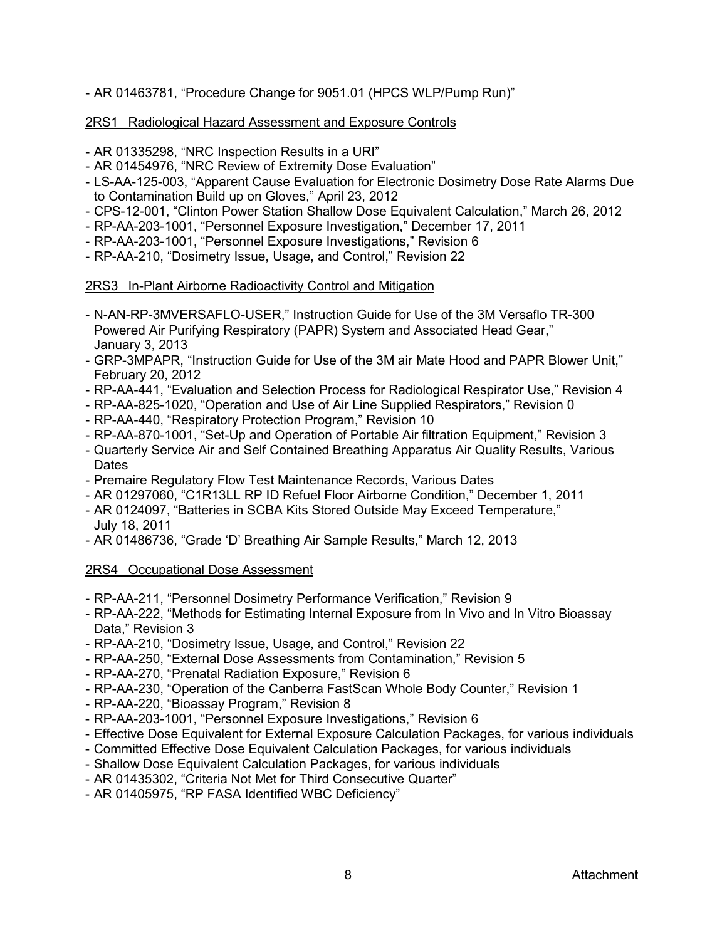## - AR 01463781, "Procedure Change for 9051.01 (HPCS WLP/Pump Run)"

## 2RS1 Radiological Hazard Assessment and Exposure Controls

- AR 01335298, "NRC Inspection Results in a URI"
- AR 01454976, "NRC Review of Extremity Dose Evaluation"
- LS-AA-125-003, "Apparent Cause Evaluation for Electronic Dosimetry Dose Rate Alarms Due to Contamination Build up on Gloves," April 23, 2012
- CPS-12-001, "Clinton Power Station Shallow Dose Equivalent Calculation," March 26, 2012
- RP-AA-203-1001, "Personnel Exposure Investigation," December 17, 2011
- RP-AA-203-1001, "Personnel Exposure Investigations," Revision 6
- RP-AA-210, "Dosimetry Issue, Usage, and Control," Revision 22

## 2RS3 In-Plant Airborne Radioactivity Control and Mitigation

- N-AN-RP-3MVERSAFLO-USER," Instruction Guide for Use of the 3M Versaflo TR-300 Powered Air Purifying Respiratory (PAPR) System and Associated Head Gear," January 3, 2013
- GRP-3MPAPR, "Instruction Guide for Use of the 3M air Mate Hood and PAPR Blower Unit," February 20, 2012
- RP-AA-441, "Evaluation and Selection Process for Radiological Respirator Use," Revision 4
- RP-AA-825-1020, "Operation and Use of Air Line Supplied Respirators," Revision 0
- RP-AA-440, "Respiratory Protection Program," Revision 10
- RP-AA-870-1001, "Set-Up and Operation of Portable Air filtration Equipment," Revision 3
- Quarterly Service Air and Self Contained Breathing Apparatus Air Quality Results, Various Dates
- Premaire Regulatory Flow Test Maintenance Records, Various Dates
- AR 01297060, "C1R13LL RP ID Refuel Floor Airborne Condition," December 1, 2011
- AR 0124097, "Batteries in SCBA Kits Stored Outside May Exceed Temperature," July 18, 2011
- AR 01486736, "Grade 'D' Breathing Air Sample Results," March 12, 2013

#### 2RS4 Occupational Dose Assessment

- RP-AA-211, "Personnel Dosimetry Performance Verification," Revision 9
- RP-AA-222, "Methods for Estimating Internal Exposure from In Vivo and In Vitro Bioassay Data," Revision 3
- RP-AA-210, "Dosimetry Issue, Usage, and Control," Revision 22
- RP-AA-250, "External Dose Assessments from Contamination," Revision 5
- RP-AA-270, "Prenatal Radiation Exposure," Revision 6
- RP-AA-230, "Operation of the Canberra FastScan Whole Body Counter," Revision 1
- RP-AA-220, "Bioassay Program," Revision 8
- RP-AA-203-1001, "Personnel Exposure Investigations," Revision 6
- Effective Dose Equivalent for External Exposure Calculation Packages, for various individuals
- Committed Effective Dose Equivalent Calculation Packages, for various individuals
- Shallow Dose Equivalent Calculation Packages, for various individuals
- AR 01435302, "Criteria Not Met for Third Consecutive Quarter"
- AR 01405975, "RP FASA Identified WBC Deficiency"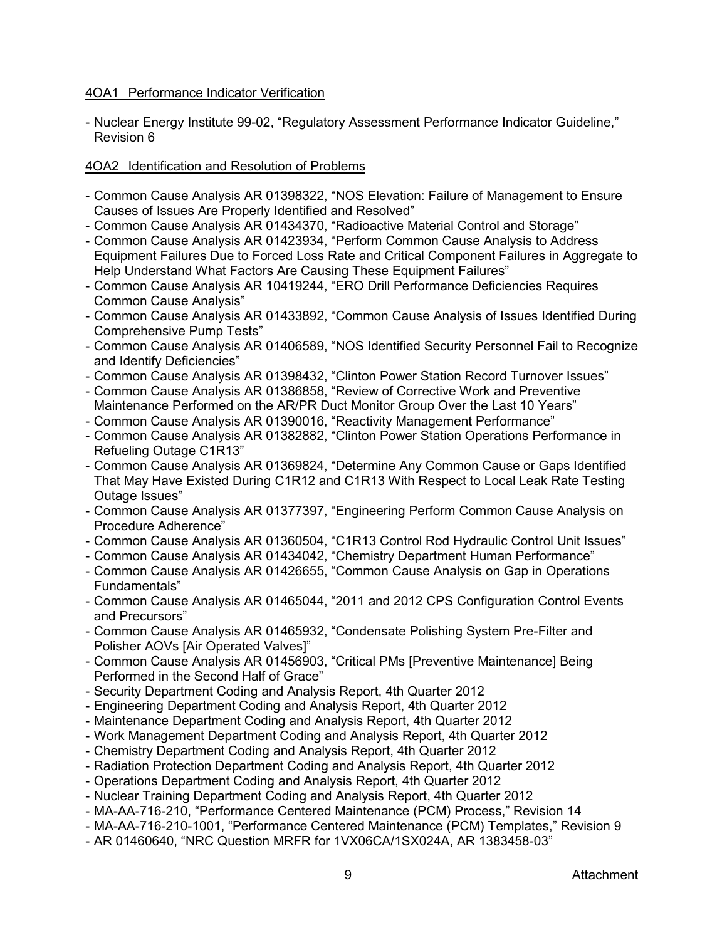## 4OA1 Performance Indicator Verification

- Nuclear Energy Institute 99-02, "Regulatory Assessment Performance Indicator Guideline," Revision 6

## 4OA2 Identification and Resolution of Problems

- Common Cause Analysis AR 01398322, "NOS Elevation: Failure of Management to Ensure Causes of Issues Are Properly Identified and Resolved"
- Common Cause Analysis AR 01434370, "Radioactive Material Control and Storage"
- Common Cause Analysis AR 01423934, "Perform Common Cause Analysis to Address Equipment Failures Due to Forced Loss Rate and Critical Component Failures in Aggregate to Help Understand What Factors Are Causing These Equipment Failures"
- Common Cause Analysis AR 10419244, "ERO Drill Performance Deficiencies Requires Common Cause Analysis"
- Common Cause Analysis AR 01433892, "Common Cause Analysis of Issues Identified During Comprehensive Pump Tests"
- Common Cause Analysis AR 01406589, "NOS Identified Security Personnel Fail to Recognize and Identify Deficiencies"
- Common Cause Analysis AR 01398432, "Clinton Power Station Record Turnover Issues"
- Common Cause Analysis AR 01386858, "Review of Corrective Work and Preventive Maintenance Performed on the AR/PR Duct Monitor Group Over the Last 10 Years"
- Common Cause Analysis AR 01390016, "Reactivity Management Performance"
- Common Cause Analysis AR 01382882, "Clinton Power Station Operations Performance in Refueling Outage C1R13"
- Common Cause Analysis AR 01369824, "Determine Any Common Cause or Gaps Identified That May Have Existed During C1R12 and C1R13 With Respect to Local Leak Rate Testing Outage Issues"
- Common Cause Analysis AR 01377397, "Engineering Perform Common Cause Analysis on Procedure Adherence"
- Common Cause Analysis AR 01360504, "C1R13 Control Rod Hydraulic Control Unit Issues"
- Common Cause Analysis AR 01434042, "Chemistry Department Human Performance"
- Common Cause Analysis AR 01426655, "Common Cause Analysis on Gap in Operations Fundamentals"
- Common Cause Analysis AR 01465044, "2011 and 2012 CPS Configuration Control Events and Precursors"
- Common Cause Analysis AR 01465932, "Condensate Polishing System Pre-Filter and Polisher AOVs [Air Operated Valves]"
- Common Cause Analysis AR 01456903, "Critical PMs [Preventive Maintenance] Being Performed in the Second Half of Grace"
- Security Department Coding and Analysis Report, 4th Quarter 2012
- Engineering Department Coding and Analysis Report, 4th Quarter 2012
- Maintenance Department Coding and Analysis Report, 4th Quarter 2012
- Work Management Department Coding and Analysis Report, 4th Quarter 2012
- Chemistry Department Coding and Analysis Report, 4th Quarter 2012
- Radiation Protection Department Coding and Analysis Report, 4th Quarter 2012
- Operations Department Coding and Analysis Report, 4th Quarter 2012
- Nuclear Training Department Coding and Analysis Report, 4th Quarter 2012
- MA-AA-716-210, "Performance Centered Maintenance (PCM) Process," Revision 14
- MA-AA-716-210-1001, "Performance Centered Maintenance (PCM) Templates," Revision 9
- AR 01460640, "NRC Question MRFR for 1VX06CA/1SX024A, AR 1383458-03"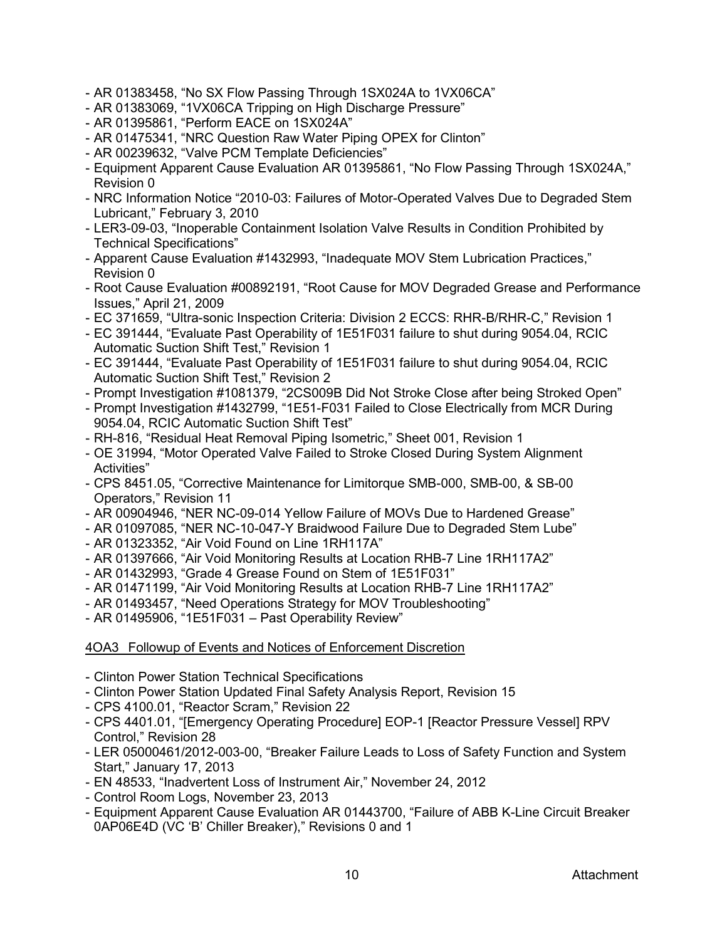- AR 01383458, "No SX Flow Passing Through 1SX024A to 1VX06CA"
- AR 01383069, "1VX06CA Tripping on High Discharge Pressure"
- AR 01395861, "Perform EACE on 1SX024A"
- AR 01475341, "NRC Question Raw Water Piping OPEX for Clinton"
- AR 00239632, "Valve PCM Template Deficiencies"
- Equipment Apparent Cause Evaluation AR 01395861, "No Flow Passing Through 1SX024A," Revision 0
- NRC Information Notice "2010-03: Failures of Motor-Operated Valves Due to Degraded Stem Lubricant," February 3, 2010
- LER3-09-03, "Inoperable Containment Isolation Valve Results in Condition Prohibited by Technical Specifications"
- Apparent Cause Evaluation #1432993, "Inadequate MOV Stem Lubrication Practices," Revision 0
- Root Cause Evaluation #00892191, "Root Cause for MOV Degraded Grease and Performance Issues," April 21, 2009
- EC 371659, "Ultra-sonic Inspection Criteria: Division 2 ECCS: RHR-B/RHR-C," Revision 1
- EC 391444, "Evaluate Past Operability of 1E51F031 failure to shut during 9054.04, RCIC Automatic Suction Shift Test," Revision 1
- EC 391444, "Evaluate Past Operability of 1E51F031 failure to shut during 9054.04, RCIC Automatic Suction Shift Test," Revision 2
- Prompt Investigation #1081379, "2CS009B Did Not Stroke Close after being Stroked Open"
- Prompt Investigation #1432799, "1E51-F031 Failed to Close Electrically from MCR During 9054.04, RCIC Automatic Suction Shift Test"
- RH-816, "Residual Heat Removal Piping Isometric," Sheet 001, Revision 1
- OE 31994, "Motor Operated Valve Failed to Stroke Closed During System Alignment Activities"
- CPS 8451.05, "Corrective Maintenance for Limitorque SMB-000, SMB-00, & SB-00 Operators," Revision 11
- AR 00904946, "NER NC-09-014 Yellow Failure of MOVs Due to Hardened Grease"
- AR 01097085, "NER NC-10-047-Y Braidwood Failure Due to Degraded Stem Lube"
- AR 01323352, "Air Void Found on Line 1RH117A"
- AR 01397666, "Air Void Monitoring Results at Location RHB-7 Line 1RH117A2"
- AR 01432993, "Grade 4 Grease Found on Stem of 1E51F031"
- AR 01471199, "Air Void Monitoring Results at Location RHB-7 Line 1RH117A2"
- AR 01493457, "Need Operations Strategy for MOV Troubleshooting"
- AR 01495906, "1E51F031 Past Operability Review"

## 4OA3 Followup of Events and Notices of Enforcement Discretion

- Clinton Power Station Technical Specifications
- Clinton Power Station Updated Final Safety Analysis Report, Revision 15
- CPS 4100.01, "Reactor Scram," Revision 22
- CPS 4401.01, "[Emergency Operating Procedure] EOP-1 [Reactor Pressure Vessel] RPV Control," Revision 28
- LER 05000461/2012-003-00, "Breaker Failure Leads to Loss of Safety Function and System Start," January 17, 2013
- EN 48533, "Inadvertent Loss of Instrument Air," November 24, 2012
- Control Room Logs, November 23, 2013
- Equipment Apparent Cause Evaluation AR 01443700, "Failure of ABB K-Line Circuit Breaker 0AP06E4D (VC 'B' Chiller Breaker)," Revisions 0 and 1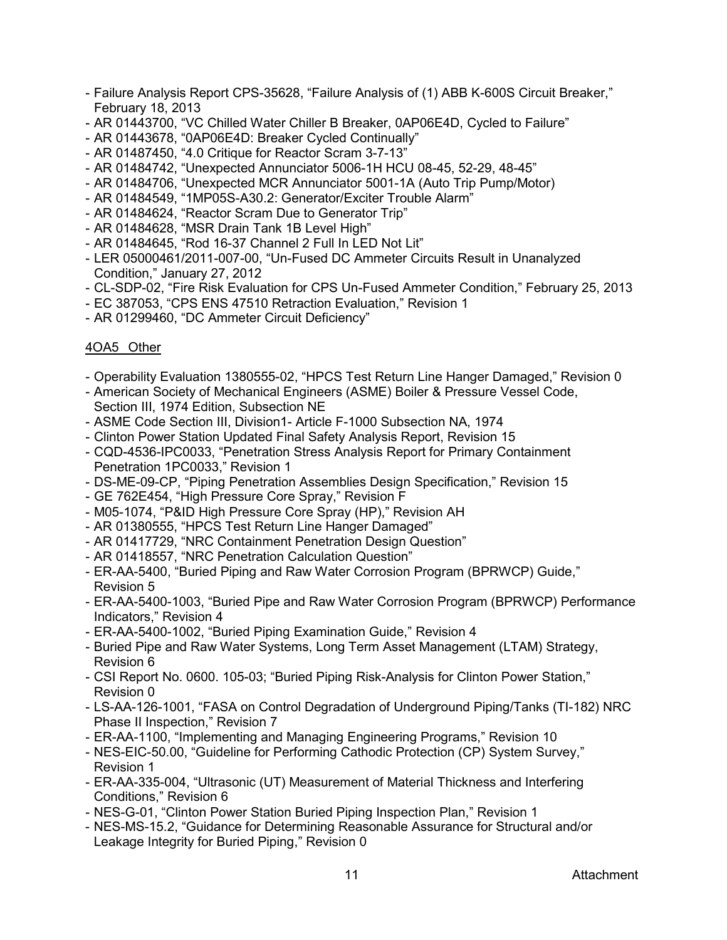- Failure Analysis Report CPS-35628, "Failure Analysis of (1) ABB K-600S Circuit Breaker," February 18, 2013
- AR 01443700, "VC Chilled Water Chiller B Breaker, 0AP06E4D, Cycled to Failure"
- AR 01443678, "0AP06E4D: Breaker Cycled Continually"
- AR 01487450, "4.0 Critique for Reactor Scram 3-7-13"
- AR 01484742, "Unexpected Annunciator 5006-1H HCU 08-45, 52-29, 48-45"
- AR 01484706, "Unexpected MCR Annunciator 5001-1A (Auto Trip Pump/Motor)
- AR 01484549, "1MP05S-A30.2: Generator/Exciter Trouble Alarm"
- AR 01484624, "Reactor Scram Due to Generator Trip"
- AR 01484628, "MSR Drain Tank 1B Level High"
- AR 01484645, "Rod 16-37 Channel 2 Full In LED Not Lit"
- LER 05000461/2011-007-00, "Un-Fused DC Ammeter Circuits Result in Unanalyzed Condition," January 27, 2012
- CL-SDP-02, "Fire Risk Evaluation for CPS Un-Fused Ammeter Condition," February 25, 2013
- EC 387053, "CPS ENS 47510 Retraction Evaluation," Revision 1
- AR 01299460, "DC Ammeter Circuit Deficiency"

## 4OA5 Other

- Operability Evaluation 1380555-02, "HPCS Test Return Line Hanger Damaged," Revision 0
- American Society of Mechanical Engineers (ASME) Boiler & Pressure Vessel Code, Section III, 1974 Edition, Subsection NE
- ASME Code Section III, Division1- Article F-1000 Subsection NA, 1974
- Clinton Power Station Updated Final Safety Analysis Report, Revision 15
- CQD-4536-IPC0033, "Penetration Stress Analysis Report for Primary Containment Penetration 1PC0033," Revision 1
- DS-ME-09-CP, "Piping Penetration Assemblies Design Specification," Revision 15
- GE 762E454, "High Pressure Core Spray," Revision F
- M05-1074, "P&ID High Pressure Core Spray (HP)," Revision AH
- AR 01380555, "HPCS Test Return Line Hanger Damaged"
- AR 01417729, "NRC Containment Penetration Design Question"
- AR 01418557, "NRC Penetration Calculation Question"
- ER-AA-5400, "Buried Piping and Raw Water Corrosion Program (BPRWCP) Guide," Revision 5
- ER-AA-5400-1003, "Buried Pipe and Raw Water Corrosion Program (BPRWCP) Performance Indicators," Revision 4
- ER-AA-5400-1002, "Buried Piping Examination Guide," Revision 4
- Buried Pipe and Raw Water Systems, Long Term Asset Management (LTAM) Strategy, Revision 6
- CSI Report No. 0600. 105-03; "Buried Piping Risk-Analysis for Clinton Power Station," Revision 0
- LS-AA-126-1001, "FASA on Control Degradation of Underground Piping/Tanks (TI-182) NRC Phase II Inspection," Revision 7
- ER-AA-1100, "Implementing and Managing Engineering Programs," Revision 10
- NES-EIC-50.00, "Guideline for Performing Cathodic Protection (CP) System Survey," Revision 1
- ER-AA-335-004, "Ultrasonic (UT) Measurement of Material Thickness and Interfering Conditions," Revision 6
- NES-G-01, "Clinton Power Station Buried Piping Inspection Plan," Revision 1
- NES-MS-15.2, "Guidance for Determining Reasonable Assurance for Structural and/or Leakage Integrity for Buried Piping," Revision 0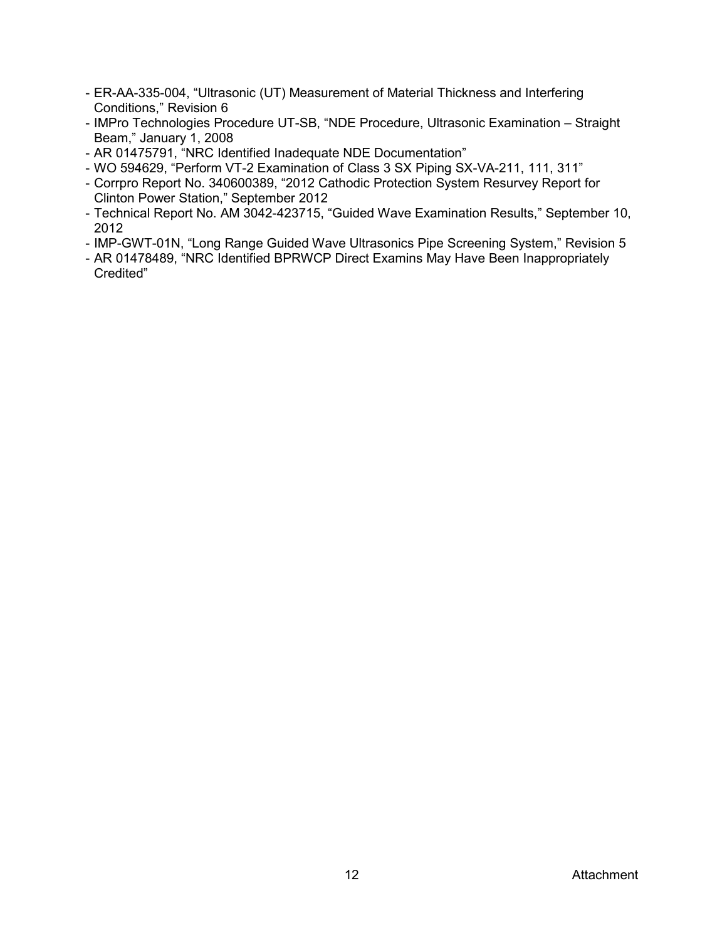- ER-AA-335-004, "Ultrasonic (UT) Measurement of Material Thickness and Interfering Conditions," Revision 6
- IMPro Technologies Procedure UT-SB, "NDE Procedure, Ultrasonic Examination Straight Beam," January 1, 2008
- AR 01475791, "NRC Identified Inadequate NDE Documentation"
- WO 594629, "Perform VT-2 Examination of Class 3 SX Piping SX-VA-211, 111, 311"
- Corrpro Report No. 340600389, "2012 Cathodic Protection System Resurvey Report for Clinton Power Station," September 2012
- Technical Report No. AM 3042-423715, "Guided Wave Examination Results," September 10, 2012
- IMP-GWT-01N, "Long Range Guided Wave Ultrasonics Pipe Screening System," Revision 5
- AR 01478489, "NRC Identified BPRWCP Direct Examins May Have Been Inappropriately Credited"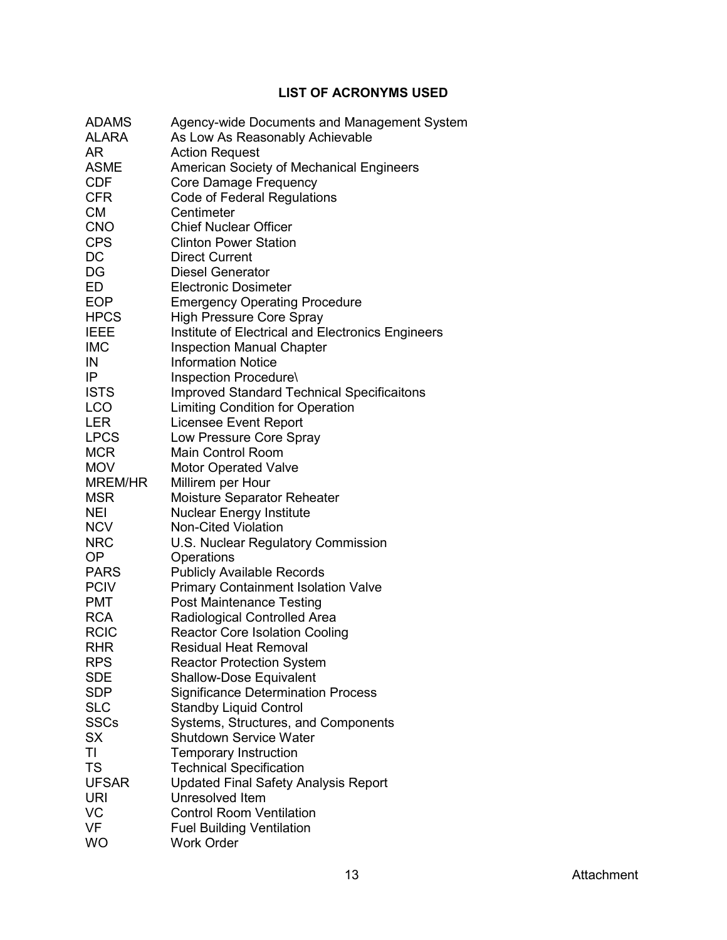# **LIST OF ACRONYMS USED**

<span id="page-57-0"></span>

| <b>ADAMS</b> | Agency-wide Documents and Management System       |
|--------------|---------------------------------------------------|
| <b>ALARA</b> | As Low As Reasonably Achievable                   |
| AR           | <b>Action Request</b>                             |
| <b>ASME</b>  | American Society of Mechanical Engineers          |
| <b>CDF</b>   | Core Damage Frequency                             |
| <b>CFR</b>   | Code of Federal Regulations                       |
| <b>CM</b>    | Centimeter                                        |
| <b>CNO</b>   | <b>Chief Nuclear Officer</b>                      |
| <b>CPS</b>   | <b>Clinton Power Station</b>                      |
| DC           | <b>Direct Current</b>                             |
| DG           | <b>Diesel Generator</b>                           |
| ED           | <b>Electronic Dosimeter</b>                       |
| <b>EOP</b>   | <b>Emergency Operating Procedure</b>              |
| <b>HPCS</b>  | <b>High Pressure Core Spray</b>                   |
| <b>IEEE</b>  | Institute of Electrical and Electronics Engineers |
| <b>IMC</b>   | <b>Inspection Manual Chapter</b>                  |
| IN           | <b>Information Notice</b>                         |
| IP           | Inspection Procedure\                             |
| <b>ISTS</b>  | <b>Improved Standard Technical Specificaitons</b> |
| <b>LCO</b>   | <b>Limiting Condition for Operation</b>           |
| <b>LER</b>   | <b>Licensee Event Report</b>                      |
| <b>LPCS</b>  | Low Pressure Core Spray                           |
| <b>MCR</b>   | <b>Main Control Room</b>                          |
| <b>MOV</b>   | <b>Motor Operated Valve</b>                       |
| MREM/HR      | Millirem per Hour                                 |
| <b>MSR</b>   | Moisture Separator Reheater                       |
| <b>NEI</b>   | <b>Nuclear Energy Institute</b>                   |
| <b>NCV</b>   | <b>Non-Cited Violation</b>                        |
| <b>NRC</b>   | U.S. Nuclear Regulatory Commission                |
| <b>OP</b>    | Operations                                        |
| <b>PARS</b>  | <b>Publicly Available Records</b>                 |
| PCIV         | <b>Primary Containment Isolation Valve</b>        |
| <b>PMT</b>   | <b>Post Maintenance Testing</b>                   |
| <b>RCA</b>   | Radiological Controlled Area                      |
| <b>RCIC</b>  | <b>Reactor Core Isolation Cooling</b>             |
| <b>RHR</b>   | <b>Residual Heat Removal</b>                      |
| RPS          | <b>Reactor Protection System</b>                  |
| <b>SDE</b>   | <b>Shallow-Dose Equivalent</b>                    |
| SDP          | <b>Significance Determination Process</b>         |
| <b>SLC</b>   | <b>Standby Liquid Control</b>                     |
| SSCs         | Systems, Structures, and Components               |
| <b>SX</b>    | <b>Shutdown Service Water</b>                     |
| TI           | <b>Temporary Instruction</b>                      |
| <b>TS</b>    | <b>Technical Specification</b>                    |
| <b>UFSAR</b> | <b>Updated Final Safety Analysis Report</b>       |
| <b>URI</b>   | Unresolved Item                                   |
| VC           | <b>Control Room Ventilation</b>                   |
| <b>VF</b>    | <b>Fuel Building Ventilation</b>                  |
| <b>WO</b>    | <b>Work Order</b>                                 |